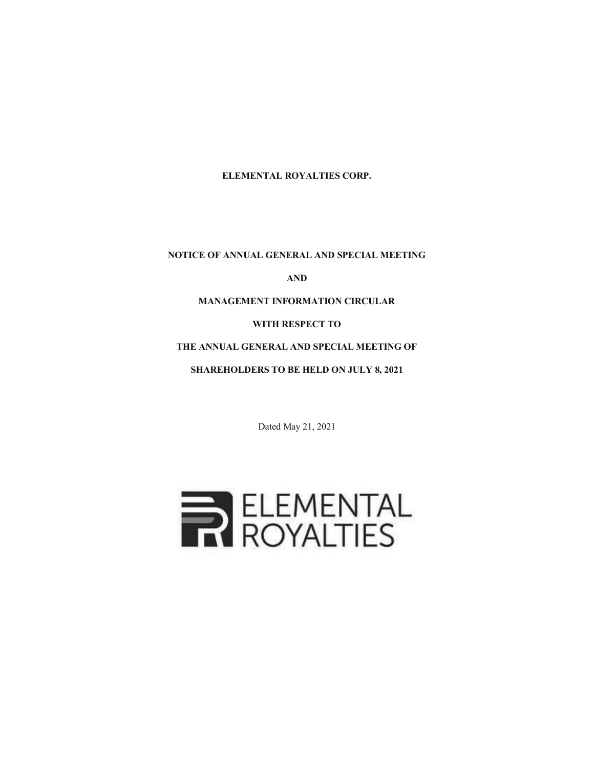**ELEMENTAL ROYALTIES CORP.**

**NOTICE OF ANNUAL GENERAL AND SPECIAL MEETING** 

**AND** 

**MANAGEMENT INFORMATION CIRCULAR** 

**WITH RESPECT TO** 

**THE ANNUAL GENERAL AND SPECIAL MEETING OF** 

**SHAREHOLDERS TO BE HELD ON JULY 8, 2021** 

Dated May 21, 2021

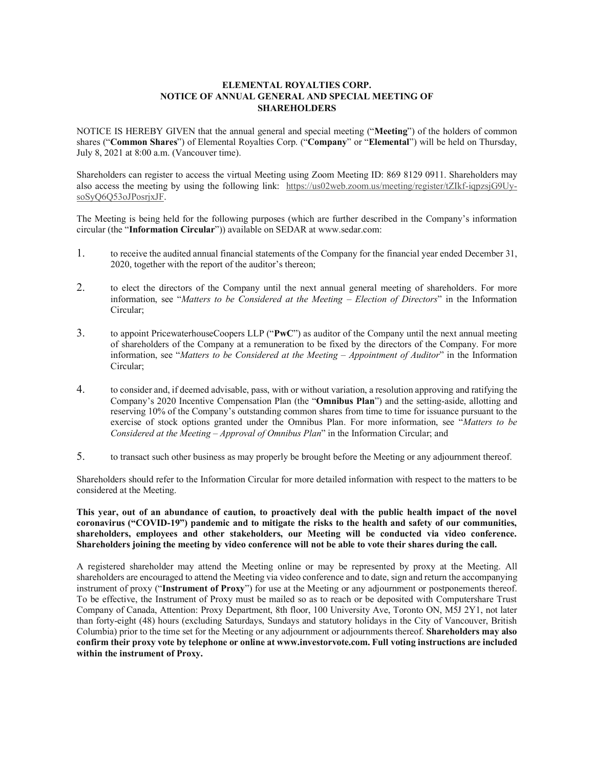## **ELEMENTAL ROYALTIES CORP. NOTICE OF ANNUAL GENERAL AND SPECIAL MEETING OF SHAREHOLDERS**

NOTICE IS HEREBY GIVEN that the annual general and special meeting ("**Meeting**") of the holders of common shares ("**Common Shares**") of Elemental Royalties Corp. ("**Company**" or "**Elemental**") will be held on Thursday, July 8, 2021 at 8:00 a.m. (Vancouver time).

Shareholders can register to access the virtual Meeting using Zoom Meeting ID: 869 8129 0911. Shareholders may also access the meeting by using the following link: https://us02web.zoom.us/meeting/register/tZIkf-iqpzsjG9UysoSyQ6Q53oJPosrjxJF.

The Meeting is being held for the following purposes (which are further described in the Company's information circular (the "**Information Circular**")) available on SEDAR at www.sedar.com:

- 1. to receive the audited annual financial statements of the Company for the financial year ended December 31, 2020, together with the report of the auditor's thereon;
- 2. to elect the directors of the Company until the next annual general meeting of shareholders. For more information, see "*Matters to be Considered at the Meeting – Election of Directors*" in the Information Circular;
- 3. to appoint PricewaterhouseCoopers LLP ("**PwC**") as auditor of the Company until the next annual meeting of shareholders of the Company at a remuneration to be fixed by the directors of the Company. For more information, see "*Matters to be Considered at the Meeting – Appointment of Auditor*" in the Information Circular;
- 4. to consider and, if deemed advisable, pass, with or without variation, a resolution approving and ratifying the Company's 2020 Incentive Compensation Plan (the "**Omnibus Plan**") and the setting-aside, allotting and reserving 10% of the Company's outstanding common shares from time to time for issuance pursuant to the exercise of stock options granted under the Omnibus Plan. For more information, see "*Matters to be Considered at the Meeting – Approval of Omnibus Plan*" in the Information Circular; and
- 5. to transact such other business as may properly be brought before the Meeting or any adjournment thereof.

Shareholders should refer to the Information Circular for more detailed information with respect to the matters to be considered at the Meeting.

**This year, out of an abundance of caution, to proactively deal with the public health impact of the novel coronavirus ("COVID-19") pandemic and to mitigate the risks to the health and safety of our communities, shareholders, employees and other stakeholders, our Meeting will be conducted via video conference. Shareholders joining the meeting by video conference will not be able to vote their shares during the call.** 

A registered shareholder may attend the Meeting online or may be represented by proxy at the Meeting. All shareholders are encouraged to attend the Meeting via video conference and to date, sign and return the accompanying instrument of proxy ("**Instrument of Proxy**") for use at the Meeting or any adjournment or postponements thereof. To be effective, the Instrument of Proxy must be mailed so as to reach or be deposited with Computershare Trust Company of Canada, Attention: Proxy Department, 8th floor, 100 University Ave, Toronto ON, M5J 2Y1, not later than forty-eight (48) hours (excluding Saturdays, Sundays and statutory holidays in the City of Vancouver, British Columbia) prior to the time set for the Meeting or any adjournment or adjournments thereof. **Shareholders may also confirm their proxy vote by telephone or online at www.investorvote.com. Full voting instructions are included within the instrument of Proxy.**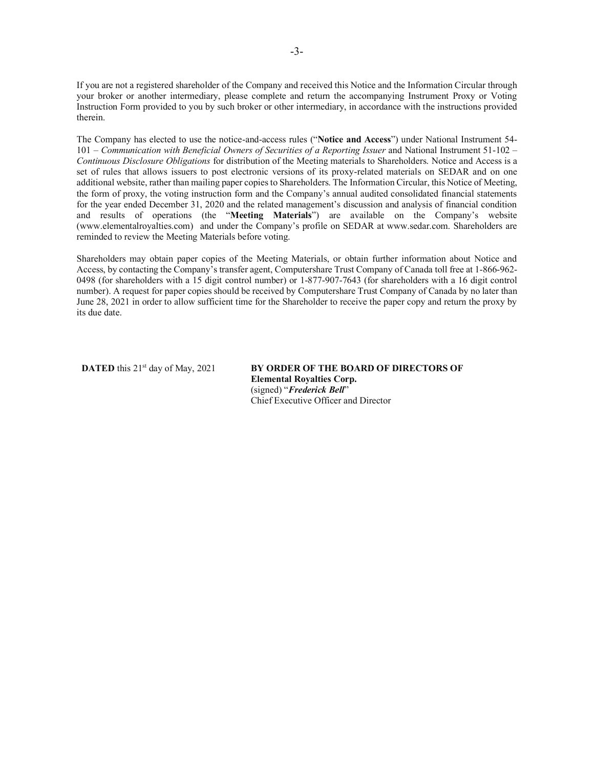If you are not a registered shareholder of the Company and received this Notice and the Information Circular through your broker or another intermediary, please complete and return the accompanying Instrument Proxy or Voting Instruction Form provided to you by such broker or other intermediary, in accordance with the instructions provided therein.

The Company has elected to use the notice-and-access rules ("**Notice and Access**") under National Instrument 54- 101 – *Communication with Beneficial Owners of Securities of a Reporting Issuer* and National Instrument 51-102 – *Continuous Disclosure Obligations* for distribution of the Meeting materials to Shareholders. Notice and Access is a set of rules that allows issuers to post electronic versions of its proxy-related materials on SEDAR and on one additional website, rather than mailing paper copies to Shareholders. The Information Circular, this Notice of Meeting, the form of proxy, the voting instruction form and the Company's annual audited consolidated financial statements for the year ended December 31, 2020 and the related management's discussion and analysis of financial condition and results of operations (the "**Meeting Materials**") are available on the Company's website (www.elementalroyalties.com) and under the Company's profile on SEDAR at www.sedar.com. Shareholders are reminded to review the Meeting Materials before voting.

Shareholders may obtain paper copies of the Meeting Materials, or obtain further information about Notice and Access, by contacting the Company's transfer agent, Computershare Trust Company of Canada toll free at 1-866-962- 0498 (for shareholders with a 15 digit control number) or 1-877-907-7643 (for shareholders with a 16 digit control number). A request for paper copies should be received by Computershare Trust Company of Canada by no later than June 28, 2021 in order to allow sufficient time for the Shareholder to receive the paper copy and return the proxy by its due date.

**DATED** this 21<sup>st</sup> day of May, 2021 **BY ORDER OF THE BOARD OF DIRECTORS OF Elemental Royalties Corp.**  (signed) "*Frederick Bell*" Chief Executive Officer and Director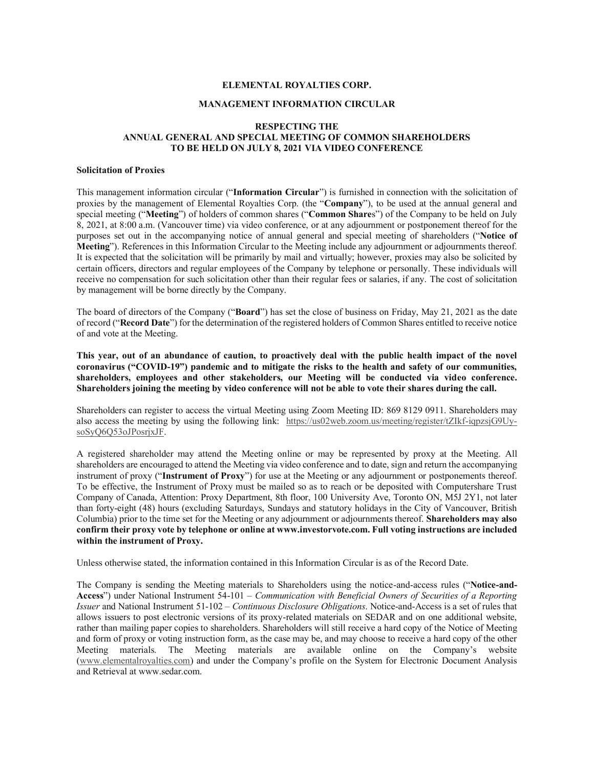### **ELEMENTAL ROYALTIES CORP.**

#### **MANAGEMENT INFORMATION CIRCULAR**

### **RESPECTING THE ANNUAL GENERAL AND SPECIAL MEETING OF COMMON SHAREHOLDERS TO BE HELD ON JULY 8, 2021 VIA VIDEO CONFERENCE**

#### **Solicitation of Proxies**

This management information circular ("**Information Circular**") is furnished in connection with the solicitation of proxies by the management of Elemental Royalties Corp. (the "**Company**"), to be used at the annual general and special meeting ("**Meeting**") of holders of common shares ("**Common Share**s") of the Company to be held on July 8, 2021, at 8:00 a.m. (Vancouver time) via video conference, or at any adjournment or postponement thereof for the purposes set out in the accompanying notice of annual general and special meeting of shareholders ("**Notice of Meeting**"). References in this Information Circular to the Meeting include any adjournment or adjournments thereof. It is expected that the solicitation will be primarily by mail and virtually; however, proxies may also be solicited by certain officers, directors and regular employees of the Company by telephone or personally. These individuals will receive no compensation for such solicitation other than their regular fees or salaries, if any. The cost of solicitation by management will be borne directly by the Company.

The board of directors of the Company ("**Board**") has set the close of business on Friday, May 21, 2021 as the date of record ("**Record Date**") for the determination of the registered holders of Common Shares entitled to receive notice of and vote at the Meeting.

**This year, out of an abundance of caution, to proactively deal with the public health impact of the novel coronavirus ("COVID-19") pandemic and to mitigate the risks to the health and safety of our communities, shareholders, employees and other stakeholders, our Meeting will be conducted via video conference. Shareholders joining the meeting by video conference will not be able to vote their shares during the call.** 

Shareholders can register to access the virtual Meeting using Zoom Meeting ID: 869 8129 0911. Shareholders may also access the meeting by using the following link: https://us02web.zoom.us/meeting/register/tZIkf-iqpzsjG9UysoSyQ6Q53oJPosrjxJF.

A registered shareholder may attend the Meeting online or may be represented by proxy at the Meeting. All shareholders are encouraged to attend the Meeting via video conference and to date, sign and return the accompanying instrument of proxy ("**Instrument of Proxy**") for use at the Meeting or any adjournment or postponements thereof. To be effective, the Instrument of Proxy must be mailed so as to reach or be deposited with Computershare Trust Company of Canada, Attention: Proxy Department, 8th floor, 100 University Ave, Toronto ON, M5J 2Y1, not later than forty-eight (48) hours (excluding Saturdays, Sundays and statutory holidays in the City of Vancouver, British Columbia) prior to the time set for the Meeting or any adjournment or adjournments thereof. **Shareholders may also confirm their proxy vote by telephone or online at www.investorvote.com. Full voting instructions are included within the instrument of Proxy.** 

Unless otherwise stated, the information contained in this Information Circular is as of the Record Date.

The Company is sending the Meeting materials to Shareholders using the notice-and-access rules ("**Notice-and-Access**") under National Instrument 54-101 – *Communication with Beneficial Owners of Securities of a Reporting Issuer* and National Instrument 51-102 – *Continuous Disclosure Obligations*. Notice-and-Access is a set of rules that allows issuers to post electronic versions of its proxy-related materials on SEDAR and on one additional website, rather than mailing paper copies to shareholders. Shareholders will still receive a hard copy of the Notice of Meeting and form of proxy or voting instruction form, as the case may be, and may choose to receive a hard copy of the other Meeting materials. The Meeting materials are available online on the Company's website (www.elementalroyalties.com) and under the Company's profile on the System for Electronic Document Analysis and Retrieval at www.sedar.com.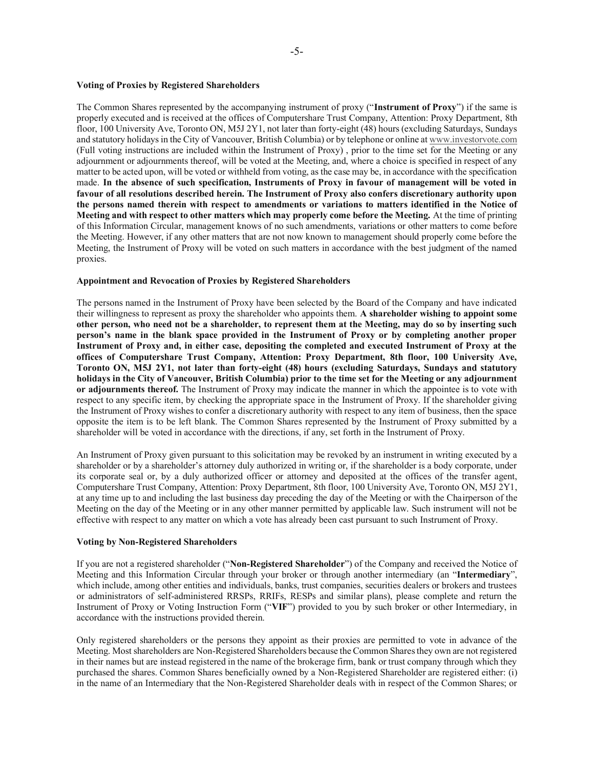### **Voting of Proxies by Registered Shareholders**

The Common Shares represented by the accompanying instrument of proxy ("**Instrument of Proxy**") if the same is properly executed and is received at the offices of Computershare Trust Company, Attention: Proxy Department, 8th floor, 100 University Ave, Toronto ON, M5J 2Y1, not later than forty-eight (48) hours (excluding Saturdays, Sundays and statutory holidays in the City of Vancouver, British Columbia) or by telephone or online at www.investorvote.com (Full voting instructions are included within the Instrument of Proxy) , prior to the time set for the Meeting or any adjournment or adjournments thereof, will be voted at the Meeting, and, where a choice is specified in respect of any matter to be acted upon, will be voted or withheld from voting, as the case may be, in accordance with the specification made. **In the absence of such specification, Instruments of Proxy in favour of management will be voted in favour of all resolutions described herein. The Instrument of Proxy also confers discretionary authority upon the persons named therein with respect to amendments or variations to matters identified in the Notice of Meeting and with respect to other matters which may properly come before the Meeting.** At the time of printing of this Information Circular, management knows of no such amendments, variations or other matters to come before the Meeting. However, if any other matters that are not now known to management should properly come before the Meeting, the Instrument of Proxy will be voted on such matters in accordance with the best judgment of the named proxies.

#### **Appointment and Revocation of Proxies by Registered Shareholders**

The persons named in the Instrument of Proxy have been selected by the Board of the Company and have indicated their willingness to represent as proxy the shareholder who appoints them. **A shareholder wishing to appoint some other person, who need not be a shareholder, to represent them at the Meeting, may do so by inserting such person's name in the blank space provided in the Instrument of Proxy or by completing another proper Instrument of Proxy and, in either case, depositing the completed and executed Instrument of Proxy at the offices of Computershare Trust Company, Attention: Proxy Department, 8th floor, 100 University Ave, Toronto ON, M5J 2Y1, not later than forty-eight (48) hours (excluding Saturdays, Sundays and statutory holidays in the City of Vancouver, British Columbia) prior to the time set for the Meeting or any adjournment or adjournments thereof.** The Instrument of Proxy may indicate the manner in which the appointee is to vote with respect to any specific item, by checking the appropriate space in the Instrument of Proxy. If the shareholder giving the Instrument of Proxy wishes to confer a discretionary authority with respect to any item of business, then the space opposite the item is to be left blank. The Common Shares represented by the Instrument of Proxy submitted by a shareholder will be voted in accordance with the directions, if any, set forth in the Instrument of Proxy.

An Instrument of Proxy given pursuant to this solicitation may be revoked by an instrument in writing executed by a shareholder or by a shareholder's attorney duly authorized in writing or, if the shareholder is a body corporate, under its corporate seal or, by a duly authorized officer or attorney and deposited at the offices of the transfer agent, Computershare Trust Company, Attention: Proxy Department, 8th floor, 100 University Ave, Toronto ON, M5J 2Y1, at any time up to and including the last business day preceding the day of the Meeting or with the Chairperson of the Meeting on the day of the Meeting or in any other manner permitted by applicable law. Such instrument will not be effective with respect to any matter on which a vote has already been cast pursuant to such Instrument of Proxy.

#### **Voting by Non-Registered Shareholders**

If you are not a registered shareholder ("**Non-Registered Shareholder**") of the Company and received the Notice of Meeting and this Information Circular through your broker or through another intermediary (an "**Intermediary**", which include, among other entities and individuals, banks, trust companies, securities dealers or brokers and trustees or administrators of self-administered RRSPs, RRIFs, RESPs and similar plans), please complete and return the Instrument of Proxy or Voting Instruction Form ("**VIF**") provided to you by such broker or other Intermediary, in accordance with the instructions provided therein.

Only registered shareholders or the persons they appoint as their proxies are permitted to vote in advance of the Meeting. Most shareholders are Non-Registered Shareholders because the Common Shares they own are not registered in their names but are instead registered in the name of the brokerage firm, bank or trust company through which they purchased the shares. Common Shares beneficially owned by a Non-Registered Shareholder are registered either: (i) in the name of an Intermediary that the Non-Registered Shareholder deals with in respect of the Common Shares; or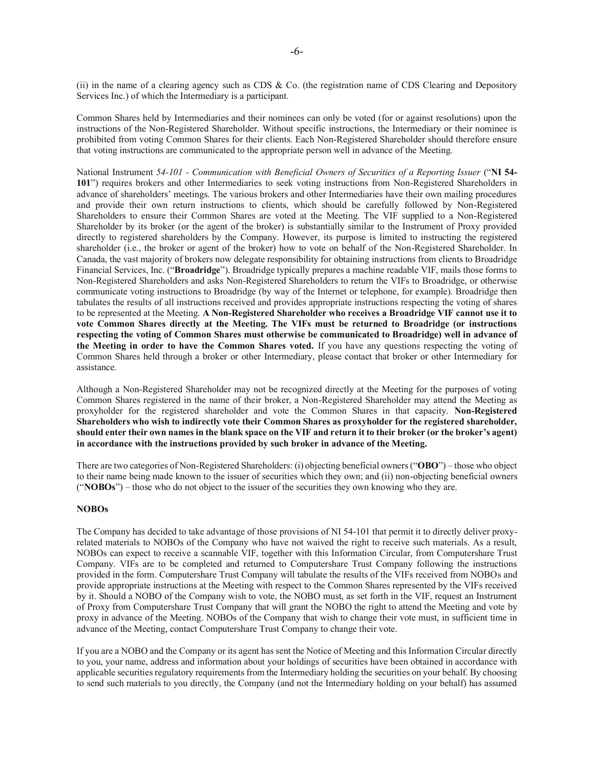(ii) in the name of a clearing agency such as CDS & Co. (the registration name of CDS Clearing and Depository Services Inc.) of which the Intermediary is a participant.

Common Shares held by Intermediaries and their nominees can only be voted (for or against resolutions) upon the instructions of the Non-Registered Shareholder. Without specific instructions, the Intermediary or their nominee is prohibited from voting Common Shares for their clients. Each Non-Registered Shareholder should therefore ensure that voting instructions are communicated to the appropriate person well in advance of the Meeting.

National Instrument *54-101 - Communication with Beneficial Owners of Securities of a Reporting Issuer* ("**NI 54- 101**") requires brokers and other Intermediaries to seek voting instructions from Non-Registered Shareholders in advance of shareholders' meetings. The various brokers and other Intermediaries have their own mailing procedures and provide their own return instructions to clients, which should be carefully followed by Non-Registered Shareholders to ensure their Common Shares are voted at the Meeting. The VIF supplied to a Non-Registered Shareholder by its broker (or the agent of the broker) is substantially similar to the Instrument of Proxy provided directly to registered shareholders by the Company. However, its purpose is limited to instructing the registered shareholder (i.e., the broker or agent of the broker) how to vote on behalf of the Non-Registered Shareholder. In Canada, the vast majority of brokers now delegate responsibility for obtaining instructions from clients to Broadridge Financial Services, Inc. ("**Broadridge**"). Broadridge typically prepares a machine readable VIF, mails those forms to Non-Registered Shareholders and asks Non-Registered Shareholders to return the VIFs to Broadridge, or otherwise communicate voting instructions to Broadridge (by way of the Internet or telephone, for example). Broadridge then tabulates the results of all instructions received and provides appropriate instructions respecting the voting of shares to be represented at the Meeting. **A Non-Registered Shareholder who receives a Broadridge VIF cannot use it to vote Common Shares directly at the Meeting. The VIFs must be returned to Broadridge (or instructions respecting the voting of Common Shares must otherwise be communicated to Broadridge) well in advance of the Meeting in order to have the Common Shares voted.** If you have any questions respecting the voting of Common Shares held through a broker or other Intermediary, please contact that broker or other Intermediary for assistance.

Although a Non-Registered Shareholder may not be recognized directly at the Meeting for the purposes of voting Common Shares registered in the name of their broker, a Non-Registered Shareholder may attend the Meeting as proxyholder for the registered shareholder and vote the Common Shares in that capacity. **Non-Registered Shareholders who wish to indirectly vote their Common Shares as proxyholder for the registered shareholder, should enter their own names in the blank space on the VIF and return it to their broker (or the broker's agent) in accordance with the instructions provided by such broker in advance of the Meeting.** 

There are two categories of Non-Registered Shareholders: (i) objecting beneficial owners ("**OBO**") – those who object to their name being made known to the issuer of securities which they own; and (ii) non-objecting beneficial owners ("**NOBOs**") – those who do not object to the issuer of the securities they own knowing who they are.

### **NOBOs**

The Company has decided to take advantage of those provisions of NI 54-101 that permit it to directly deliver proxyrelated materials to NOBOs of the Company who have not waived the right to receive such materials. As a result, NOBOs can expect to receive a scannable VIF, together with this Information Circular, from Computershare Trust Company. VIFs are to be completed and returned to Computershare Trust Company following the instructions provided in the form. Computershare Trust Company will tabulate the results of the VIFs received from NOBOs and provide appropriate instructions at the Meeting with respect to the Common Shares represented by the VIFs received by it. Should a NOBO of the Company wish to vote, the NOBO must, as set forth in the VIF, request an Instrument of Proxy from Computershare Trust Company that will grant the NOBO the right to attend the Meeting and vote by proxy in advance of the Meeting. NOBOs of the Company that wish to change their vote must, in sufficient time in advance of the Meeting, contact Computershare Trust Company to change their vote.

If you are a NOBO and the Company or its agent has sent the Notice of Meeting and this Information Circular directly to you, your name, address and information about your holdings of securities have been obtained in accordance with applicable securities regulatory requirements from the Intermediary holding the securities on your behalf. By choosing to send such materials to you directly, the Company (and not the Intermediary holding on your behalf) has assumed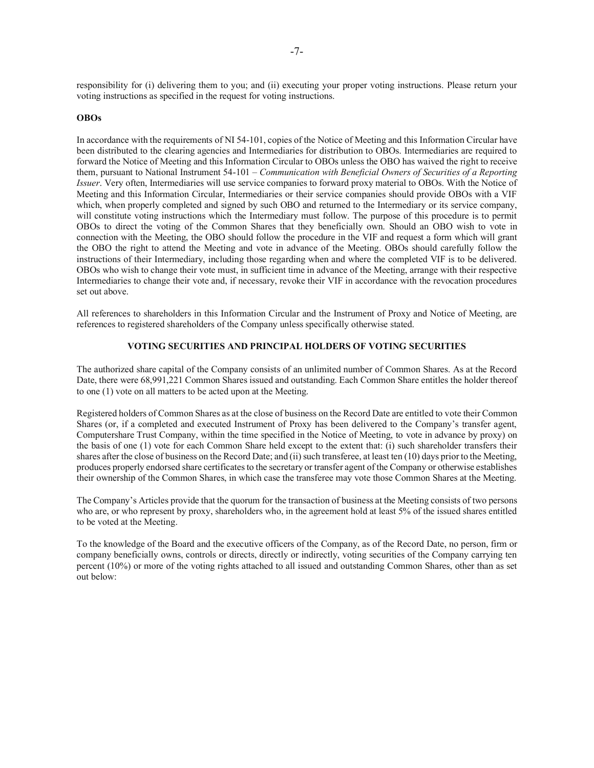responsibility for (i) delivering them to you; and (ii) executing your proper voting instructions. Please return your voting instructions as specified in the request for voting instructions.

### **OBOs**

In accordance with the requirements of NI 54-101, copies of the Notice of Meeting and this Information Circular have been distributed to the clearing agencies and Intermediaries for distribution to OBOs. Intermediaries are required to forward the Notice of Meeting and this Information Circular to OBOs unless the OBO has waived the right to receive them, pursuant to National Instrument 54-101 – *Communication with Beneficial Owners of Securities of a Reporting Issuer*. Very often, Intermediaries will use service companies to forward proxy material to OBOs. With the Notice of Meeting and this Information Circular, Intermediaries or their service companies should provide OBOs with a VIF which, when properly completed and signed by such OBO and returned to the Intermediary or its service company, will constitute voting instructions which the Intermediary must follow. The purpose of this procedure is to permit OBOs to direct the voting of the Common Shares that they beneficially own. Should an OBO wish to vote in connection with the Meeting, the OBO should follow the procedure in the VIF and request a form which will grant the OBO the right to attend the Meeting and vote in advance of the Meeting. OBOs should carefully follow the instructions of their Intermediary, including those regarding when and where the completed VIF is to be delivered. OBOs who wish to change their vote must, in sufficient time in advance of the Meeting, arrange with their respective Intermediaries to change their vote and, if necessary, revoke their VIF in accordance with the revocation procedures set out above.

All references to shareholders in this Information Circular and the Instrument of Proxy and Notice of Meeting, are references to registered shareholders of the Company unless specifically otherwise stated.

## **VOTING SECURITIES AND PRINCIPAL HOLDERS OF VOTING SECURITIES**

The authorized share capital of the Company consists of an unlimited number of Common Shares. As at the Record Date, there were 68,991,221 Common Shares issued and outstanding. Each Common Share entitles the holder thereof to one (1) vote on all matters to be acted upon at the Meeting.

Registered holders of Common Shares as at the close of business on the Record Date are entitled to vote their Common Shares (or, if a completed and executed Instrument of Proxy has been delivered to the Company's transfer agent, Computershare Trust Company, within the time specified in the Notice of Meeting, to vote in advance by proxy) on the basis of one (1) vote for each Common Share held except to the extent that: (i) such shareholder transfers their shares after the close of business on the Record Date; and (ii) such transferee, at least ten (10) days prior to the Meeting, produces properly endorsed share certificates to the secretary or transfer agent of the Company or otherwise establishes their ownership of the Common Shares, in which case the transferee may vote those Common Shares at the Meeting.

The Company's Articles provide that the quorum for the transaction of business at the Meeting consists of two persons who are, or who represent by proxy, shareholders who, in the agreement hold at least 5% of the issued shares entitled to be voted at the Meeting.

To the knowledge of the Board and the executive officers of the Company, as of the Record Date, no person, firm or company beneficially owns, controls or directs, directly or indirectly, voting securities of the Company carrying ten percent (10%) or more of the voting rights attached to all issued and outstanding Common Shares, other than as set out below: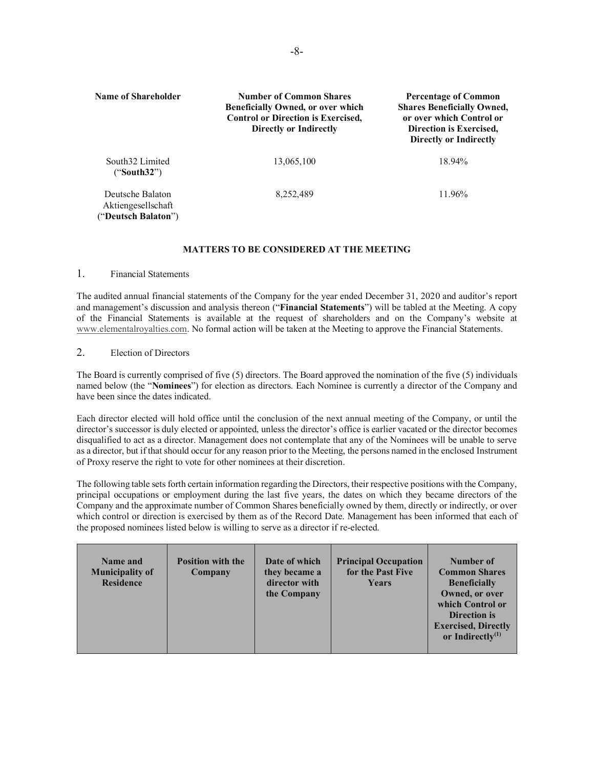| <b>Name of Shareholder</b>                                    | <b>Number of Common Shares</b><br><b>Beneficially Owned, or over which</b><br><b>Control or Direction is Exercised.</b><br>Directly or Indirectly | <b>Percentage of Common</b><br><b>Shares Beneficially Owned,</b><br>or over which Control or<br>Direction is Exercised.<br><b>Directly or Indirectly</b> |
|---------------------------------------------------------------|---------------------------------------------------------------------------------------------------------------------------------------------------|----------------------------------------------------------------------------------------------------------------------------------------------------------|
| South32 Limited<br>("South32")                                | 13,065,100                                                                                                                                        | 18.94%                                                                                                                                                   |
| Deutsche Balaton<br>Aktiengesellschaft<br>("Deutsch Balaton") | 8,252,489                                                                                                                                         | 11.96%                                                                                                                                                   |

### **MATTERS TO BE CONSIDERED AT THE MEETING**

## 1. Financial Statements

The audited annual financial statements of the Company for the year ended December 31, 2020 and auditor's report and management's discussion and analysis thereon ("**Financial Statements**") will be tabled at the Meeting. A copy of the Financial Statements is available at the request of shareholders and on the Company's website at www.elementalroyalties.com. No formal action will be taken at the Meeting to approve the Financial Statements.

## 2. Election of Directors

The Board is currently comprised of five (5) directors. The Board approved the nomination of the five (5) individuals named below (the "**Nominees**") for election as directors. Each Nominee is currently a director of the Company and have been since the dates indicated.

Each director elected will hold office until the conclusion of the next annual meeting of the Company, or until the director's successor is duly elected or appointed, unless the director's office is earlier vacated or the director becomes disqualified to act as a director. Management does not contemplate that any of the Nominees will be unable to serve as a director, but if that should occur for any reason prior to the Meeting, the persons named in the enclosed Instrument of Proxy reserve the right to vote for other nominees at their discretion.

The following table sets forth certain information regarding the Directors, their respective positions with the Company, principal occupations or employment during the last five years, the dates on which they became directors of the Company and the approximate number of Common Shares beneficially owned by them, directly or indirectly, or over which control or direction is exercised by them as of the Record Date. Management has been informed that each of the proposed nominees listed below is willing to serve as a director if re-elected.

| Name and<br><b>Municipality of</b><br><b>Residence</b> | <b>Position with the</b><br>Company | Date of which<br>they became a<br>director with<br>the Company | <b>Principal Occupation</b><br>for the Past Five<br><b>Years</b> | Number of<br><b>Common Shares</b><br><b>Beneficially</b><br>Owned, or over<br>which Control or<br><b>Direction is</b><br><b>Exercised, Directly</b><br>or Indirectly $^{(1)}$ |
|--------------------------------------------------------|-------------------------------------|----------------------------------------------------------------|------------------------------------------------------------------|-------------------------------------------------------------------------------------------------------------------------------------------------------------------------------|
|--------------------------------------------------------|-------------------------------------|----------------------------------------------------------------|------------------------------------------------------------------|-------------------------------------------------------------------------------------------------------------------------------------------------------------------------------|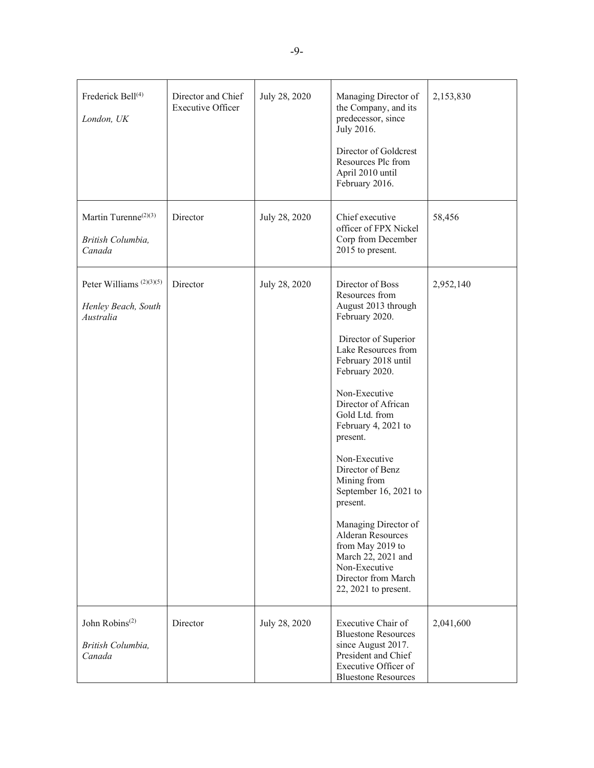| Frederick Bell <sup>(4)</sup><br>London, UK                             | Director and Chief<br><b>Executive Officer</b> | July 28, 2020 | Managing Director of<br>the Company, and its<br>predecessor, since<br>July 2016.<br>Director of Goldcrest<br>Resources Plc from<br>April 2010 until<br>February 2016.                                                                                                                                                                                                                                                                                                                                            | 2,153,830 |
|-------------------------------------------------------------------------|------------------------------------------------|---------------|------------------------------------------------------------------------------------------------------------------------------------------------------------------------------------------------------------------------------------------------------------------------------------------------------------------------------------------------------------------------------------------------------------------------------------------------------------------------------------------------------------------|-----------|
| Martin Turenne <sup>(2)(3)</sup><br>British Columbia,<br>Canada         | Director                                       | July 28, 2020 | Chief executive<br>officer of FPX Nickel<br>Corp from December<br>2015 to present.                                                                                                                                                                                                                                                                                                                                                                                                                               | 58,456    |
| Peter Williams <sup>(2)(3)(5)</sup><br>Henley Beach, South<br>Australia | Director                                       | July 28, 2020 | Director of Boss<br>Resources from<br>August 2013 through<br>February 2020.<br>Director of Superior<br>Lake Resources from<br>February 2018 until<br>February 2020.<br>Non-Executive<br>Director of African<br>Gold Ltd. from<br>February 4, 2021 to<br>present.<br>Non-Executive<br>Director of Benz<br>Mining from<br>September 16, 2021 to<br>present.<br>Managing Director of<br>Alderan Resources<br>from May 2019 to<br>March 22, 2021 and<br>Non-Executive<br>Director from March<br>22, 2021 to present. | 2,952,140 |
| John Robins <sup>(2)</sup><br>British Columbia,<br>Canada               | Director                                       | July 28, 2020 | Executive Chair of<br><b>Bluestone Resources</b><br>since August 2017.<br>President and Chief<br>Executive Officer of<br><b>Bluestone Resources</b>                                                                                                                                                                                                                                                                                                                                                              | 2,041,600 |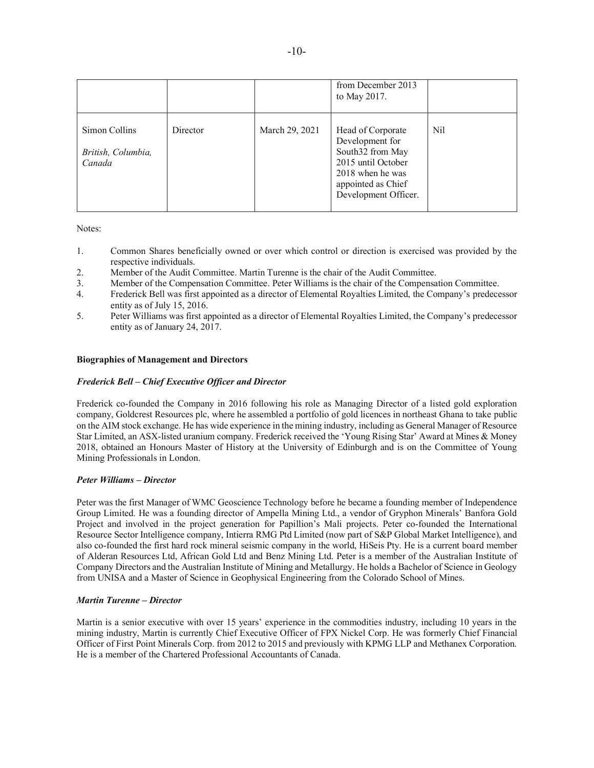|                                               |          |                | from December 2013<br>to May 2017.                                                                                                               |      |
|-----------------------------------------------|----------|----------------|--------------------------------------------------------------------------------------------------------------------------------------------------|------|
| Simon Collins<br>British, Columbia,<br>Canada | Director | March 29, 2021 | Head of Corporate<br>Development for<br>South32 from May<br>2015 until October<br>2018 when he was<br>appointed as Chief<br>Development Officer. | Nil. |

Notes:

- 1. Common Shares beneficially owned or over which control or direction is exercised was provided by the respective individuals.
- 2. Member of the Audit Committee. Martin Turenne is the chair of the Audit Committee.
- 3. Member of the Compensation Committee. Peter Williams is the chair of the Compensation Committee.
- 4. Frederick Bell was first appointed as a director of Elemental Royalties Limited, the Company's predecessor entity as of July 15, 2016.
- 5. Peter Williams was first appointed as a director of Elemental Royalties Limited, the Company's predecessor entity as of January 24, 2017.

### **Biographies of Management and Directors**

### *Frederick Bell – Chief Executive Officer and Director*

Frederick co-founded the Company in 2016 following his role as Managing Director of a listed gold exploration company, Goldcrest Resources plc, where he assembled a portfolio of gold licences in northeast Ghana to take public on the AIM stock exchange. He has wide experience in the mining industry, including as General Manager of Resource Star Limited, an ASX-listed uranium company. Frederick received the 'Young Rising Star' Award at Mines & Money 2018, obtained an Honours Master of History at the University of Edinburgh and is on the Committee of Young Mining Professionals in London.

## *Peter Williams – Director*

Peter was the first Manager of WMC Geoscience Technology before he became a founding member of Independence Group Limited. He was a founding director of Ampella Mining Ltd., a vendor of Gryphon Minerals' Banfora Gold Project and involved in the project generation for Papillion's Mali projects. Peter co-founded the International Resource Sector Intelligence company, Intierra RMG Ptd Limited (now part of S&P Global Market Intelligence), and also co-founded the first hard rock mineral seismic company in the world, HiSeis Pty. He is a current board member of Alderan Resources Ltd, African Gold Ltd and Benz Mining Ltd. Peter is a member of the Australian Institute of Company Directors and the Australian Institute of Mining and Metallurgy. He holds a Bachelor of Science in Geology from UNISA and a Master of Science in Geophysical Engineering from the Colorado School of Mines.

#### *Martin Turenne – Director*

Martin is a senior executive with over 15 years' experience in the commodities industry, including 10 years in the mining industry, Martin is currently Chief Executive Officer of FPX Nickel Corp. He was formerly Chief Financial Officer of First Point Minerals Corp. from 2012 to 2015 and previously with KPMG LLP and Methanex Corporation. He is a member of the Chartered Professional Accountants of Canada.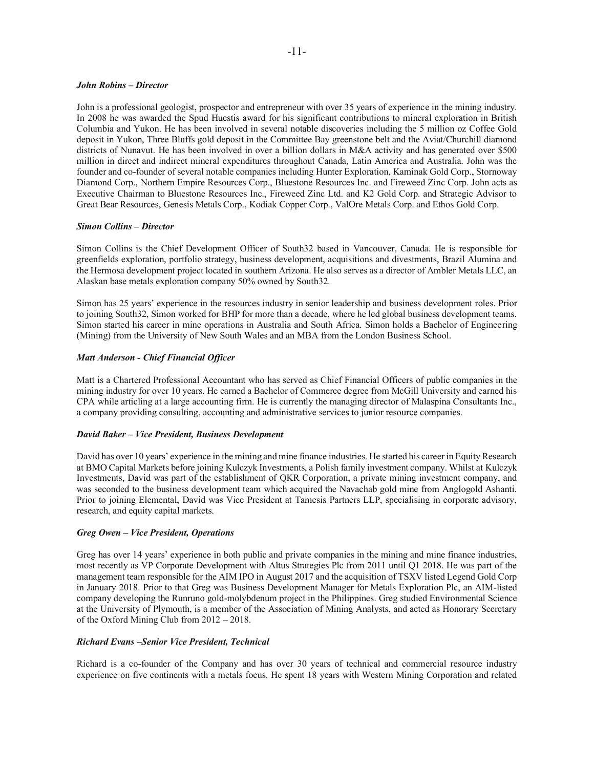## -11-

#### *John Robins – Director*

John is a professional geologist, prospector and entrepreneur with over 35 years of experience in the mining industry. In 2008 he was awarded the Spud Huestis award for his significant contributions to mineral exploration in British Columbia and Yukon. He has been involved in several notable discoveries including the 5 million oz Coffee Gold deposit in Yukon, Three Bluffs gold deposit in the Committee Bay greenstone belt and the Aviat/Churchill diamond districts of Nunavut. He has been involved in over a billion dollars in M&A activity and has generated over \$500 million in direct and indirect mineral expenditures throughout Canada, Latin America and Australia. John was the founder and co-founder of several notable companies including Hunter Exploration, Kaminak Gold Corp., Stornoway Diamond Corp., Northern Empire Resources Corp., Bluestone Resources Inc. and Fireweed Zinc Corp. John acts as Executive Chairman to Bluestone Resources Inc., Fireweed Zinc Ltd. and K2 Gold Corp. and Strategic Advisor to Great Bear Resources, Genesis Metals Corp., Kodiak Copper Corp., ValOre Metals Corp. and Ethos Gold Corp.

### *Simon Collins – Director*

Simon Collins is the Chief Development Officer of South32 based in Vancouver, Canada. He is responsible for greenfields exploration, portfolio strategy, business development, acquisitions and divestments, Brazil Alumina and the Hermosa development project located in southern Arizona. He also serves as a director of Ambler Metals LLC, an Alaskan base metals exploration company 50% owned by South32.

Simon has 25 years' experience in the resources industry in senior leadership and business development roles. Prior to joining South32, Simon worked for BHP for more than a decade, where he led global business development teams. Simon started his career in mine operations in Australia and South Africa. Simon holds a Bachelor of Engineering (Mining) from the University of New South Wales and an MBA from the London Business School.

### *Matt Anderson - Chief Financial Officer*

Matt is a Chartered Professional Accountant who has served as Chief Financial Officers of public companies in the mining industry for over 10 years. He earned a Bachelor of Commerce degree from McGill University and earned his CPA while articling at a large accounting firm. He is currently the managing director of Malaspina Consultants Inc., a company providing consulting, accounting and administrative services to junior resource companies.

### *David Baker – Vice President, Business Development*

David has over 10 years' experience in the mining and mine finance industries. He started his career in Equity Research at BMO Capital Markets before joining Kulczyk Investments, a Polish family investment company. Whilst at Kulczyk Investments, David was part of the establishment of QKR Corporation, a private mining investment company, and was seconded to the business development team which acquired the Navachab gold mine from Anglogold Ashanti. Prior to joining Elemental, David was Vice President at Tamesis Partners LLP, specialising in corporate advisory, research, and equity capital markets.

### *Greg Owen – Vice President, Operations*

Greg has over 14 years' experience in both public and private companies in the mining and mine finance industries, most recently as VP Corporate Development with Altus Strategies Plc from 2011 until Q1 2018. He was part of the management team responsible for the AIM IPO in August 2017 and the acquisition of TSXV listed Legend Gold Corp in January 2018. Prior to that Greg was Business Development Manager for Metals Exploration Plc, an AIM-listed company developing the Runruno gold-molybdenum project in the Philippines. Greg studied Environmental Science at the University of Plymouth, is a member of the Association of Mining Analysts, and acted as Honorary Secretary of the Oxford Mining Club from 2012 – 2018.

#### *Richard Evans –Senior Vice President, Technical*

Richard is a co-founder of the Company and has over 30 years of technical and commercial resource industry experience on five continents with a metals focus. He spent 18 years with Western Mining Corporation and related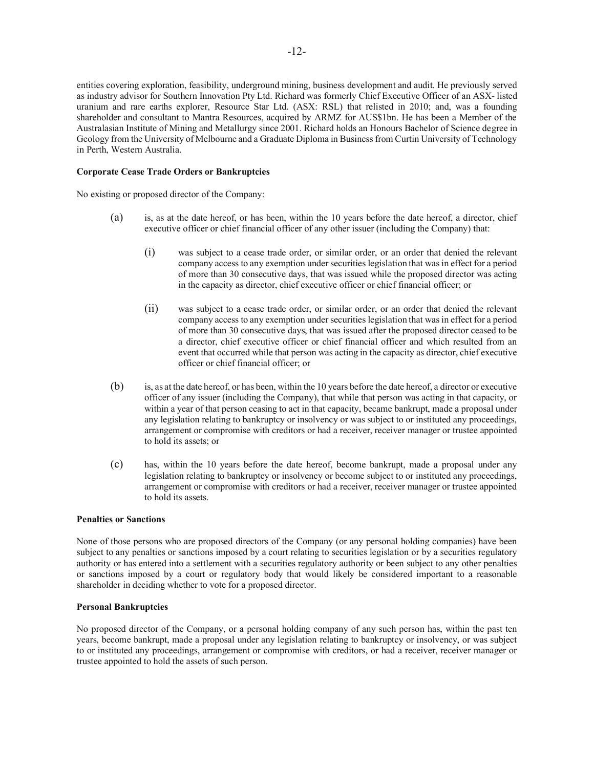entities covering exploration, feasibility, underground mining, business development and audit. He previously served as industry advisor for Southern Innovation Pty Ltd. Richard was formerly Chief Executive Officer of an ASX- listed uranium and rare earths explorer, Resource Star Ltd. (ASX: RSL) that relisted in 2010; and, was a founding shareholder and consultant to Mantra Resources, acquired by ARMZ for AUS\$1bn. He has been a Member of the Australasian Institute of Mining and Metallurgy since 2001. Richard holds an Honours Bachelor of Science degree in Geology from the University of Melbourne and a Graduate Diploma in Business from Curtin University of Technology in Perth, Western Australia.

### **Corporate Cease Trade Orders or Bankruptcies**

No existing or proposed director of the Company:

- (a) is, as at the date hereof, or has been, within the 10 years before the date hereof, a director, chief executive officer or chief financial officer of any other issuer (including the Company) that:
	- (i) was subject to a cease trade order, or similar order, or an order that denied the relevant company access to any exemption under securities legislation that was in effect for a period of more than 30 consecutive days, that was issued while the proposed director was acting in the capacity as director, chief executive officer or chief financial officer; or
	- (ii) was subject to a cease trade order, or similar order, or an order that denied the relevant company access to any exemption under securities legislation that was in effect for a period of more than 30 consecutive days, that was issued after the proposed director ceased to be a director, chief executive officer or chief financial officer and which resulted from an event that occurred while that person was acting in the capacity as director, chief executive officer or chief financial officer; or
- (b) is, as at the date hereof, or has been, within the 10 years before the date hereof, a director or executive officer of any issuer (including the Company), that while that person was acting in that capacity, or within a year of that person ceasing to act in that capacity, became bankrupt, made a proposal under any legislation relating to bankruptcy or insolvency or was subject to or instituted any proceedings, arrangement or compromise with creditors or had a receiver, receiver manager or trustee appointed to hold its assets; or
- (c) has, within the 10 years before the date hereof, become bankrupt, made a proposal under any legislation relating to bankruptcy or insolvency or become subject to or instituted any proceedings, arrangement or compromise with creditors or had a receiver, receiver manager or trustee appointed to hold its assets.

#### **Penalties or Sanctions**

None of those persons who are proposed directors of the Company (or any personal holding companies) have been subject to any penalties or sanctions imposed by a court relating to securities legislation or by a securities regulatory authority or has entered into a settlement with a securities regulatory authority or been subject to any other penalties or sanctions imposed by a court or regulatory body that would likely be considered important to a reasonable shareholder in deciding whether to vote for a proposed director.

## **Personal Bankruptcies**

No proposed director of the Company, or a personal holding company of any such person has, within the past ten years, become bankrupt, made a proposal under any legislation relating to bankruptcy or insolvency, or was subject to or instituted any proceedings, arrangement or compromise with creditors, or had a receiver, receiver manager or trustee appointed to hold the assets of such person.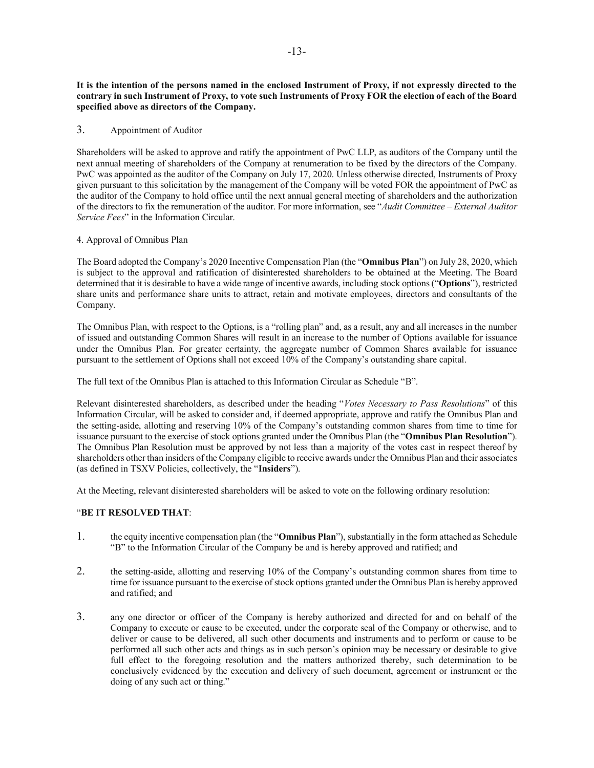**It is the intention of the persons named in the enclosed Instrument of Proxy, if not expressly directed to the contrary in such Instrument of Proxy, to vote such Instruments of Proxy FOR the election of each of the Board specified above as directors of the Company.** 

## 3. Appointment of Auditor

Shareholders will be asked to approve and ratify the appointment of PwC LLP, as auditors of the Company until the next annual meeting of shareholders of the Company at renumeration to be fixed by the directors of the Company. PwC was appointed as the auditor of the Company on July 17, 2020. Unless otherwise directed, Instruments of Proxy given pursuant to this solicitation by the management of the Company will be voted FOR the appointment of PwC as the auditor of the Company to hold office until the next annual general meeting of shareholders and the authorization of the directors to fix the remuneration of the auditor. For more information, see "*Audit Committee – External Auditor Service Fees*" in the Information Circular.

## 4. Approval of Omnibus Plan

The Board adopted the Company's 2020 Incentive Compensation Plan (the "**Omnibus Plan**") on July 28, 2020, which is subject to the approval and ratification of disinterested shareholders to be obtained at the Meeting. The Board determined that it is desirable to have a wide range of incentive awards, including stock options ("**Options**"), restricted share units and performance share units to attract, retain and motivate employees, directors and consultants of the Company.

The Omnibus Plan, with respect to the Options, is a "rolling plan" and, as a result, any and all increases in the number of issued and outstanding Common Shares will result in an increase to the number of Options available for issuance under the Omnibus Plan. For greater certainty, the aggregate number of Common Shares available for issuance pursuant to the settlement of Options shall not exceed 10% of the Company's outstanding share capital.

The full text of the Omnibus Plan is attached to this Information Circular as Schedule "B".

Relevant disinterested shareholders, as described under the heading "*Votes Necessary to Pass Resolutions*" of this Information Circular, will be asked to consider and, if deemed appropriate, approve and ratify the Omnibus Plan and the setting-aside, allotting and reserving 10% of the Company's outstanding common shares from time to time for issuance pursuant to the exercise of stock options granted under the Omnibus Plan (the "**Omnibus Plan Resolution**"). The Omnibus Plan Resolution must be approved by not less than a majority of the votes cast in respect thereof by shareholders other than insiders of the Company eligible to receive awards under the Omnibus Plan and their associates (as defined in TSXV Policies, collectively, the "**Insiders**").

At the Meeting, relevant disinterested shareholders will be asked to vote on the following ordinary resolution:

## "**BE IT RESOLVED THAT**:

- 1. the equity incentive compensation plan (the "**Omnibus Plan**"), substantially in the form attached as Schedule "B" to the Information Circular of the Company be and is hereby approved and ratified; and
- 2. the setting-aside, allotting and reserving 10% of the Company's outstanding common shares from time to time for issuance pursuant to the exercise of stock options granted under the Omnibus Plan is hereby approved and ratified; and
- 3. any one director or officer of the Company is hereby authorized and directed for and on behalf of the Company to execute or cause to be executed, under the corporate seal of the Company or otherwise, and to deliver or cause to be delivered, all such other documents and instruments and to perform or cause to be performed all such other acts and things as in such person's opinion may be necessary or desirable to give full effect to the foregoing resolution and the matters authorized thereby, such determination to be conclusively evidenced by the execution and delivery of such document, agreement or instrument or the doing of any such act or thing."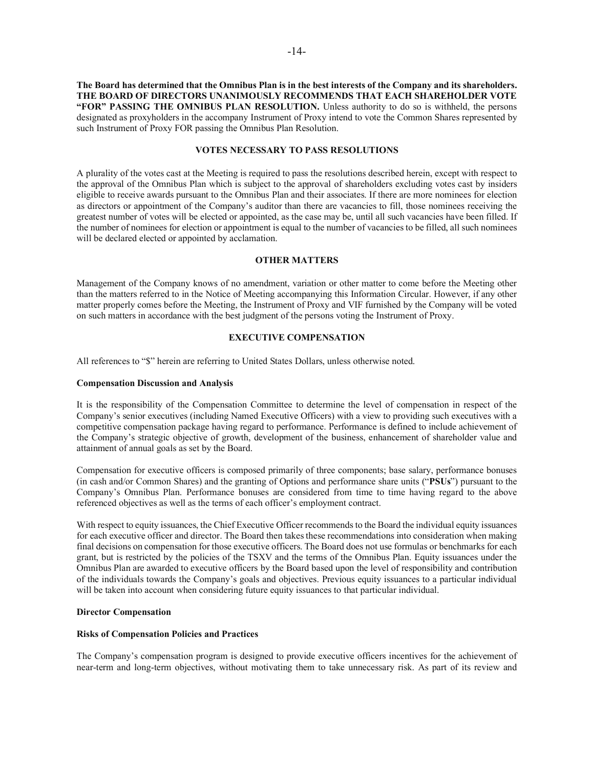**The Board has determined that the Omnibus Plan is in the best interests of the Company and its shareholders. THE BOARD OF DIRECTORS UNANIMOUSLY RECOMMENDS THAT EACH SHAREHOLDER VOTE "FOR" PASSING THE OMNIBUS PLAN RESOLUTION.** Unless authority to do so is withheld, the persons designated as proxyholders in the accompany Instrument of Proxy intend to vote the Common Shares represented by such Instrument of Proxy FOR passing the Omnibus Plan Resolution.

### **VOTES NECESSARY TO PASS RESOLUTIONS**

A plurality of the votes cast at the Meeting is required to pass the resolutions described herein, except with respect to the approval of the Omnibus Plan which is subject to the approval of shareholders excluding votes cast by insiders eligible to receive awards pursuant to the Omnibus Plan and their associates. If there are more nominees for election as directors or appointment of the Company's auditor than there are vacancies to fill, those nominees receiving the greatest number of votes will be elected or appointed, as the case may be, until all such vacancies have been filled. If the number of nominees for election or appointment is equal to the number of vacancies to be filled, all such nominees will be declared elected or appointed by acclamation.

#### **OTHER MATTERS**

Management of the Company knows of no amendment, variation or other matter to come before the Meeting other than the matters referred to in the Notice of Meeting accompanying this Information Circular. However, if any other matter properly comes before the Meeting, the Instrument of Proxy and VIF furnished by the Company will be voted on such matters in accordance with the best judgment of the persons voting the Instrument of Proxy.

### **EXECUTIVE COMPENSATION**

All references to "\$" herein are referring to United States Dollars, unless otherwise noted.

#### **Compensation Discussion and Analysis**

It is the responsibility of the Compensation Committee to determine the level of compensation in respect of the Company's senior executives (including Named Executive Officers) with a view to providing such executives with a competitive compensation package having regard to performance. Performance is defined to include achievement of the Company's strategic objective of growth, development of the business, enhancement of shareholder value and attainment of annual goals as set by the Board.

Compensation for executive officers is composed primarily of three components; base salary, performance bonuses (in cash and/or Common Shares) and the granting of Options and performance share units ("**PSUs**") pursuant to the Company's Omnibus Plan. Performance bonuses are considered from time to time having regard to the above referenced objectives as well as the terms of each officer's employment contract.

With respect to equity issuances, the Chief Executive Officer recommends to the Board the individual equity issuances for each executive officer and director. The Board then takes these recommendations into consideration when making final decisions on compensation for those executive officers. The Board does not use formulas or benchmarks for each grant, but is restricted by the policies of the TSXV and the terms of the Omnibus Plan. Equity issuances under the Omnibus Plan are awarded to executive officers by the Board based upon the level of responsibility and contribution of the individuals towards the Company's goals and objectives. Previous equity issuances to a particular individual will be taken into account when considering future equity issuances to that particular individual.

#### **Director Compensation**

#### **Risks of Compensation Policies and Practices**

The Company's compensation program is designed to provide executive officers incentives for the achievement of near-term and long-term objectives, without motivating them to take unnecessary risk. As part of its review and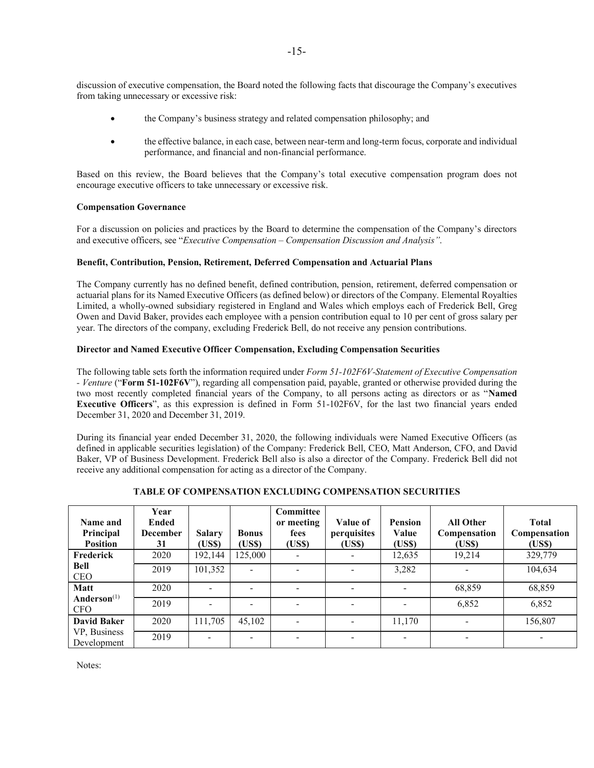discussion of executive compensation, the Board noted the following facts that discourage the Company's executives from taking unnecessary or excessive risk:

- the Company's business strategy and related compensation philosophy; and
- the effective balance, in each case, between near-term and long-term focus, corporate and individual performance, and financial and non-financial performance.

Based on this review, the Board believes that the Company's total executive compensation program does not encourage executive officers to take unnecessary or excessive risk.

### **Compensation Governance**

For a discussion on policies and practices by the Board to determine the compensation of the Company's directors and executive officers, see "*Executive Compensation – Compensation Discussion and Analysis"*.

## **Benefit, Contribution, Pension, Retirement, Deferred Compensation and Actuarial Plans**

The Company currently has no defined benefit, defined contribution, pension, retirement, deferred compensation or actuarial plans for its Named Executive Officers (as defined below) or directors of the Company. Elemental Royalties Limited, a wholly-owned subsidiary registered in England and Wales which employs each of Frederick Bell, Greg Owen and David Baker, provides each employee with a pension contribution equal to 10 per cent of gross salary per year. The directors of the company, excluding Frederick Bell, do not receive any pension contributions.

## **Director and Named Executive Officer Compensation, Excluding Compensation Securities**

The following table sets forth the information required under *Form 51-102F6V-Statement of Executive Compensation - Venture* ("**Form 51-102F6V**"), regarding all compensation paid, payable, granted or otherwise provided during the two most recently completed financial years of the Company, to all persons acting as directors or as "**Named Executive Officers**", as this expression is defined in Form 51-102F6V, for the last two financial years ended December 31, 2020 and December 31, 2019.

During its financial year ended December 31, 2020, the following individuals were Named Executive Officers (as defined in applicable securities legislation) of the Company: Frederick Bell, CEO, Matt Anderson, CFO, and David Baker, VP of Business Development. Frederick Bell also is also a director of the Company. Frederick Bell did not receive any additional compensation for acting as a director of the Company.

| Name and<br>Principal<br><b>Position</b> | Year<br><b>Ended</b><br><b>December</b><br>31 | <b>Salary</b><br>(US\$) | <b>Bonus</b><br>(US\$)   | <b>Committee</b><br>or meeting<br>fees<br>(US\$) | Value of<br>perquisites<br>(US\$) | <b>Pension</b><br>Value<br>(US\$) | <b>All Other</b><br>Compensation<br>(US\$) | <b>Total</b><br>Compensation<br>(US\$) |
|------------------------------------------|-----------------------------------------------|-------------------------|--------------------------|--------------------------------------------------|-----------------------------------|-----------------------------------|--------------------------------------------|----------------------------------------|
| <b>Frederick</b>                         | 2020                                          | 192,144                 | 125,000                  |                                                  |                                   | 12,635                            | 19,214                                     | 329,779                                |
| <b>Bell</b><br><b>CEO</b>                | 2019                                          | 101,352                 | $\overline{\phantom{0}}$ | $\overline{\phantom{0}}$                         |                                   | 3,282                             | $\overline{\phantom{0}}$                   | 104,634                                |
| <b>Matt</b>                              | 2020                                          |                         |                          |                                                  |                                   |                                   | 68,859                                     | 68,859                                 |
| Anderson <sup>(1)</sup><br><b>CFO</b>    | 2019                                          |                         |                          |                                                  |                                   |                                   | 6,852                                      | 6,852                                  |
| <b>David Baker</b>                       | 2020                                          | 111,705                 | 45,102                   | $\overline{\phantom{a}}$                         |                                   | 11,170                            |                                            | 156,807                                |
| VP, Business<br>Development              | 2019                                          | ۰                       | ÷                        |                                                  |                                   | -                                 | ٠                                          | $\overline{\phantom{0}}$               |

### **TABLE OF COMPENSATION EXCLUDING COMPENSATION SECURITIES**

Notes: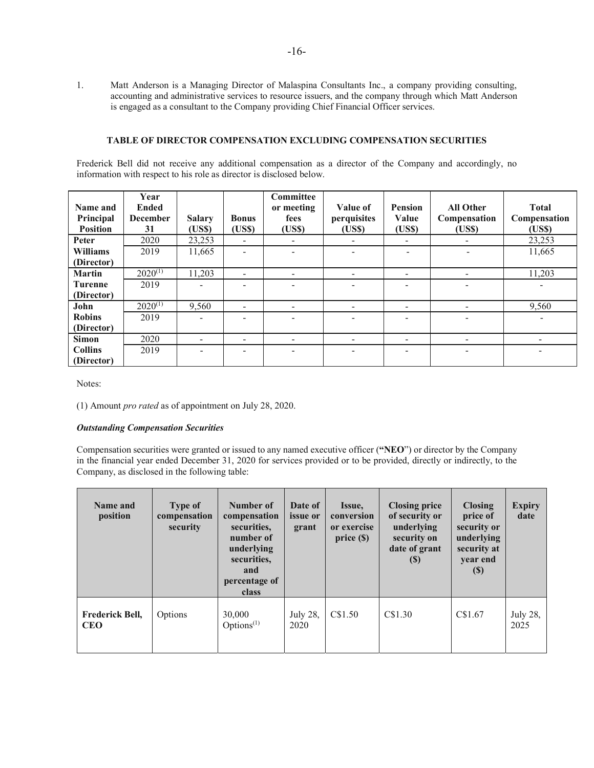1. Matt Anderson is a Managing Director of Malaspina Consultants Inc., a company providing consulting, accounting and administrative services to resource issuers, and the company through which Matt Anderson is engaged as a consultant to the Company providing Chief Financial Officer services.

### **TABLE OF DIRECTOR COMPENSATION EXCLUDING COMPENSATION SECURITIES**

Frederick Bell did not receive any additional compensation as a director of the Company and accordingly, no information with respect to his role as director is disclosed below.

| Name and<br>Principal | Year<br><b>Ended</b><br><b>December</b> | <b>Salary</b> | <b>Bonus</b>             | <b>Committee</b><br>or meeting<br>fees | Value of<br>perquisites | <b>Pension</b><br>Value  | <b>All Other</b><br>Compensation | <b>Total</b><br>Compensation |
|-----------------------|-----------------------------------------|---------------|--------------------------|----------------------------------------|-------------------------|--------------------------|----------------------------------|------------------------------|
| <b>Position</b>       | 31                                      | (US\$)        | (USS)                    | (USS)                                  | (US\$)                  | (USS)                    | (US\$)                           | (USS)                        |
| Peter                 | 2020                                    | 23,253        | -                        |                                        |                         | -                        | -                                | 23,253                       |
| <b>Williams</b>       | 2019                                    | 11,665        |                          |                                        |                         |                          | $\overline{\phantom{a}}$         | 11,665                       |
| (Director)            |                                         |               |                          |                                        |                         |                          |                                  |                              |
| <b>Martin</b>         | $2020^{(1)}$                            | 11,203        |                          |                                        |                         |                          | $\overline{\phantom{0}}$         | 11,203                       |
| <b>Turenne</b>        | 2019                                    | -             |                          |                                        |                         |                          | -                                | $\overline{\phantom{0}}$     |
| (Director)            |                                         |               |                          |                                        |                         |                          |                                  |                              |
| John                  | $2020^{(1)}$                            | 9,560         |                          |                                        |                         | $\overline{\phantom{a}}$ |                                  | 9,560                        |
| <b>Robins</b>         | 2019                                    | ۰             |                          |                                        |                         |                          | -                                | -                            |
| (Director)            |                                         |               |                          |                                        |                         |                          |                                  |                              |
| <b>Simon</b>          | 2020                                    | -             | $\overline{\phantom{0}}$ |                                        |                         |                          | $\overline{\phantom{0}}$         |                              |
| <b>Collins</b>        | 2019                                    |               |                          |                                        |                         |                          | -                                |                              |
| (Director)            |                                         |               |                          |                                        |                         |                          |                                  |                              |

Notes:

(1) Amount *pro rated* as of appointment on July 28, 2020.

### *Outstanding Compensation Securities*

Compensation securities were granted or issued to any named executive officer (**"NEO**") or director by the Company in the financial year ended December 31, 2020 for services provided or to be provided, directly or indirectly, to the Company, as disclosed in the following table:

| Name and<br>position                 | <b>Type of</b><br>compensation<br>security | Number of<br>compensation<br>securities.<br>number of<br>underlying<br>securities.<br>and<br>percentage of<br><b>class</b> | Date of<br><i>issue</i> or<br>grant | Issue,<br>conversion<br>or exercise<br>price(S) | <b>Closing price</b><br>of security or<br>underlying<br>security on<br>date of grant<br>$\left( \mathbb{S}\right)$ | <b>Closing</b><br>price of<br>security or<br>underlying<br>security at<br>year end<br>$\left( \mathbb{S}\right)$ | <b>Expiry</b><br>date |
|--------------------------------------|--------------------------------------------|----------------------------------------------------------------------------------------------------------------------------|-------------------------------------|-------------------------------------------------|--------------------------------------------------------------------------------------------------------------------|------------------------------------------------------------------------------------------------------------------|-----------------------|
| <b>Frederick Bell,</b><br><b>CEO</b> | Options                                    | 30,000<br>Options $(1)$                                                                                                    | July 28,<br>2020                    | C\$1.50                                         | C\$1.30                                                                                                            | CS1.67                                                                                                           | July 28,<br>2025      |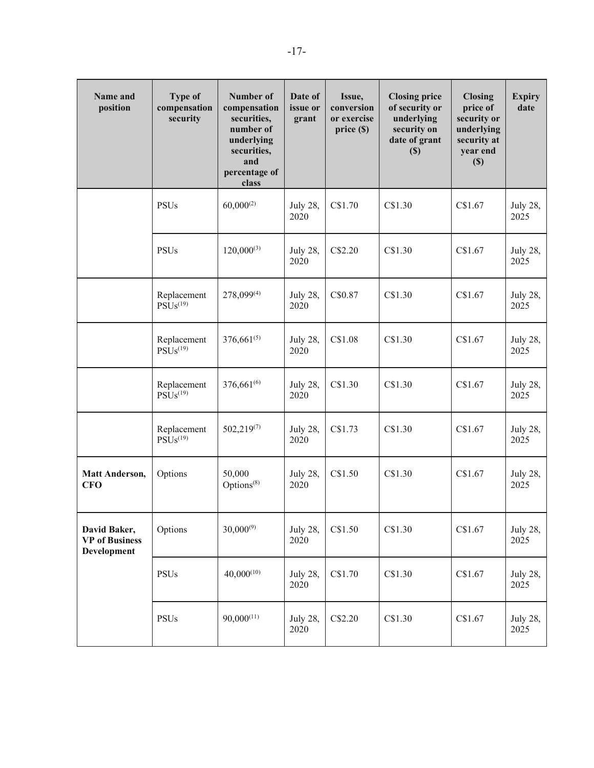| Name and<br>position                                 | <b>Type of</b><br>compensation<br>security      | <b>Number of</b><br>compensation<br>securities,<br>number of<br>underlying<br>securities,<br>and<br>percentage of<br>class | Date of<br>issue or<br>grant | Issue,<br>conversion<br>or exercise<br>price(S) | <b>Closing price</b><br>of security or<br>underlying<br>security on<br>date of grant<br>$(\$)$ | <b>Closing</b><br>price of<br>security or<br>underlying<br>security at<br>year end<br>(S) | <b>Expiry</b><br>date   |
|------------------------------------------------------|-------------------------------------------------|----------------------------------------------------------------------------------------------------------------------------|------------------------------|-------------------------------------------------|------------------------------------------------------------------------------------------------|-------------------------------------------------------------------------------------------|-------------------------|
|                                                      | <b>PSUs</b>                                     | $60,000^{(2)}$                                                                                                             | <b>July 28,</b><br>2020      | C\$1.70                                         | C\$1.30                                                                                        | C\$1.67                                                                                   | July 28,<br>2025        |
|                                                      | <b>PSUs</b>                                     | $120,000^{(3)}$                                                                                                            | July 28,<br>2020             | C\$2.20                                         | C\$1.30                                                                                        | C\$1.67                                                                                   | <b>July 28,</b><br>2025 |
|                                                      | Replacement<br>$\widehat{PSUs}$ <sup>(19)</sup> | 278,099(4)                                                                                                                 | <b>July 28,</b><br>2020      | C\$0.87                                         | C\$1.30                                                                                        | C\$1.67                                                                                   | July 28,<br>2025        |
|                                                      | Replacement<br>$\widehat{PSUs}$ <sup>(19)</sup> | $376,661^{(5)}$                                                                                                            | July 28,<br>2020             | C\$1.08                                         | C\$1.30                                                                                        | C\$1.67                                                                                   | <b>July 28,</b><br>2025 |
|                                                      | Replacement<br>PSUs <sup>(19)</sup>             | $376,661^{(6)}$                                                                                                            | July 28,<br>2020             | C\$1.30                                         | C\$1.30                                                                                        | C\$1.67                                                                                   | July 28,<br>2025        |
|                                                      | Replacement<br>PSUs <sup>(19)</sup>             | $502,219^{(7)}$                                                                                                            | July 28,<br>2020             | C\$1.73                                         | C\$1.30                                                                                        | C\$1.67                                                                                   | July 28,<br>2025        |
| <b>Matt Anderson,</b><br><b>CFO</b>                  | Options                                         | 50,000<br>Options <sup>(8)</sup>                                                                                           | <b>July 28,</b><br>2020      | C\$1.50                                         | C\$1.30                                                                                        | C\$1.67                                                                                   | <b>July 28,</b><br>2025 |
| David Baker,<br><b>VP</b> of Business<br>Development | Options                                         | $30,000^{(9)}$                                                                                                             | July 28,<br>2020             | C\$1.50                                         | C\$1.30                                                                                        | C\$1.67                                                                                   | July 28,<br>2025        |
|                                                      | <b>PSUs</b>                                     | $40,000^{(10)}$                                                                                                            | <b>July 28,</b><br>2020      | C\$1.70                                         | C\$1.30                                                                                        | C\$1.67                                                                                   | July 28,<br>2025        |
|                                                      | <b>PSUs</b>                                     | $90,000^{(11)}$                                                                                                            | <b>July 28,</b><br>2020      | C\$2.20                                         | C\$1.30                                                                                        | C\$1.67                                                                                   | July 28,<br>2025        |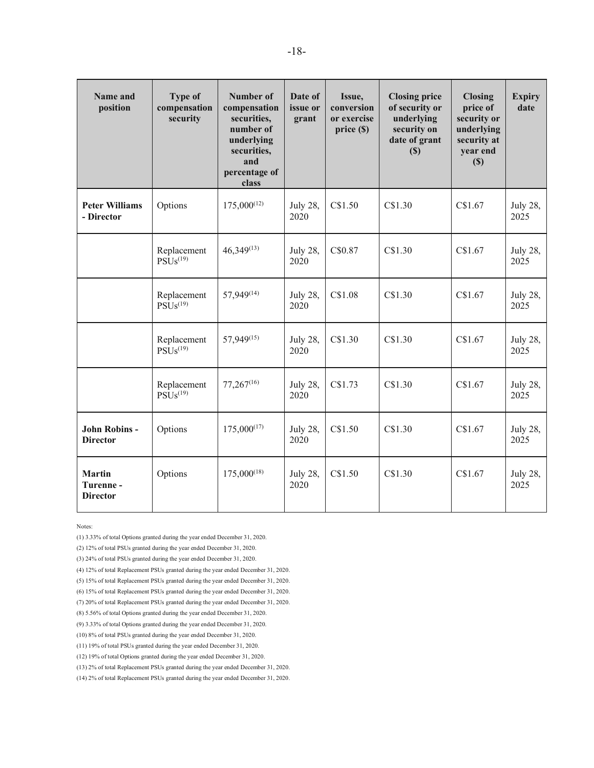| Name and<br>position                         | <b>Type of</b><br>compensation<br>security      | <b>Number of</b><br>compensation<br>securities,<br>number of<br>underlying<br>securities,<br>and<br>percentage of<br>class | Date of<br>issue or<br>grant | Issue,<br>conversion<br>or exercise<br>price (\$) | <b>Closing price</b><br>of security or<br>underlying<br>security on<br>date of grant<br>(S) | <b>Closing</b><br>price of<br>security or<br>underlying<br>security at<br>year end<br>(S) | <b>Expiry</b><br>date   |
|----------------------------------------------|-------------------------------------------------|----------------------------------------------------------------------------------------------------------------------------|------------------------------|---------------------------------------------------|---------------------------------------------------------------------------------------------|-------------------------------------------------------------------------------------------|-------------------------|
| <b>Peter Williams</b><br>- Director          | Options                                         | $175,000^{(12)}$                                                                                                           | July 28,<br>2020             | C\$1.50                                           | C\$1.30                                                                                     | C\$1.67                                                                                   | July 28,<br>2025        |
|                                              | Replacement<br>PSUs <sup>(19)</sup>             | $46,349^{(13)}$                                                                                                            | <b>July 28,</b><br>2020      | C\$0.87                                           | C\$1.30                                                                                     | C\$1.67                                                                                   | July 28,<br>2025        |
|                                              | Replacement<br>PSUs <sup>(19)</sup>             | 57,949(14)                                                                                                                 | July 28,<br>2020             | C\$1.08                                           | C\$1.30                                                                                     | C\$1.67                                                                                   | <b>July 28,</b><br>2025 |
|                                              | Replacement<br>$\widehat{\mathrm{PSUs}}^{(19)}$ | 57,949(15)                                                                                                                 | July 28,<br>2020             | C\$1.30                                           | C\$1.30                                                                                     | C\$1.67                                                                                   | <b>July 28,</b><br>2025 |
|                                              | Replacement<br>$PS\rm \tilde{U}s^{(19)}$        | $77,267^{(16)}$                                                                                                            | <b>July 28,</b><br>2020      | C\$1.73                                           | C\$1.30                                                                                     | C\$1.67                                                                                   | <b>July 28,</b><br>2025 |
| John Robins -<br><b>Director</b>             | Options                                         | $175,000^{(17)}$                                                                                                           | July 28,<br>2020             | C\$1.50                                           | C\$1.30                                                                                     | C\$1.67                                                                                   | <b>July 28,</b><br>2025 |
| <b>Martin</b><br>Turenne-<br><b>Director</b> | Options                                         | $175,000^{(18)}$                                                                                                           | July 28,<br>2020             | C\$1.50                                           | C\$1.30                                                                                     | C\$1.67                                                                                   | July 28,<br>2025        |

Notes:

(1) 3.33% of total Options granted during the year ended December 31, 2020.

(2) 12% of total PSUs granted during the year ended December 31, 2020.

(3) 24% of total PSUs granted during the year ended December 31, 2020.

(4) 12% of total Replacement PSUs granted during the year ended December 31, 2020.

(5) 15% of total Replacement PSUs granted during the year ended December 31, 2020.

(6) 15% of total Replacement PSUs granted during the year ended December 31, 2020.

(7) 20% of total Replacement PSUs granted during the year ended December 31, 2020.

(9) 3.33% of total Options granted during the year ended December 31, 2020.

(10) 8% of total PSUs granted during the year ended December 31, 2020.

(11) 19% of total PSUs granted during the year ended December 31, 2020.

(12) 19% of total Options granted during the year ended December 31, 2020.

(13) 2% of total Replacement PSUs granted during the year ended December 31, 2020.

(14) 2% of total Replacement PSUs granted during the year ended December 31, 2020.

<sup>(8) 5.56%</sup> of total Options granted during the year ended December 31, 2020.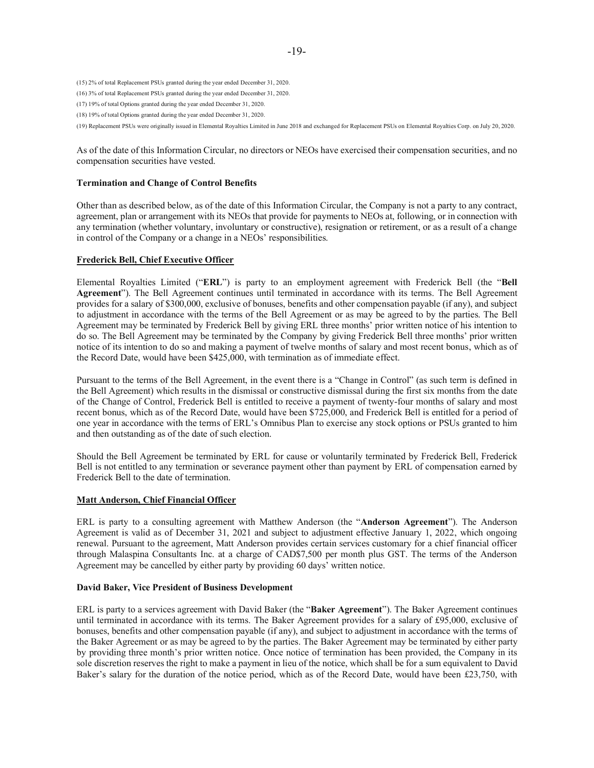(15) 2% of total Replacement PSUs granted during the year ended December 31, 2020.

- (16) 3% of total Replacement PSUs granted during the year ended December 31, 2020.
- (17) 19% of total Options granted during the year ended December 31, 2020.
- (18) 19% of total Options granted during the year ended December 31, 2020.

(19) Replacement PSUs were originally issued in Elemental Royalties Limited in June 2018 and exchanged for Replacement PSUs on Elemental Royalties Corp. on July 20, 2020.

As of the date of this Information Circular, no directors or NEOs have exercised their compensation securities, and no compensation securities have vested.

#### **Termination and Change of Control Benefits**

Other than as described below, as of the date of this Information Circular, the Company is not a party to any contract, agreement, plan or arrangement with its NEOs that provide for payments to NEOs at, following, or in connection with any termination (whether voluntary, involuntary or constructive), resignation or retirement, or as a result of a change in control of the Company or a change in a NEOs' responsibilities.

#### **Frederick Bell, Chief Executive Officer**

Elemental Royalties Limited ("**ERL**") is party to an employment agreement with Frederick Bell (the "**Bell Agreement**"). The Bell Agreement continues until terminated in accordance with its terms. The Bell Agreement provides for a salary of \$300,000, exclusive of bonuses, benefits and other compensation payable (if any), and subject to adjustment in accordance with the terms of the Bell Agreement or as may be agreed to by the parties. The Bell Agreement may be terminated by Frederick Bell by giving ERL three months' prior written notice of his intention to do so. The Bell Agreement may be terminated by the Company by giving Frederick Bell three months' prior written notice of its intention to do so and making a payment of twelve months of salary and most recent bonus, which as of the Record Date, would have been \$425,000, with termination as of immediate effect.

Pursuant to the terms of the Bell Agreement, in the event there is a "Change in Control" (as such term is defined in the Bell Agreement) which results in the dismissal or constructive dismissal during the first six months from the date of the Change of Control, Frederick Bell is entitled to receive a payment of twenty-four months of salary and most recent bonus, which as of the Record Date, would have been \$725,000, and Frederick Bell is entitled for a period of one year in accordance with the terms of ERL's Omnibus Plan to exercise any stock options or PSUs granted to him and then outstanding as of the date of such election.

Should the Bell Agreement be terminated by ERL for cause or voluntarily terminated by Frederick Bell, Frederick Bell is not entitled to any termination or severance payment other than payment by ERL of compensation earned by Frederick Bell to the date of termination.

### **Matt Anderson, Chief Financial Officer**

ERL is party to a consulting agreement with Matthew Anderson (the "**Anderson Agreement**"). The Anderson Agreement is valid as of December 31, 2021 and subject to adjustment effective January 1, 2022, which ongoing renewal. Pursuant to the agreement, Matt Anderson provides certain services customary for a chief financial officer through Malaspina Consultants Inc. at a charge of CAD\$7,500 per month plus GST. The terms of the Anderson Agreement may be cancelled by either party by providing 60 days' written notice.

#### **David Baker, Vice President of Business Development**

ERL is party to a services agreement with David Baker (the "**Baker Agreement**"). The Baker Agreement continues until terminated in accordance with its terms. The Baker Agreement provides for a salary of £95,000, exclusive of bonuses, benefits and other compensation payable (if any), and subject to adjustment in accordance with the terms of the Baker Agreement or as may be agreed to by the parties. The Baker Agreement may be terminated by either party by providing three month's prior written notice. Once notice of termination has been provided, the Company in its sole discretion reserves the right to make a payment in lieu of the notice, which shall be for a sum equivalent to David Baker's salary for the duration of the notice period, which as of the Record Date, would have been £23,750, with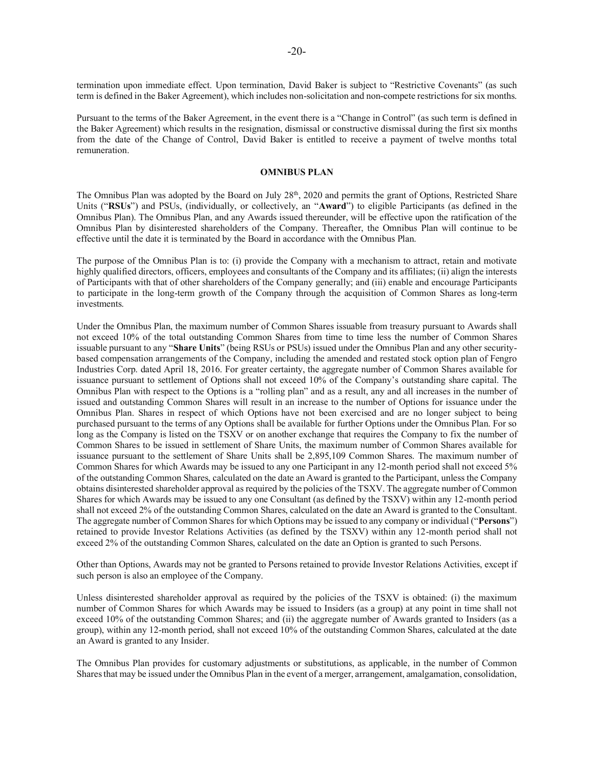termination upon immediate effect. Upon termination, David Baker is subject to "Restrictive Covenants" (as such term is defined in the Baker Agreement), which includes non-solicitation and non-compete restrictions for six months.

Pursuant to the terms of the Baker Agreement, in the event there is a "Change in Control" (as such term is defined in the Baker Agreement) which results in the resignation, dismissal or constructive dismissal during the first six months from the date of the Change of Control, David Baker is entitled to receive a payment of twelve months total remuneration.

#### **OMNIBUS PLAN**

The Omnibus Plan was adopted by the Board on July 28<sup>th</sup>, 2020 and permits the grant of Options, Restricted Share Units ("**RSUs**") and PSUs, (individually, or collectively, an "**Award**") to eligible Participants (as defined in the Omnibus Plan). The Omnibus Plan, and any Awards issued thereunder, will be effective upon the ratification of the Omnibus Plan by disinterested shareholders of the Company. Thereafter, the Omnibus Plan will continue to be effective until the date it is terminated by the Board in accordance with the Omnibus Plan.

The purpose of the Omnibus Plan is to: (i) provide the Company with a mechanism to attract, retain and motivate highly qualified directors, officers, employees and consultants of the Company and its affiliates; (ii) align the interests of Participants with that of other shareholders of the Company generally; and (iii) enable and encourage Participants to participate in the long-term growth of the Company through the acquisition of Common Shares as long-term investments.

Under the Omnibus Plan, the maximum number of Common Shares issuable from treasury pursuant to Awards shall not exceed 10% of the total outstanding Common Shares from time to time less the number of Common Shares issuable pursuant to any "**Share Units**" (being RSUs or PSUs) issued under the Omnibus Plan and any other securitybased compensation arrangements of the Company, including the amended and restated stock option plan of Fengro Industries Corp. dated April 18, 2016. For greater certainty, the aggregate number of Common Shares available for issuance pursuant to settlement of Options shall not exceed 10% of the Company's outstanding share capital. The Omnibus Plan with respect to the Options is a "rolling plan" and as a result, any and all increases in the number of issued and outstanding Common Shares will result in an increase to the number of Options for issuance under the Omnibus Plan. Shares in respect of which Options have not been exercised and are no longer subject to being purchased pursuant to the terms of any Options shall be available for further Options under the Omnibus Plan. For so long as the Company is listed on the TSXV or on another exchange that requires the Company to fix the number of Common Shares to be issued in settlement of Share Units, the maximum number of Common Shares available for issuance pursuant to the settlement of Share Units shall be 2,895,109 Common Shares. The maximum number of Common Shares for which Awards may be issued to any one Participant in any 12-month period shall not exceed 5% of the outstanding Common Shares, calculated on the date an Award is granted to the Participant, unless the Company obtains disinterested shareholder approval as required by the policies of the TSXV. The aggregate number of Common Shares for which Awards may be issued to any one Consultant (as defined by the TSXV) within any 12-month period shall not exceed 2% of the outstanding Common Shares, calculated on the date an Award is granted to the Consultant. The aggregate number of Common Shares for which Options may be issued to any company or individual ("**Persons**") retained to provide Investor Relations Activities (as defined by the TSXV) within any 12-month period shall not exceed 2% of the outstanding Common Shares, calculated on the date an Option is granted to such Persons.

Other than Options, Awards may not be granted to Persons retained to provide Investor Relations Activities, except if such person is also an employee of the Company.

Unless disinterested shareholder approval as required by the policies of the TSXV is obtained: (i) the maximum number of Common Shares for which Awards may be issued to Insiders (as a group) at any point in time shall not exceed 10% of the outstanding Common Shares; and (ii) the aggregate number of Awards granted to Insiders (as a group), within any 12-month period, shall not exceed 10% of the outstanding Common Shares, calculated at the date an Award is granted to any Insider.

The Omnibus Plan provides for customary adjustments or substitutions, as applicable, in the number of Common Shares that may be issued under the Omnibus Plan in the event of a merger, arrangement, amalgamation, consolidation,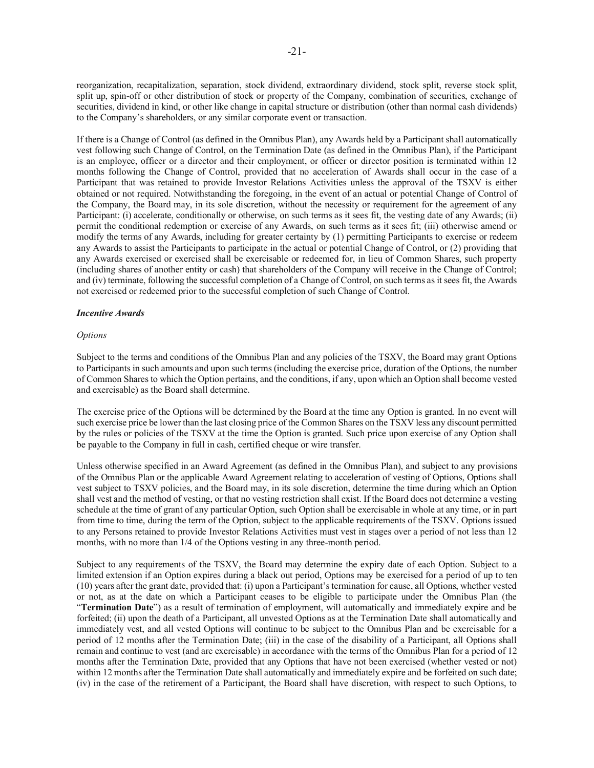reorganization, recapitalization, separation, stock dividend, extraordinary dividend, stock split, reverse stock split, split up, spin-off or other distribution of stock or property of the Company, combination of securities, exchange of securities, dividend in kind, or other like change in capital structure or distribution (other than normal cash dividends) to the Company's shareholders, or any similar corporate event or transaction.

If there is a Change of Control (as defined in the Omnibus Plan), any Awards held by a Participant shall automatically vest following such Change of Control, on the Termination Date (as defined in the Omnibus Plan), if the Participant is an employee, officer or a director and their employment, or officer or director position is terminated within 12 months following the Change of Control, provided that no acceleration of Awards shall occur in the case of a Participant that was retained to provide Investor Relations Activities unless the approval of the TSXV is either obtained or not required. Notwithstanding the foregoing, in the event of an actual or potential Change of Control of the Company, the Board may, in its sole discretion, without the necessity or requirement for the agreement of any Participant: (i) accelerate, conditionally or otherwise, on such terms as it sees fit, the vesting date of any Awards; (ii) permit the conditional redemption or exercise of any Awards, on such terms as it sees fit; (iii) otherwise amend or modify the terms of any Awards, including for greater certainty by (1) permitting Participants to exercise or redeem any Awards to assist the Participants to participate in the actual or potential Change of Control, or (2) providing that any Awards exercised or exercised shall be exercisable or redeemed for, in lieu of Common Shares, such property (including shares of another entity or cash) that shareholders of the Company will receive in the Change of Control; and (iv) terminate, following the successful completion of a Change of Control, on such terms as it sees fit, the Awards not exercised or redeemed prior to the successful completion of such Change of Control.

#### *Incentive Awards*

#### *Options*

Subject to the terms and conditions of the Omnibus Plan and any policies of the TSXV, the Board may grant Options to Participants in such amounts and upon such terms (including the exercise price, duration of the Options, the number of Common Shares to which the Option pertains, and the conditions, if any, upon which an Option shall become vested and exercisable) as the Board shall determine.

The exercise price of the Options will be determined by the Board at the time any Option is granted. In no event will such exercise price be lower than the last closing price of the Common Shares on the TSXV less any discount permitted by the rules or policies of the TSXV at the time the Option is granted. Such price upon exercise of any Option shall be payable to the Company in full in cash, certified cheque or wire transfer.

Unless otherwise specified in an Award Agreement (as defined in the Omnibus Plan), and subject to any provisions of the Omnibus Plan or the applicable Award Agreement relating to acceleration of vesting of Options, Options shall vest subject to TSXV policies, and the Board may, in its sole discretion, determine the time during which an Option shall vest and the method of vesting, or that no vesting restriction shall exist. If the Board does not determine a vesting schedule at the time of grant of any particular Option, such Option shall be exercisable in whole at any time, or in part from time to time, during the term of the Option, subject to the applicable requirements of the TSXV. Options issued to any Persons retained to provide Investor Relations Activities must vest in stages over a period of not less than 12 months, with no more than 1/4 of the Options vesting in any three-month period.

Subject to any requirements of the TSXV, the Board may determine the expiry date of each Option. Subject to a limited extension if an Option expires during a black out period, Options may be exercised for a period of up to ten (10) years after the grant date, provided that: (i) upon a Participant's termination for cause, all Options, whether vested or not, as at the date on which a Participant ceases to be eligible to participate under the Omnibus Plan (the "**Termination Date**") as a result of termination of employment, will automatically and immediately expire and be forfeited; (ii) upon the death of a Participant, all unvested Options as at the Termination Date shall automatically and immediately vest, and all vested Options will continue to be subject to the Omnibus Plan and be exercisable for a period of 12 months after the Termination Date; (iii) in the case of the disability of a Participant, all Options shall remain and continue to vest (and are exercisable) in accordance with the terms of the Omnibus Plan for a period of 12 months after the Termination Date, provided that any Options that have not been exercised (whether vested or not) within 12 months after the Termination Date shall automatically and immediately expire and be forfeited on such date; (iv) in the case of the retirement of a Participant, the Board shall have discretion, with respect to such Options, to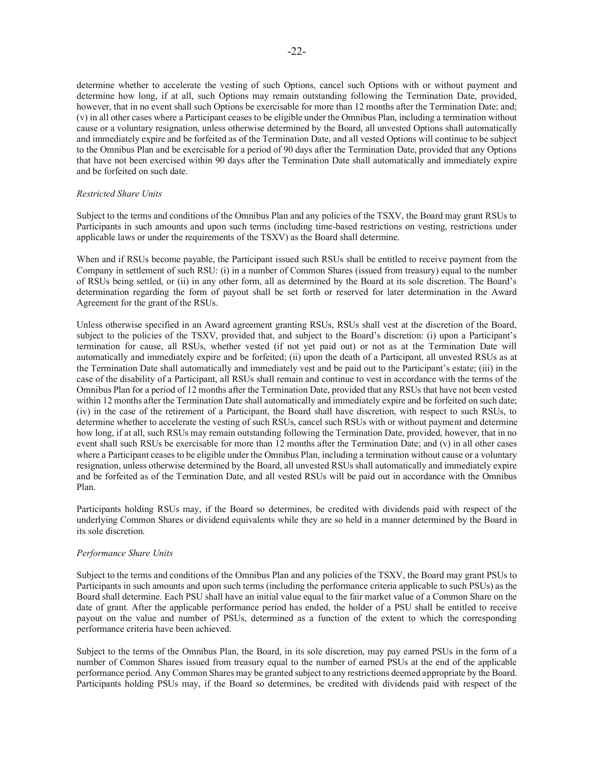(v) in all other cases where a Participant ceases to be eligible under the Omnibus Plan, including a termination without cause or a voluntary resignation, unless otherwise determined by the Board, all unvested Options shall automatically and immediately expire and be forfeited as of the Termination Date, and all vested Options will continue to be subject to the Omnibus Plan and be exercisable for a period of 90 days after the Termination Date, provided that any Options that have not been exercised within 90 days after the Termination Date shall automatically and immediately expire and be forfeited on such date.

## *Restricted Share Units*

Subject to the terms and conditions of the Omnibus Plan and any policies of the TSXV, the Board may grant RSUs to Participants in such amounts and upon such terms (including time-based restrictions on vesting, restrictions under applicable laws or under the requirements of the TSXV) as the Board shall determine.

When and if RSUs become payable, the Participant issued such RSUs shall be entitled to receive payment from the Company in settlement of such RSU: (i) in a number of Common Shares (issued from treasury) equal to the number of RSUs being settled, or (ii) in any other form, all as determined by the Board at its sole discretion. The Board's determination regarding the form of payout shall be set forth or reserved for later determination in the Award Agreement for the grant of the RSUs.

Unless otherwise specified in an Award agreement granting RSUs, RSUs shall vest at the discretion of the Board, subject to the policies of the TSXV, provided that, and subject to the Board's discretion: (i) upon a Participant's termination for cause, all RSUs, whether vested (if not yet paid out) or not as at the Termination Date will automatically and immediately expire and be forfeited; (ii) upon the death of a Participant, all unvested RSUs as at the Termination Date shall automatically and immediately vest and be paid out to the Participant's estate; (iii) in the case of the disability of a Participant, all RSUs shall remain and continue to vest in accordance with the terms of the Omnibus Plan for a period of 12 months after the Termination Date, provided that any RSUs that have not been vested within 12 months after the Termination Date shall automatically and immediately expire and be forfeited on such date; (iv) in the case of the retirement of a Participant, the Board shall have discretion, with respect to such RSUs, to determine whether to accelerate the vesting of such RSUs, cancel such RSUs with or without payment and determine how long, if at all, such RSUs may remain outstanding following the Termination Date, provided, however, that in no event shall such RSUs be exercisable for more than 12 months after the Termination Date; and (v) in all other cases where a Participant ceases to be eligible under the Omnibus Plan, including a termination without cause or a voluntary resignation, unless otherwise determined by the Board, all unvested RSUs shall automatically and immediately expire and be forfeited as of the Termination Date, and all vested RSUs will be paid out in accordance with the Omnibus Plan.

Participants holding RSUs may, if the Board so determines, be credited with dividends paid with respect of the underlying Common Shares or dividend equivalents while they are so held in a manner determined by the Board in its sole discretion.

### *Performance Share Units*

Subject to the terms and conditions of the Omnibus Plan and any policies of the TSXV, the Board may grant PSUs to Participants in such amounts and upon such terms (including the performance criteria applicable to such PSUs) as the Board shall determine. Each PSU shall have an initial value equal to the fair market value of a Common Share on the date of grant. After the applicable performance period has ended, the holder of a PSU shall be entitled to receive payout on the value and number of PSUs, determined as a function of the extent to which the corresponding performance criteria have been achieved.

Subject to the terms of the Omnibus Plan, the Board, in its sole discretion, may pay earned PSUs in the form of a number of Common Shares issued from treasury equal to the number of earned PSUs at the end of the applicable performance period. Any Common Shares may be granted subject to any restrictions deemed appropriate by the Board. Participants holding PSUs may, if the Board so determines, be credited with dividends paid with respect of the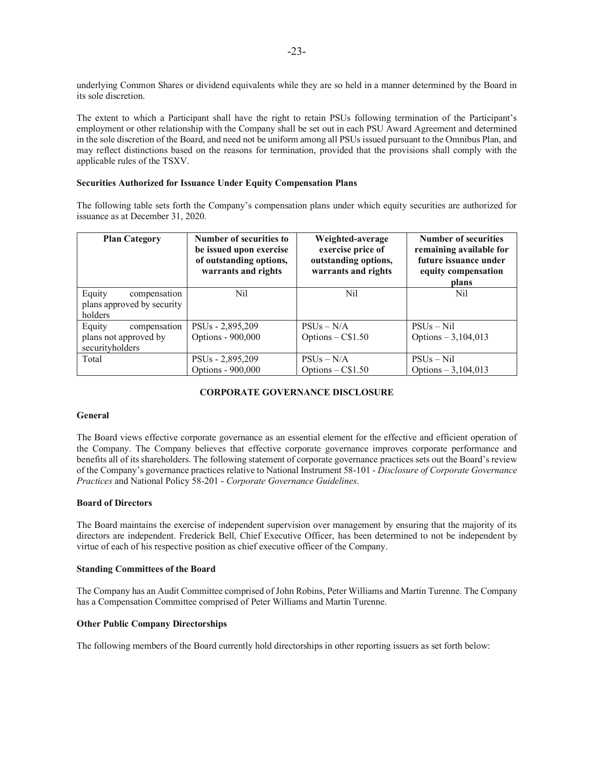underlying Common Shares or dividend equivalents while they are so held in a manner determined by the Board in its sole discretion.

The extent to which a Participant shall have the right to retain PSUs following termination of the Participant's employment or other relationship with the Company shall be set out in each PSU Award Agreement and determined in the sole discretion of the Board, and need not be uniform among all PSUs issued pursuant to the Omnibus Plan, and may reflect distinctions based on the reasons for termination, provided that the provisions shall comply with the applicable rules of the TSXV.

#### **Securities Authorized for Issuance Under Equity Compensation Plans**

The following table sets forth the Company's compensation plans under which equity securities are authorized for issuance as at December 31, 2020.

| <b>Plan Category</b>                                            | Number of securities to<br>be issued upon exercise<br>of outstanding options,<br>warrants and rights | Weighted-average<br>exercise price of<br>outstanding options,<br>warrants and rights | <b>Number of securities</b><br>remaining available for<br>future issuance under<br>equity compensation<br>plans |
|-----------------------------------------------------------------|------------------------------------------------------------------------------------------------------|--------------------------------------------------------------------------------------|-----------------------------------------------------------------------------------------------------------------|
| Equity<br>compensation<br>plans approved by security<br>holders | Nil                                                                                                  | Nil                                                                                  | Nil                                                                                                             |
| compensation<br>Equity                                          | PSU <sub>s</sub> - 2,895,209                                                                         | $PSUs - N/A$                                                                         | $PSUs - Nil$                                                                                                    |
| plans not approved by<br>securityholders                        | Options - 900,000                                                                                    | Options $-C$1.50$                                                                    | Options $-3,104,013$                                                                                            |
| Total                                                           | PSU <sub>s</sub> - 2,895,209                                                                         | $PSUs - N/A$                                                                         | $PSUs-Nil$                                                                                                      |
|                                                                 | Options - 900,000                                                                                    | Options $-C$1.50$                                                                    | Options $-3,104,013$                                                                                            |

### **CORPORATE GOVERNANCE DISCLOSURE**

#### **General**

The Board views effective corporate governance as an essential element for the effective and efficient operation of the Company. The Company believes that effective corporate governance improves corporate performance and benefits all of its shareholders. The following statement of corporate governance practices sets out the Board's review of the Company's governance practices relative to National Instrument 58-101 - *Disclosure of Corporate Governance Practices* and National Policy 58-201 - *Corporate Governance Guidelines*.

#### **Board of Directors**

The Board maintains the exercise of independent supervision over management by ensuring that the majority of its directors are independent. Frederick Bell, Chief Executive Officer, has been determined to not be independent by virtue of each of his respective position as chief executive officer of the Company.

#### **Standing Committees of the Board**

The Company has an Audit Committee comprised of John Robins, Peter Williams and Martin Turenne. The Company has a Compensation Committee comprised of Peter Williams and Martin Turenne.

#### **Other Public Company Directorships**

The following members of the Board currently hold directorships in other reporting issuers as set forth below: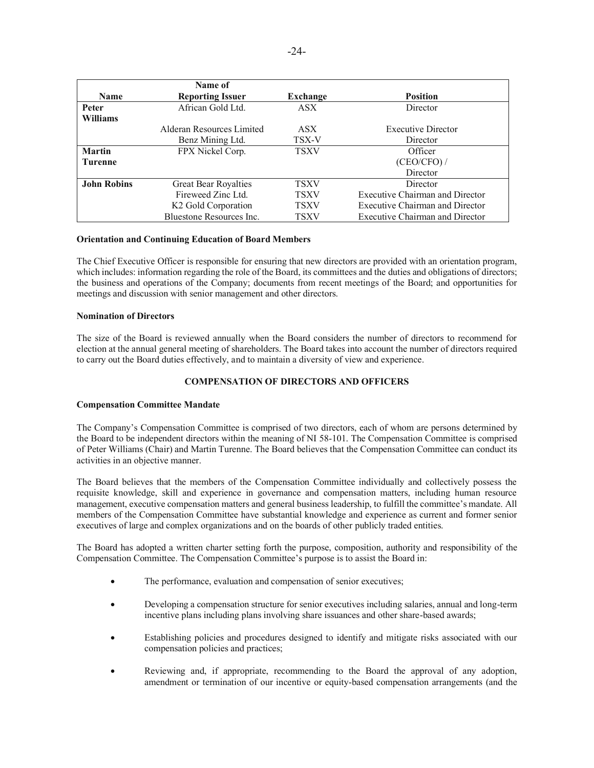|                    | Name of                         |                  |                                        |
|--------------------|---------------------------------|------------------|----------------------------------------|
| <b>Name</b>        | <b>Reporting Issuer</b>         | Exchange         | <b>Position</b>                        |
| <b>Peter</b>       | African Gold Ltd.               | <b>ASX</b>       | Director                               |
| <b>Williams</b>    |                                 |                  |                                        |
|                    | Alderan Resources Limited       | ASX <sup>1</sup> | <b>Executive Director</b>              |
|                    | Benz Mining Ltd.                | TSX-V            | Director                               |
| <b>Martin</b>      | FPX Nickel Corp.                | <b>TSXV</b>      | Officer                                |
| <b>Turenne</b>     |                                 |                  | (CEO/CFO) /                            |
|                    |                                 |                  | Director                               |
| <b>John Robins</b> | <b>Great Bear Royalties</b>     | <b>TSXV</b>      | Director                               |
|                    | Fireweed Zinc Ltd.              | <b>TSXV</b>      | <b>Executive Chairman and Director</b> |
|                    | K <sub>2</sub> Gold Corporation | <b>TSXV</b>      | Executive Chairman and Director        |
|                    | Bluestone Resources Inc.        | <b>TSXV</b>      | <b>Executive Chairman and Director</b> |

### **Orientation and Continuing Education of Board Members**

The Chief Executive Officer is responsible for ensuring that new directors are provided with an orientation program, which includes: information regarding the role of the Board, its committees and the duties and obligations of directors; the business and operations of the Company; documents from recent meetings of the Board; and opportunities for meetings and discussion with senior management and other directors.

## **Nomination of Directors**

The size of the Board is reviewed annually when the Board considers the number of directors to recommend for election at the annual general meeting of shareholders. The Board takes into account the number of directors required to carry out the Board duties effectively, and to maintain a diversity of view and experience.

## **COMPENSATION OF DIRECTORS AND OFFICERS**

### **Compensation Committee Mandate**

The Company's Compensation Committee is comprised of two directors, each of whom are persons determined by the Board to be independent directors within the meaning of NI 58-101. The Compensation Committee is comprised of Peter Williams (Chair) and Martin Turenne. The Board believes that the Compensation Committee can conduct its activities in an objective manner.

The Board believes that the members of the Compensation Committee individually and collectively possess the requisite knowledge, skill and experience in governance and compensation matters, including human resource management, executive compensation matters and general business leadership, to fulfill the committee's mandate. All members of the Compensation Committee have substantial knowledge and experience as current and former senior executives of large and complex organizations and on the boards of other publicly traded entities.

The Board has adopted a written charter setting forth the purpose, composition, authority and responsibility of the Compensation Committee. The Compensation Committee's purpose is to assist the Board in:

- The performance, evaluation and compensation of senior executives;
- Developing a compensation structure for senior executives including salaries, annual and long-term incentive plans including plans involving share issuances and other share-based awards;
- Establishing policies and procedures designed to identify and mitigate risks associated with our compensation policies and practices;
- x Reviewing and, if appropriate, recommending to the Board the approval of any adoption, amendment or termination of our incentive or equity-based compensation arrangements (and the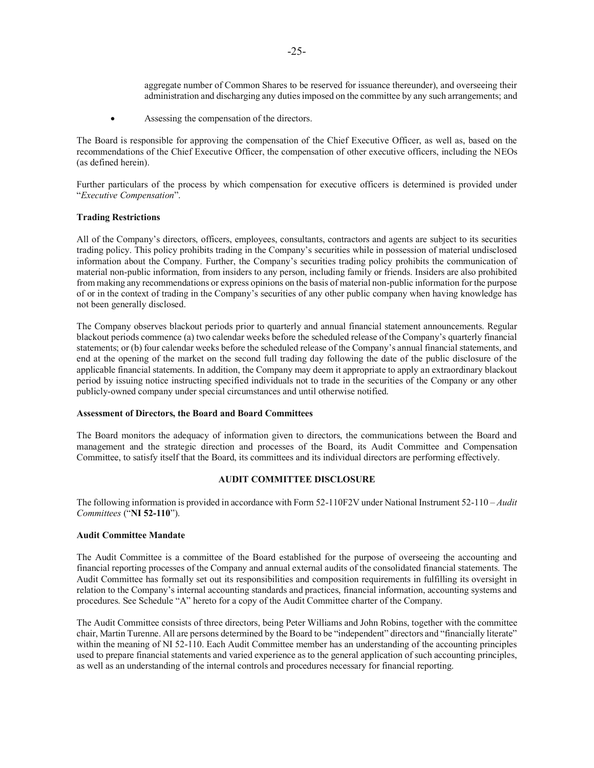aggregate number of Common Shares to be reserved for issuance thereunder), and overseeing their administration and discharging any duties imposed on the committee by any such arrangements; and

• Assessing the compensation of the directors.

The Board is responsible for approving the compensation of the Chief Executive Officer, as well as, based on the recommendations of the Chief Executive Officer, the compensation of other executive officers, including the NEOs (as defined herein).

Further particulars of the process by which compensation for executive officers is determined is provided under "*Executive Compensation*".

#### **Trading Restrictions**

All of the Company's directors, officers, employees, consultants, contractors and agents are subject to its securities trading policy. This policy prohibits trading in the Company's securities while in possession of material undisclosed information about the Company. Further, the Company's securities trading policy prohibits the communication of material non-public information, from insiders to any person, including family or friends. Insiders are also prohibited from making any recommendations or express opinions on the basis of material non-public information for the purpose of or in the context of trading in the Company's securities of any other public company when having knowledge has not been generally disclosed.

The Company observes blackout periods prior to quarterly and annual financial statement announcements. Regular blackout periods commence (a) two calendar weeks before the scheduled release of the Company's quarterly financial statements; or (b) four calendar weeks before the scheduled release of the Company's annual financial statements, and end at the opening of the market on the second full trading day following the date of the public disclosure of the applicable financial statements. In addition, the Company may deem it appropriate to apply an extraordinary blackout period by issuing notice instructing specified individuals not to trade in the securities of the Company or any other publicly-owned company under special circumstances and until otherwise notified.

#### **Assessment of Directors, the Board and Board Committees**

The Board monitors the adequacy of information given to directors, the communications between the Board and management and the strategic direction and processes of the Board, its Audit Committee and Compensation Committee, to satisfy itself that the Board, its committees and its individual directors are performing effectively.

### **AUDIT COMMITTEE DISCLOSURE**

The following information is provided in accordance with Form 52-110F2V under National Instrument 52-110 – *Audit Committees* ("**NI 52-110**").

#### **Audit Committee Mandate**

The Audit Committee is a committee of the Board established for the purpose of overseeing the accounting and financial reporting processes of the Company and annual external audits of the consolidated financial statements. The Audit Committee has formally set out its responsibilities and composition requirements in fulfilling its oversight in relation to the Company's internal accounting standards and practices, financial information, accounting systems and procedures. See Schedule "A" hereto for a copy of the Audit Committee charter of the Company.

The Audit Committee consists of three directors, being Peter Williams and John Robins, together with the committee chair, Martin Turenne. All are persons determined by the Board to be "independent" directors and "financially literate" within the meaning of NI 52-110. Each Audit Committee member has an understanding of the accounting principles used to prepare financial statements and varied experience as to the general application of such accounting principles, as well as an understanding of the internal controls and procedures necessary for financial reporting.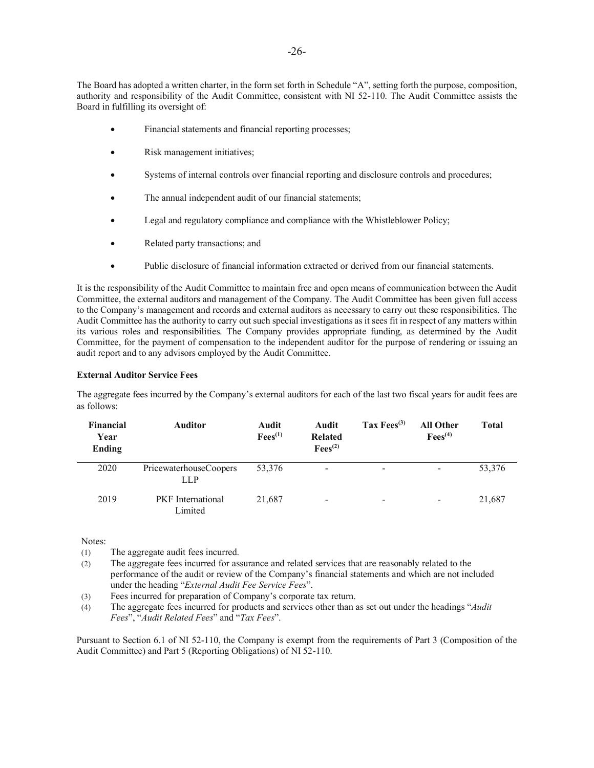The Board has adopted a written charter, in the form set forth in Schedule "A", setting forth the purpose, composition, authority and responsibility of the Audit Committee, consistent with NI 52-110. The Audit Committee assists the Board in fulfilling its oversight of:

- Financial statements and financial reporting processes;
- Risk management initiatives;
- Systems of internal controls over financial reporting and disclosure controls and procedures;
- The annual independent audit of our financial statements;
- Legal and regulatory compliance and compliance with the Whistleblower Policy;
- Related party transactions; and
- Public disclosure of financial information extracted or derived from our financial statements.

It is the responsibility of the Audit Committee to maintain free and open means of communication between the Audit Committee, the external auditors and management of the Company. The Audit Committee has been given full access to the Company's management and records and external auditors as necessary to carry out these responsibilities. The Audit Committee has the authority to carry out such special investigations as it sees fit in respect of any matters within its various roles and responsibilities. The Company provides appropriate funding, as determined by the Audit Committee, for the payment of compensation to the independent auditor for the purpose of rendering or issuing an audit report and to any advisors employed by the Audit Committee.

### **External Auditor Service Fees**

The aggregate fees incurred by the Company's external auditors for each of the last two fiscal years for audit fees are as follows:

| <b>Financial</b><br>Year<br><b>Ending</b> | <b>Auditor</b>                       | Audit<br>$Fees^{(1)}$ | Audit<br><b>Related</b><br>$\text{Fees}^{(2)}$ | Tax $Fees^{(3)}$         | <b>All Other</b><br>$\text{Fees}^{(4)}$ | <b>Total</b> |
|-------------------------------------------|--------------------------------------|-----------------------|------------------------------------------------|--------------------------|-----------------------------------------|--------------|
| 2020                                      | PricewaterhouseCoopers<br><b>LLP</b> | 53,376                | $\overline{\phantom{a}}$                       | -                        |                                         | 53,376       |
| 2019                                      | <b>PKF</b> International<br>Limited  | 21,687                | -                                              | $\overline{\phantom{0}}$ | -                                       | 21,687       |

Notes:

- (1) The aggregate audit fees incurred.
- (2) The aggregate fees incurred for assurance and related services that are reasonably related to the performance of the audit or review of the Company's financial statements and which are not included under the heading "*External Audit Fee Service Fees*".
- (3) Fees incurred for preparation of Company's corporate tax return.
- (4) The aggregate fees incurred for products and services other than as set out under the headings "*Audit Fees*", "*Audit Related Fees*" and "*Tax Fees*".

Pursuant to Section 6.1 of NI 52-110, the Company is exempt from the requirements of Part 3 (Composition of the Audit Committee) and Part 5 (Reporting Obligations) of NI 52-110.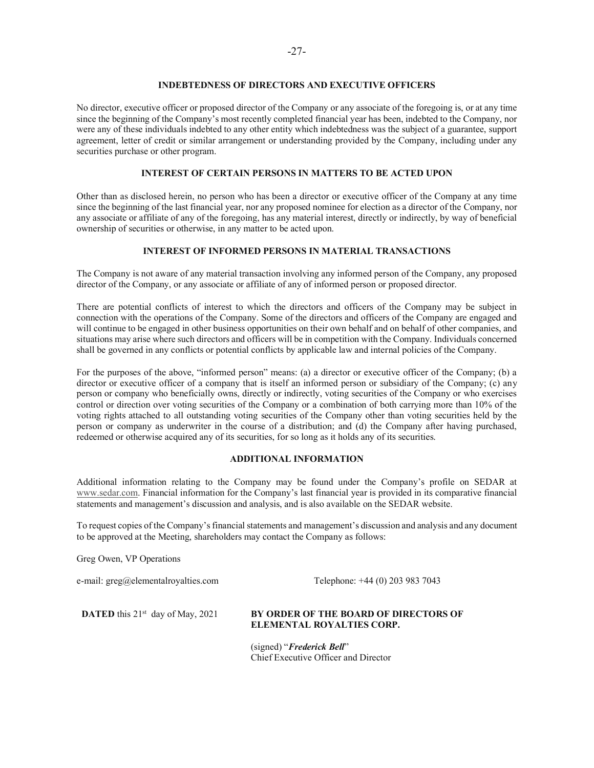### **INDEBTEDNESS OF DIRECTORS AND EXECUTIVE OFFICERS**

No director, executive officer or proposed director of the Company or any associate of the foregoing is, or at any time since the beginning of the Company's most recently completed financial year has been, indebted to the Company, nor were any of these individuals indebted to any other entity which indebtedness was the subject of a guarantee, support agreement, letter of credit or similar arrangement or understanding provided by the Company, including under any securities purchase or other program.

### **INTEREST OF CERTAIN PERSONS IN MATTERS TO BE ACTED UPON**

Other than as disclosed herein, no person who has been a director or executive officer of the Company at any time since the beginning of the last financial year, nor any proposed nominee for election as a director of the Company, nor any associate or affiliate of any of the foregoing, has any material interest, directly or indirectly, by way of beneficial ownership of securities or otherwise, in any matter to be acted upon.

### **INTEREST OF INFORMED PERSONS IN MATERIAL TRANSACTIONS**

The Company is not aware of any material transaction involving any informed person of the Company, any proposed director of the Company, or any associate or affiliate of any of informed person or proposed director.

There are potential conflicts of interest to which the directors and officers of the Company may be subject in connection with the operations of the Company. Some of the directors and officers of the Company are engaged and will continue to be engaged in other business opportunities on their own behalf and on behalf of other companies, and situations may arise where such directors and officers will be in competition with the Company. Individuals concerned shall be governed in any conflicts or potential conflicts by applicable law and internal policies of the Company.

For the purposes of the above, "informed person" means: (a) a director or executive officer of the Company; (b) a director or executive officer of a company that is itself an informed person or subsidiary of the Company; (c) any person or company who beneficially owns, directly or indirectly, voting securities of the Company or who exercises control or direction over voting securities of the Company or a combination of both carrying more than 10% of the voting rights attached to all outstanding voting securities of the Company other than voting securities held by the person or company as underwriter in the course of a distribution; and (d) the Company after having purchased, redeemed or otherwise acquired any of its securities, for so long as it holds any of its securities.

### **ADDITIONAL INFORMATION**

Additional information relating to the Company may be found under the Company's profile on SEDAR at www.sedar.com. Financial information for the Company's last financial year is provided in its comparative financial statements and management's discussion and analysis, and is also available on the SEDAR website.

To request copies of the Company's financial statements and management's discussion and analysis and any document to be approved at the Meeting, shareholders may contact the Company as follows:

Greg Owen, VP Operations

e-mail: greg@elementalroyalties.com Telephone: +44 (0) 203 983 7043

#### **DATED** this 21<sup>st</sup> day of May, 2021 **BY ORDER OF THE BOARD OF DIRECTORS OF ELEMENTAL ROYALTIES CORP.**

(signed) "*Frederick Bell*" Chief Executive Officer and Director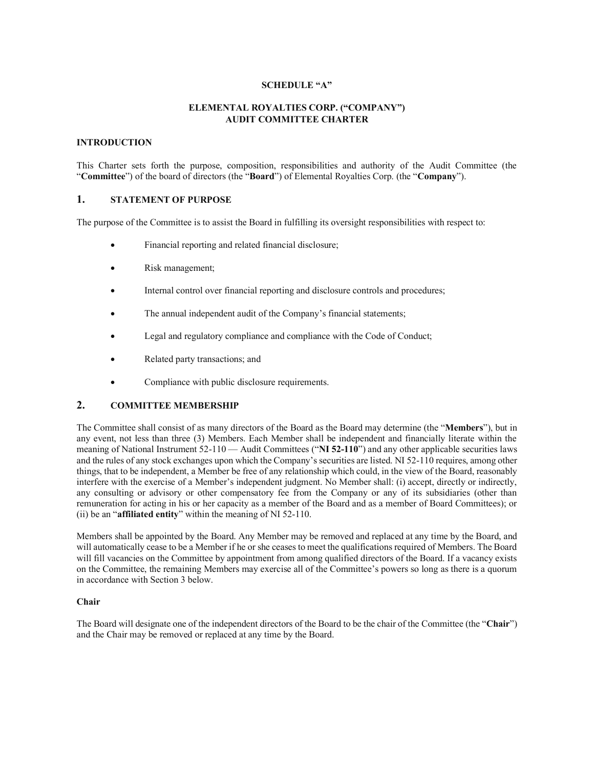### **SCHEDULE "A"**

## **ELEMENTAL ROYALTIES CORP. ("COMPANY") AUDIT COMMITTEE CHARTER**

### **INTRODUCTION**

This Charter sets forth the purpose, composition, responsibilities and authority of the Audit Committee (the "**Committee**") of the board of directors (the "**Board**") of Elemental Royalties Corp. (the "**Company**").

## **1. STATEMENT OF PURPOSE**

The purpose of the Committee is to assist the Board in fulfilling its oversight responsibilities with respect to:

- Financial reporting and related financial disclosure;
- Risk management;
- Internal control over financial reporting and disclosure controls and procedures;
- The annual independent audit of the Company's financial statements;
- Legal and regulatory compliance and compliance with the Code of Conduct;
- Related party transactions; and
- Compliance with public disclosure requirements.

## **2. COMMITTEE MEMBERSHIP**

The Committee shall consist of as many directors of the Board as the Board may determine (the "**Members**"), but in any event, not less than three (3) Members. Each Member shall be independent and financially literate within the meaning of National Instrument 52-110 — Audit Committees ("**NI 52-110**") and any other applicable securities laws and the rules of any stock exchanges upon which the Company's securities are listed. NI 52-110 requires, among other things, that to be independent, a Member be free of any relationship which could, in the view of the Board, reasonably interfere with the exercise of a Member's independent judgment. No Member shall: (i) accept, directly or indirectly, any consulting or advisory or other compensatory fee from the Company or any of its subsidiaries (other than remuneration for acting in his or her capacity as a member of the Board and as a member of Board Committees); or (ii) be an "**affiliated entity**" within the meaning of NI 52-110.

Members shall be appointed by the Board. Any Member may be removed and replaced at any time by the Board, and will automatically cease to be a Member if he or she ceases to meet the qualifications required of Members. The Board will fill vacancies on the Committee by appointment from among qualified directors of the Board. If a vacancy exists on the Committee, the remaining Members may exercise all of the Committee's powers so long as there is a quorum in accordance with Section 3 below.

#### **Chair**

The Board will designate one of the independent directors of the Board to be the chair of the Committee (the "**Chair**") and the Chair may be removed or replaced at any time by the Board.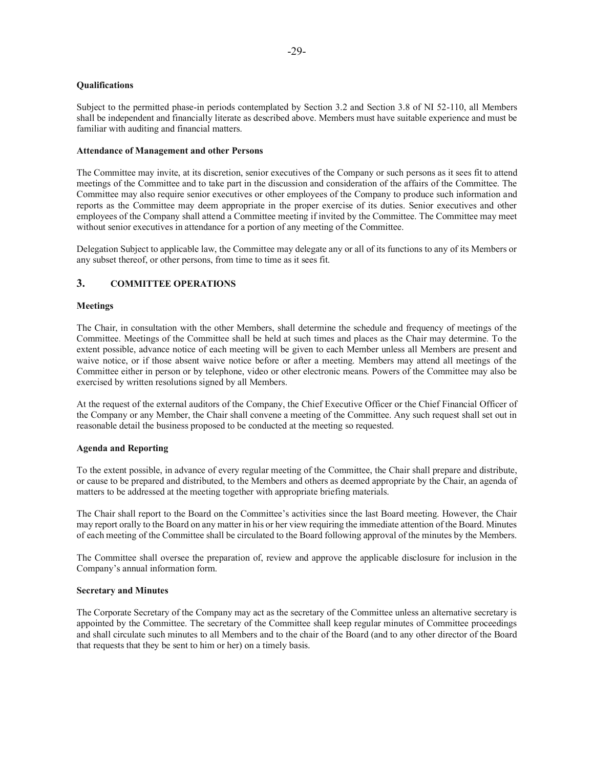### **Qualifications**

Subject to the permitted phase-in periods contemplated by Section 3.2 and Section 3.8 of NI 52-110, all Members shall be independent and financially literate as described above. Members must have suitable experience and must be familiar with auditing and financial matters.

#### **Attendance of Management and other Persons**

The Committee may invite, at its discretion, senior executives of the Company or such persons as it sees fit to attend meetings of the Committee and to take part in the discussion and consideration of the affairs of the Committee. The Committee may also require senior executives or other employees of the Company to produce such information and reports as the Committee may deem appropriate in the proper exercise of its duties. Senior executives and other employees of the Company shall attend a Committee meeting if invited by the Committee. The Committee may meet without senior executives in attendance for a portion of any meeting of the Committee.

Delegation Subject to applicable law, the Committee may delegate any or all of its functions to any of its Members or any subset thereof, or other persons, from time to time as it sees fit.

## **3. COMMITTEE OPERATIONS**

#### **Meetings**

The Chair, in consultation with the other Members, shall determine the schedule and frequency of meetings of the Committee. Meetings of the Committee shall be held at such times and places as the Chair may determine. To the extent possible, advance notice of each meeting will be given to each Member unless all Members are present and waive notice, or if those absent waive notice before or after a meeting. Members may attend all meetings of the Committee either in person or by telephone, video or other electronic means. Powers of the Committee may also be exercised by written resolutions signed by all Members.

At the request of the external auditors of the Company, the Chief Executive Officer or the Chief Financial Officer of the Company or any Member, the Chair shall convene a meeting of the Committee. Any such request shall set out in reasonable detail the business proposed to be conducted at the meeting so requested.

#### **Agenda and Reporting**

To the extent possible, in advance of every regular meeting of the Committee, the Chair shall prepare and distribute, or cause to be prepared and distributed, to the Members and others as deemed appropriate by the Chair, an agenda of matters to be addressed at the meeting together with appropriate briefing materials.

The Chair shall report to the Board on the Committee's activities since the last Board meeting. However, the Chair may report orally to the Board on any matter in his or her view requiring the immediate attention of the Board. Minutes of each meeting of the Committee shall be circulated to the Board following approval of the minutes by the Members.

The Committee shall oversee the preparation of, review and approve the applicable disclosure for inclusion in the Company's annual information form.

#### **Secretary and Minutes**

The Corporate Secretary of the Company may act as the secretary of the Committee unless an alternative secretary is appointed by the Committee. The secretary of the Committee shall keep regular minutes of Committee proceedings and shall circulate such minutes to all Members and to the chair of the Board (and to any other director of the Board that requests that they be sent to him or her) on a timely basis.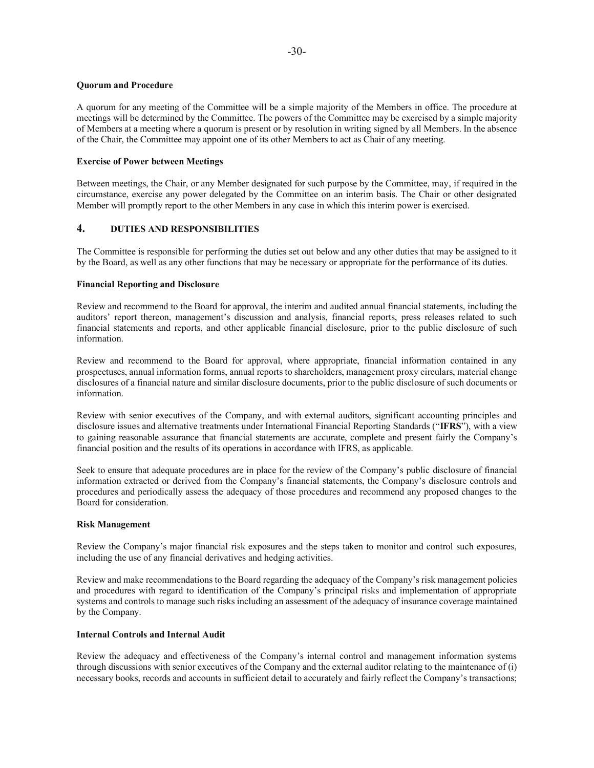### **Quorum and Procedure**

A quorum for any meeting of the Committee will be a simple majority of the Members in office. The procedure at meetings will be determined by the Committee. The powers of the Committee may be exercised by a simple majority of Members at a meeting where a quorum is present or by resolution in writing signed by all Members. In the absence of the Chair, the Committee may appoint one of its other Members to act as Chair of any meeting.

#### **Exercise of Power between Meetings**

Between meetings, the Chair, or any Member designated for such purpose by the Committee, may, if required in the circumstance, exercise any power delegated by the Committee on an interim basis. The Chair or other designated Member will promptly report to the other Members in any case in which this interim power is exercised.

## **4. DUTIES AND RESPONSIBILITIES**

The Committee is responsible for performing the duties set out below and any other duties that may be assigned to it by the Board, as well as any other functions that may be necessary or appropriate for the performance of its duties.

### **Financial Reporting and Disclosure**

Review and recommend to the Board for approval, the interim and audited annual financial statements, including the auditors' report thereon, management's discussion and analysis, financial reports, press releases related to such financial statements and reports, and other applicable financial disclosure, prior to the public disclosure of such information.

Review and recommend to the Board for approval, where appropriate, financial information contained in any prospectuses, annual information forms, annual reports to shareholders, management proxy circulars, material change disclosures of a financial nature and similar disclosure documents, prior to the public disclosure of such documents or information.

Review with senior executives of the Company, and with external auditors, significant accounting principles and disclosure issues and alternative treatments under International Financial Reporting Standards ("**IFRS**"), with a view to gaining reasonable assurance that financial statements are accurate, complete and present fairly the Company's financial position and the results of its operations in accordance with IFRS, as applicable.

Seek to ensure that adequate procedures are in place for the review of the Company's public disclosure of financial information extracted or derived from the Company's financial statements, the Company's disclosure controls and procedures and periodically assess the adequacy of those procedures and recommend any proposed changes to the Board for consideration.

#### **Risk Management**

Review the Company's major financial risk exposures and the steps taken to monitor and control such exposures, including the use of any financial derivatives and hedging activities.

Review and make recommendations to the Board regarding the adequacy of the Company's risk management policies and procedures with regard to identification of the Company's principal risks and implementation of appropriate systems and controls to manage such risks including an assessment of the adequacy of insurance coverage maintained by the Company.

### **Internal Controls and Internal Audit**

Review the adequacy and effectiveness of the Company's internal control and management information systems through discussions with senior executives of the Company and the external auditor relating to the maintenance of (i) necessary books, records and accounts in sufficient detail to accurately and fairly reflect the Company's transactions;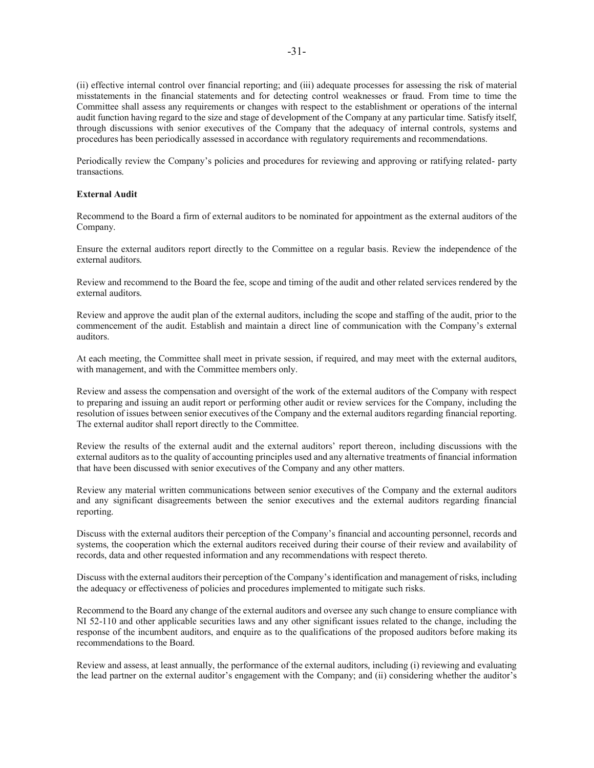(ii) effective internal control over financial reporting; and (iii) adequate processes for assessing the risk of material misstatements in the financial statements and for detecting control weaknesses or fraud. From time to time the Committee shall assess any requirements or changes with respect to the establishment or operations of the internal audit function having regard to the size and stage of development of the Company at any particular time. Satisfy itself, through discussions with senior executives of the Company that the adequacy of internal controls, systems and procedures has been periodically assessed in accordance with regulatory requirements and recommendations.

Periodically review the Company's policies and procedures for reviewing and approving or ratifying related- party transactions.

#### **External Audit**

Recommend to the Board a firm of external auditors to be nominated for appointment as the external auditors of the Company.

Ensure the external auditors report directly to the Committee on a regular basis. Review the independence of the external auditors.

Review and recommend to the Board the fee, scope and timing of the audit and other related services rendered by the external auditors.

Review and approve the audit plan of the external auditors, including the scope and staffing of the audit, prior to the commencement of the audit. Establish and maintain a direct line of communication with the Company's external auditors.

At each meeting, the Committee shall meet in private session, if required, and may meet with the external auditors, with management, and with the Committee members only.

Review and assess the compensation and oversight of the work of the external auditors of the Company with respect to preparing and issuing an audit report or performing other audit or review services for the Company, including the resolution of issues between senior executives of the Company and the external auditors regarding financial reporting. The external auditor shall report directly to the Committee.

Review the results of the external audit and the external auditors' report thereon, including discussions with the external auditors as to the quality of accounting principles used and any alternative treatments of financial information that have been discussed with senior executives of the Company and any other matters.

Review any material written communications between senior executives of the Company and the external auditors and any significant disagreements between the senior executives and the external auditors regarding financial reporting.

Discuss with the external auditors their perception of the Company's financial and accounting personnel, records and systems, the cooperation which the external auditors received during their course of their review and availability of records, data and other requested information and any recommendations with respect thereto.

Discuss with the external auditors their perception of the Company's identification and management of risks, including the adequacy or effectiveness of policies and procedures implemented to mitigate such risks.

Recommend to the Board any change of the external auditors and oversee any such change to ensure compliance with NI 52-110 and other applicable securities laws and any other significant issues related to the change, including the response of the incumbent auditors, and enquire as to the qualifications of the proposed auditors before making its recommendations to the Board.

Review and assess, at least annually, the performance of the external auditors, including (i) reviewing and evaluating the lead partner on the external auditor's engagement with the Company; and (ii) considering whether the auditor's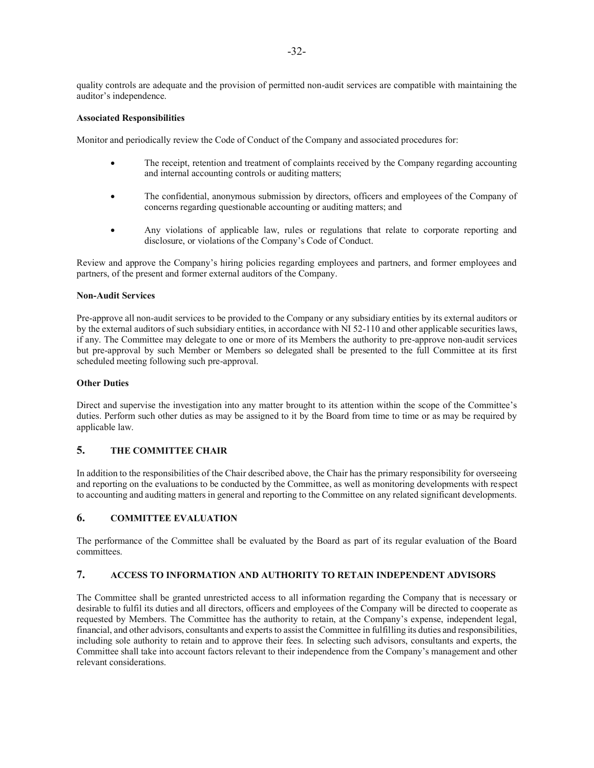quality controls are adequate and the provision of permitted non-audit services are compatible with maintaining the auditor's independence.

#### **Associated Responsibilities**

Monitor and periodically review the Code of Conduct of the Company and associated procedures for:

- The receipt, retention and treatment of complaints received by the Company regarding accounting and internal accounting controls or auditing matters;
- The confidential, anonymous submission by directors, officers and employees of the Company of concerns regarding questionable accounting or auditing matters; and
- Any violations of applicable law, rules or regulations that relate to corporate reporting and disclosure, or violations of the Company's Code of Conduct.

Review and approve the Company's hiring policies regarding employees and partners, and former employees and partners, of the present and former external auditors of the Company.

#### **Non-Audit Services**

Pre-approve all non-audit services to be provided to the Company or any subsidiary entities by its external auditors or by the external auditors of such subsidiary entities, in accordance with NI 52-110 and other applicable securities laws, if any. The Committee may delegate to one or more of its Members the authority to pre-approve non-audit services but pre-approval by such Member or Members so delegated shall be presented to the full Committee at its first scheduled meeting following such pre-approval.

#### **Other Duties**

Direct and supervise the investigation into any matter brought to its attention within the scope of the Committee's duties. Perform such other duties as may be assigned to it by the Board from time to time or as may be required by applicable law.

## **5. THE COMMITTEE CHAIR**

In addition to the responsibilities of the Chair described above, the Chair has the primary responsibility for overseeing and reporting on the evaluations to be conducted by the Committee, as well as monitoring developments with respect to accounting and auditing matters in general and reporting to the Committee on any related significant developments.

### **6. COMMITTEE EVALUATION**

The performance of the Committee shall be evaluated by the Board as part of its regular evaluation of the Board committees.

### **7. ACCESS TO INFORMATION AND AUTHORITY TO RETAIN INDEPENDENT ADVISORS**

The Committee shall be granted unrestricted access to all information regarding the Company that is necessary or desirable to fulfil its duties and all directors, officers and employees of the Company will be directed to cooperate as requested by Members. The Committee has the authority to retain, at the Company's expense, independent legal, financial, and other advisors, consultants and experts to assist the Committee in fulfilling its duties and responsibilities, including sole authority to retain and to approve their fees. In selecting such advisors, consultants and experts, the Committee shall take into account factors relevant to their independence from the Company's management and other relevant considerations.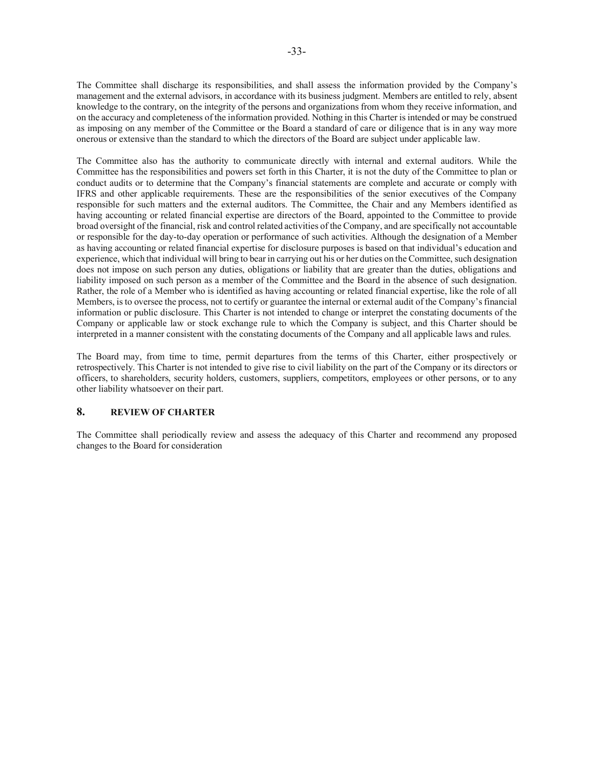The Committee shall discharge its responsibilities, and shall assess the information provided by the Company's management and the external advisors, in accordance with its business judgment. Members are entitled to rely, absent knowledge to the contrary, on the integrity of the persons and organizations from whom they receive information, and on the accuracy and completeness of the information provided. Nothing in this Charter is intended or may be construed as imposing on any member of the Committee or the Board a standard of care or diligence that is in any way more onerous or extensive than the standard to which the directors of the Board are subject under applicable law.

The Committee also has the authority to communicate directly with internal and external auditors. While the Committee has the responsibilities and powers set forth in this Charter, it is not the duty of the Committee to plan or conduct audits or to determine that the Company's financial statements are complete and accurate or comply with IFRS and other applicable requirements. These are the responsibilities of the senior executives of the Company responsible for such matters and the external auditors. The Committee, the Chair and any Members identified as having accounting or related financial expertise are directors of the Board, appointed to the Committee to provide broad oversight of the financial, risk and control related activities of the Company, and are specifically not accountable or responsible for the day-to-day operation or performance of such activities. Although the designation of a Member as having accounting or related financial expertise for disclosure purposes is based on that individual's education and experience, which that individual will bring to bear in carrying out his or her duties on the Committee, such designation does not impose on such person any duties, obligations or liability that are greater than the duties, obligations and liability imposed on such person as a member of the Committee and the Board in the absence of such designation. Rather, the role of a Member who is identified as having accounting or related financial expertise, like the role of all Members, is to oversee the process, not to certify or guarantee the internal or external audit of the Company's financial information or public disclosure. This Charter is not intended to change or interpret the constating documents of the Company or applicable law or stock exchange rule to which the Company is subject, and this Charter should be interpreted in a manner consistent with the constating documents of the Company and all applicable laws and rules.

The Board may, from time to time, permit departures from the terms of this Charter, either prospectively or retrospectively. This Charter is not intended to give rise to civil liability on the part of the Company or its directors or officers, to shareholders, security holders, customers, suppliers, competitors, employees or other persons, or to any other liability whatsoever on their part.

## **8. REVIEW OF CHARTER**

The Committee shall periodically review and assess the adequacy of this Charter and recommend any proposed changes to the Board for consideration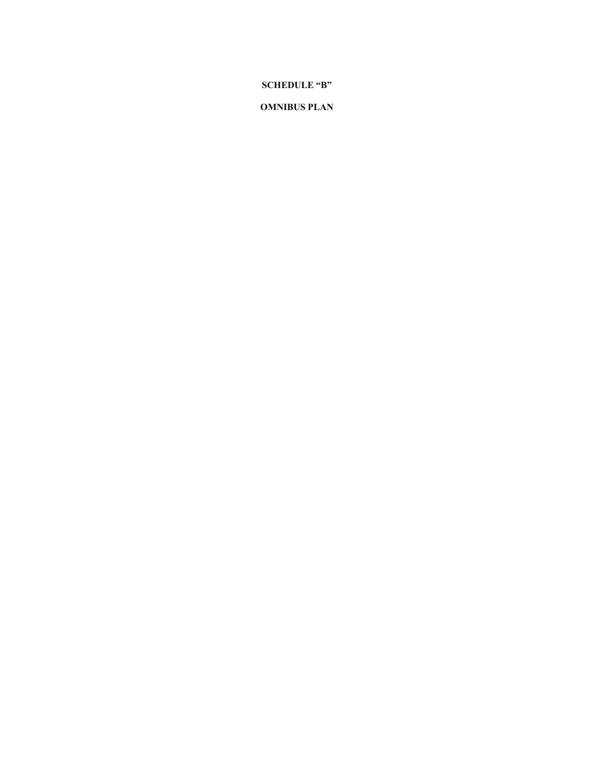# **SCHEDULE "B"**

## **OMNIBUS PLAN**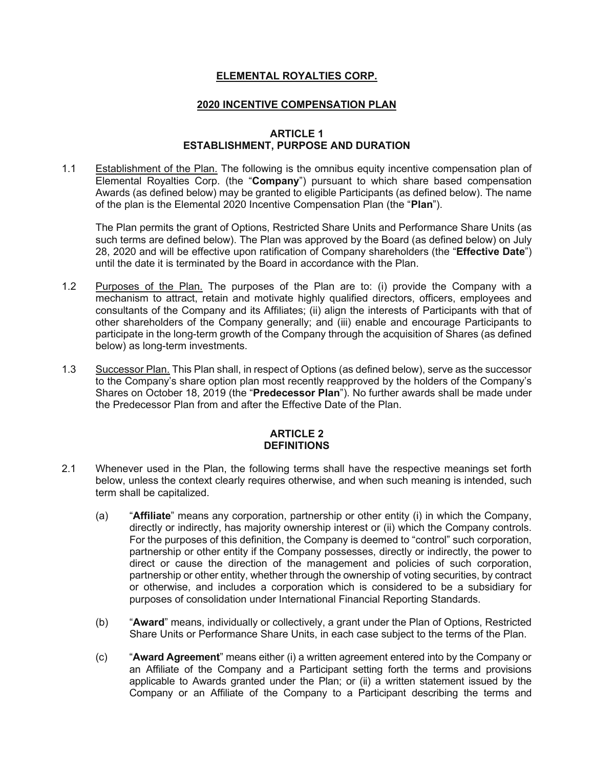# **ELEMENTAL ROYALTIES CORP.**

## **2020 INCENTIVE COMPENSATION PLAN**

## **ARTICLE 1 ESTABLISHMENT, PURPOSE AND DURATION**

1.1 Establishment of the Plan. The following is the omnibus equity incentive compensation plan of Elemental Royalties Corp. (the "**Company**") pursuant to which share based compensation Awards (as defined below) may be granted to eligible Participants (as defined below). The name of the plan is the Elemental 2020 Incentive Compensation Plan (the "**Plan**").

The Plan permits the grant of Options, Restricted Share Units and Performance Share Units (as such terms are defined below). The Plan was approved by the Board (as defined below) on July 28, 2020 and will be effective upon ratification of Company shareholders (the "**Effective Date**") until the date it is terminated by the Board in accordance with the Plan.

- 1.2 Purposes of the Plan. The purposes of the Plan are to: (i) provide the Company with a mechanism to attract, retain and motivate highly qualified directors, officers, employees and consultants of the Company and its Affiliates; (ii) align the interests of Participants with that of other shareholders of the Company generally; and (iii) enable and encourage Participants to participate in the long-term growth of the Company through the acquisition of Shares (as defined below) as long-term investments.
- 1.3 Successor Plan. This Plan shall, in respect of Options (as defined below), serve as the successor to the Company's share option plan most recently reapproved by the holders of the Company's Shares on October 18, 2019 (the "**Predecessor Plan**"). No further awards shall be made under the Predecessor Plan from and after the Effective Date of the Plan.

## **ARTICLE 2 DEFINITIONS**

- 2.1 Whenever used in the Plan, the following terms shall have the respective meanings set forth below, unless the context clearly requires otherwise, and when such meaning is intended, such term shall be capitalized.
	- (a) "**Affiliate**" means any corporation, partnership or other entity (i) in which the Company, directly or indirectly, has majority ownership interest or (ii) which the Company controls. For the purposes of this definition, the Company is deemed to "control" such corporation, partnership or other entity if the Company possesses, directly or indirectly, the power to direct or cause the direction of the management and policies of such corporation, partnership or other entity, whether through the ownership of voting securities, by contract or otherwise, and includes a corporation which is considered to be a subsidiary for purposes of consolidation under International Financial Reporting Standards.
	- (b) "**Award**" means, individually or collectively, a grant under the Plan of Options, Restricted Share Units or Performance Share Units, in each case subject to the terms of the Plan.
	- (c) "**Award Agreement**" means either (i) a written agreement entered into by the Company or an Affiliate of the Company and a Participant setting forth the terms and provisions applicable to Awards granted under the Plan; or (ii) a written statement issued by the Company or an Affiliate of the Company to a Participant describing the terms and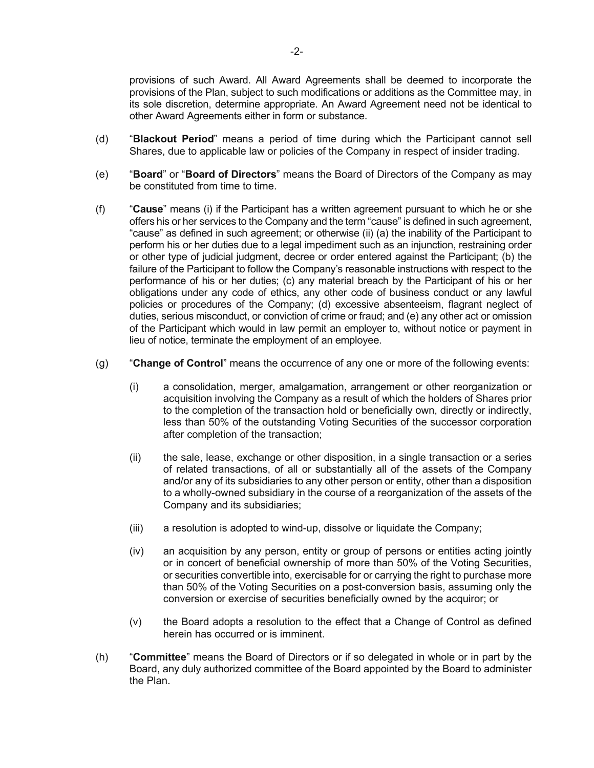provisions of such Award. All Award Agreements shall be deemed to incorporate the provisions of the Plan, subject to such modifications or additions as the Committee may, in its sole discretion, determine appropriate. An Award Agreement need not be identical to other Award Agreements either in form or substance.

- (d) "**Blackout Period**" means a period of time during which the Participant cannot sell Shares, due to applicable law or policies of the Company in respect of insider trading.
- (e) "**Board**" or "**Board of Directors**" means the Board of Directors of the Company as may be constituted from time to time.
- (f) "**Cause**" means (i) if the Participant has a written agreement pursuant to which he or she offers his or her services to the Company and the term "cause" is defined in such agreement, "cause" as defined in such agreement; or otherwise (ii) (a) the inability of the Participant to perform his or her duties due to a legal impediment such as an injunction, restraining order or other type of judicial judgment, decree or order entered against the Participant; (b) the failure of the Participant to follow the Company's reasonable instructions with respect to the performance of his or her duties; (c) any material breach by the Participant of his or her obligations under any code of ethics, any other code of business conduct or any lawful policies or procedures of the Company; (d) excessive absenteeism, flagrant neglect of duties, serious misconduct, or conviction of crime or fraud; and (e) any other act or omission of the Participant which would in law permit an employer to, without notice or payment in lieu of notice, terminate the employment of an employee.
- (g) "**Change of Control**" means the occurrence of any one or more of the following events:
	- (i) a consolidation, merger, amalgamation, arrangement or other reorganization or acquisition involving the Company as a result of which the holders of Shares prior to the completion of the transaction hold or beneficially own, directly or indirectly, less than 50% of the outstanding Voting Securities of the successor corporation after completion of the transaction;
	- (ii) the sale, lease, exchange or other disposition, in a single transaction or a series of related transactions, of all or substantially all of the assets of the Company and/or any of its subsidiaries to any other person or entity, other than a disposition to a wholly-owned subsidiary in the course of a reorganization of the assets of the Company and its subsidiaries;
	- (iii) a resolution is adopted to wind-up, dissolve or liquidate the Company;
	- (iv) an acquisition by any person, entity or group of persons or entities acting jointly or in concert of beneficial ownership of more than 50% of the Voting Securities, or securities convertible into, exercisable for or carrying the right to purchase more than 50% of the Voting Securities on a post-conversion basis, assuming only the conversion or exercise of securities beneficially owned by the acquiror; or
	- (v) the Board adopts a resolution to the effect that a Change of Control as defined herein has occurred or is imminent.
- (h) "**Committee**" means the Board of Directors or if so delegated in whole or in part by the Board, any duly authorized committee of the Board appointed by the Board to administer the Plan.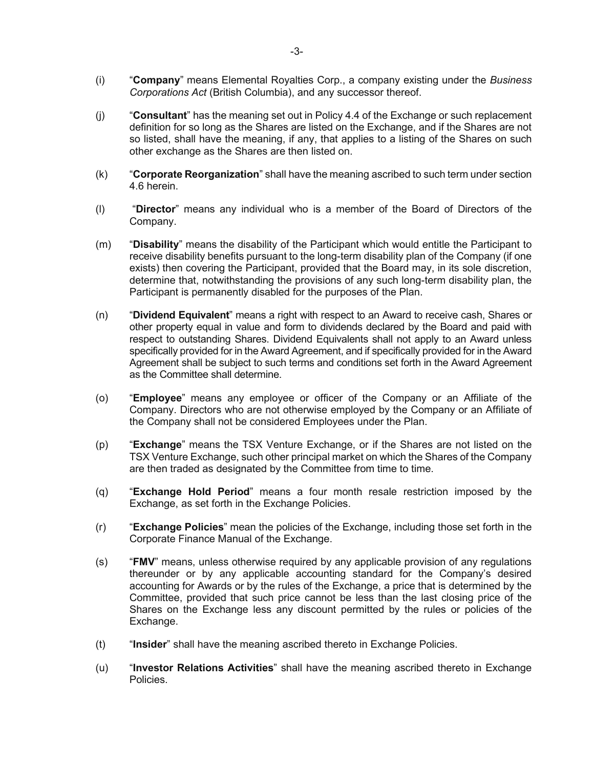- (i) "**Company**" means Elemental Royalties Corp., a company existing under the *Business Corporations Act* (British Columbia), and any successor thereof.
- (j) "**Consultant**" has the meaning set out in Policy 4.4 of the Exchange or such replacement definition for so long as the Shares are listed on the Exchange, and if the Shares are not so listed, shall have the meaning, if any, that applies to a listing of the Shares on such other exchange as the Shares are then listed on.
- (k) "**Corporate Reorganization**" shall have the meaning ascribed to such term under section 4.6 herein.
- (l) "**Director**" means any individual who is a member of the Board of Directors of the Company.
- (m) "**Disability**" means the disability of the Participant which would entitle the Participant to receive disability benefits pursuant to the long-term disability plan of the Company (if one exists) then covering the Participant, provided that the Board may, in its sole discretion, determine that, notwithstanding the provisions of any such long-term disability plan, the Participant is permanently disabled for the purposes of the Plan.
- (n) "**Dividend Equivalent**" means a right with respect to an Award to receive cash, Shares or other property equal in value and form to dividends declared by the Board and paid with respect to outstanding Shares. Dividend Equivalents shall not apply to an Award unless specifically provided for in the Award Agreement, and if specifically provided for in the Award Agreement shall be subject to such terms and conditions set forth in the Award Agreement as the Committee shall determine.
- (o) "**Employee**" means any employee or officer of the Company or an Affiliate of the Company. Directors who are not otherwise employed by the Company or an Affiliate of the Company shall not be considered Employees under the Plan.
- (p) "**Exchange**" means the TSX Venture Exchange, or if the Shares are not listed on the TSX Venture Exchange, such other principal market on which the Shares of the Company are then traded as designated by the Committee from time to time.
- (q) "**Exchange Hold Period**" means a four month resale restriction imposed by the Exchange, as set forth in the Exchange Policies.
- (r) "**Exchange Policies**" mean the policies of the Exchange, including those set forth in the Corporate Finance Manual of the Exchange.
- (s) "**FMV**" means, unless otherwise required by any applicable provision of any regulations thereunder or by any applicable accounting standard for the Company's desired accounting for Awards or by the rules of the Exchange, a price that is determined by the Committee, provided that such price cannot be less than the last closing price of the Shares on the Exchange less any discount permitted by the rules or policies of the Exchange.
- (t) "**Insider**" shall have the meaning ascribed thereto in Exchange Policies.
- (u) "**Investor Relations Activities**" shall have the meaning ascribed thereto in Exchange Policies.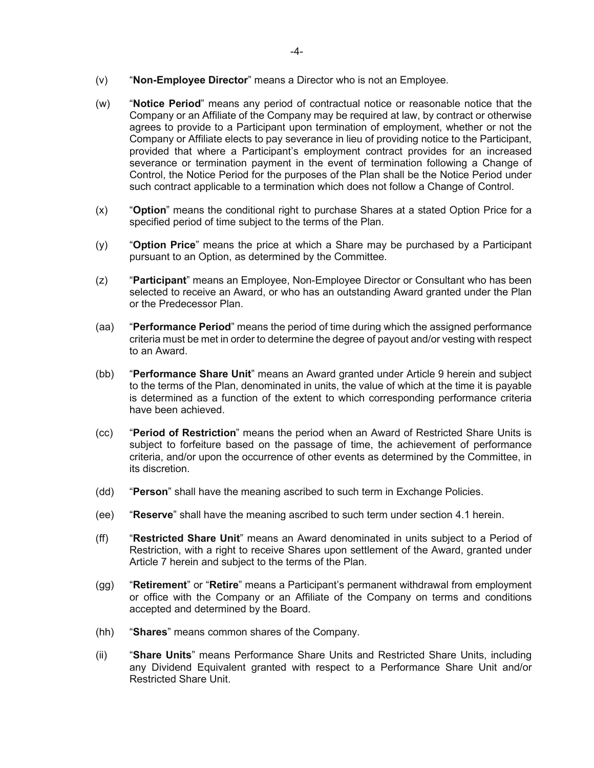- (v) "**Non-Employee Director**" means a Director who is not an Employee.
- (w) "**Notice Period**" means any period of contractual notice or reasonable notice that the Company or an Affiliate of the Company may be required at law, by contract or otherwise agrees to provide to a Participant upon termination of employment, whether or not the Company or Affiliate elects to pay severance in lieu of providing notice to the Participant, provided that where a Participant's employment contract provides for an increased severance or termination payment in the event of termination following a Change of Control, the Notice Period for the purposes of the Plan shall be the Notice Period under such contract applicable to a termination which does not follow a Change of Control.
- (x) "**Option**" means the conditional right to purchase Shares at a stated Option Price for a specified period of time subject to the terms of the Plan.
- (y) "**Option Price**" means the price at which a Share may be purchased by a Participant pursuant to an Option, as determined by the Committee.
- (z) "**Participant**" means an Employee, Non-Employee Director or Consultant who has been selected to receive an Award, or who has an outstanding Award granted under the Plan or the Predecessor Plan.
- (aa) "**Performance Period**" means the period of time during which the assigned performance criteria must be met in order to determine the degree of payout and/or vesting with respect to an Award.
- (bb) "**Performance Share Unit**" means an Award granted under Article 9 herein and subject to the terms of the Plan, denominated in units, the value of which at the time it is payable is determined as a function of the extent to which corresponding performance criteria have been achieved.
- (cc) "**Period of Restriction**" means the period when an Award of Restricted Share Units is subject to forfeiture based on the passage of time, the achievement of performance criteria, and/or upon the occurrence of other events as determined by the Committee, in its discretion.
- (dd) "**Person**" shall have the meaning ascribed to such term in Exchange Policies.
- (ee) "**Reserve**" shall have the meaning ascribed to such term under section 4.1 herein.
- (ff) "**Restricted Share Unit**" means an Award denominated in units subject to a Period of Restriction, with a right to receive Shares upon settlement of the Award, granted under Article 7 herein and subject to the terms of the Plan.
- (gg) "**Retirement**" or "**Retire**" means a Participant's permanent withdrawal from employment or office with the Company or an Affiliate of the Company on terms and conditions accepted and determined by the Board.
- (hh) "**Shares**" means common shares of the Company.
- (ii) "**Share Units**" means Performance Share Units and Restricted Share Units, including any Dividend Equivalent granted with respect to a Performance Share Unit and/or Restricted Share Unit.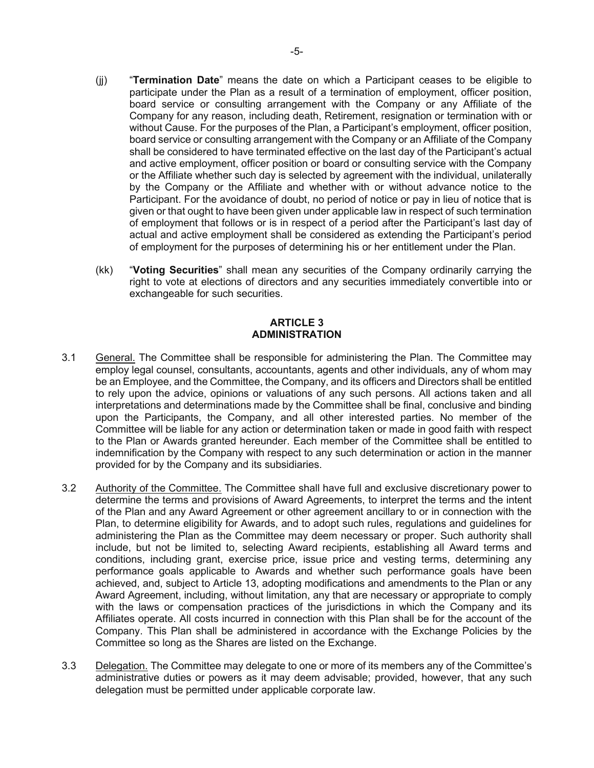- (jj) "**Termination Date**" means the date on which a Participant ceases to be eligible to participate under the Plan as a result of a termination of employment, officer position, board service or consulting arrangement with the Company or any Affiliate of the Company for any reason, including death, Retirement, resignation or termination with or without Cause. For the purposes of the Plan, a Participant's employment, officer position, board service or consulting arrangement with the Company or an Affiliate of the Company shall be considered to have terminated effective on the last day of the Participant's actual and active employment, officer position or board or consulting service with the Company or the Affiliate whether such day is selected by agreement with the individual, unilaterally by the Company or the Affiliate and whether with or without advance notice to the Participant. For the avoidance of doubt, no period of notice or pay in lieu of notice that is given or that ought to have been given under applicable law in respect of such termination of employment that follows or is in respect of a period after the Participant's last day of actual and active employment shall be considered as extending the Participant's period of employment for the purposes of determining his or her entitlement under the Plan.
- (kk) "**Voting Securities**" shall mean any securities of the Company ordinarily carrying the right to vote at elections of directors and any securities immediately convertible into or exchangeable for such securities.

## **ARTICLE 3 ADMINISTRATION**

- 3.1 General. The Committee shall be responsible for administering the Plan. The Committee may employ legal counsel, consultants, accountants, agents and other individuals, any of whom may be an Employee, and the Committee, the Company, and its officers and Directors shall be entitled to rely upon the advice, opinions or valuations of any such persons. All actions taken and all interpretations and determinations made by the Committee shall be final, conclusive and binding upon the Participants, the Company, and all other interested parties. No member of the Committee will be liable for any action or determination taken or made in good faith with respect to the Plan or Awards granted hereunder. Each member of the Committee shall be entitled to indemnification by the Company with respect to any such determination or action in the manner provided for by the Company and its subsidiaries.
- 3.2 Authority of the Committee. The Committee shall have full and exclusive discretionary power to determine the terms and provisions of Award Agreements, to interpret the terms and the intent of the Plan and any Award Agreement or other agreement ancillary to or in connection with the Plan, to determine eligibility for Awards, and to adopt such rules, regulations and guidelines for administering the Plan as the Committee may deem necessary or proper. Such authority shall include, but not be limited to, selecting Award recipients, establishing all Award terms and conditions, including grant, exercise price, issue price and vesting terms, determining any performance goals applicable to Awards and whether such performance goals have been achieved, and, subject to Article 13, adopting modifications and amendments to the Plan or any Award Agreement, including, without limitation, any that are necessary or appropriate to comply with the laws or compensation practices of the jurisdictions in which the Company and its Affiliates operate. All costs incurred in connection with this Plan shall be for the account of the Company. This Plan shall be administered in accordance with the Exchange Policies by the Committee so long as the Shares are listed on the Exchange.
- 3.3 Delegation. The Committee may delegate to one or more of its members any of the Committee's administrative duties or powers as it may deem advisable; provided, however, that any such delegation must be permitted under applicable corporate law.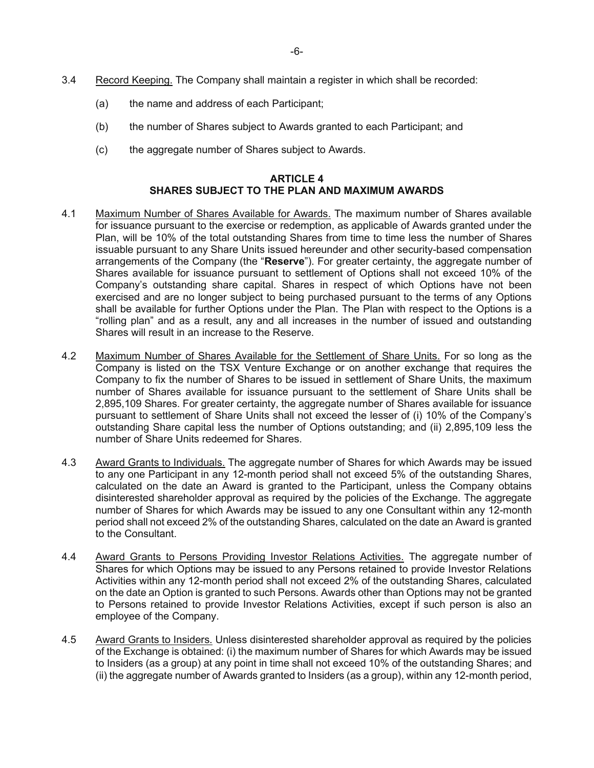- 3.4 Record Keeping. The Company shall maintain a register in which shall be recorded:
	- (a) the name and address of each Participant;
	- (b) the number of Shares subject to Awards granted to each Participant; and
	- (c) the aggregate number of Shares subject to Awards.

## **ARTICLE 4 SHARES SUBJECT TO THE PLAN AND MAXIMUM AWARDS**

- 4.1 Maximum Number of Shares Available for Awards. The maximum number of Shares available for issuance pursuant to the exercise or redemption, as applicable of Awards granted under the Plan, will be 10% of the total outstanding Shares from time to time less the number of Shares issuable pursuant to any Share Units issued hereunder and other security-based compensation arrangements of the Company (the "**Reserve**"). For greater certainty, the aggregate number of Shares available for issuance pursuant to settlement of Options shall not exceed 10% of the Company's outstanding share capital. Shares in respect of which Options have not been exercised and are no longer subject to being purchased pursuant to the terms of any Options shall be available for further Options under the Plan. The Plan with respect to the Options is a "rolling plan" and as a result, any and all increases in the number of issued and outstanding Shares will result in an increase to the Reserve.
- 4.2 Maximum Number of Shares Available for the Settlement of Share Units. For so long as the Company is listed on the TSX Venture Exchange or on another exchange that requires the Company to fix the number of Shares to be issued in settlement of Share Units, the maximum number of Shares available for issuance pursuant to the settlement of Share Units shall be 2,895,109 Shares. For greater certainty, the aggregate number of Shares available for issuance pursuant to settlement of Share Units shall not exceed the lesser of (i) 10% of the Company's outstanding Share capital less the number of Options outstanding; and (ii) 2,895,109 less the number of Share Units redeemed for Shares.
- 4.3 Award Grants to Individuals. The aggregate number of Shares for which Awards may be issued to any one Participant in any 12-month period shall not exceed 5% of the outstanding Shares, calculated on the date an Award is granted to the Participant, unless the Company obtains disinterested shareholder approval as required by the policies of the Exchange. The aggregate number of Shares for which Awards may be issued to any one Consultant within any 12-month period shall not exceed 2% of the outstanding Shares, calculated on the date an Award is granted to the Consultant.
- 4.4 Award Grants to Persons Providing Investor Relations Activities. The aggregate number of Shares for which Options may be issued to any Persons retained to provide Investor Relations Activities within any 12-month period shall not exceed 2% of the outstanding Shares, calculated on the date an Option is granted to such Persons. Awards other than Options may not be granted to Persons retained to provide Investor Relations Activities, except if such person is also an employee of the Company.
- 4.5 Award Grants to Insiders. Unless disinterested shareholder approval as required by the policies of the Exchange is obtained: (i) the maximum number of Shares for which Awards may be issued to Insiders (as a group) at any point in time shall not exceed 10% of the outstanding Shares; and (ii) the aggregate number of Awards granted to Insiders (as a group), within any 12-month period,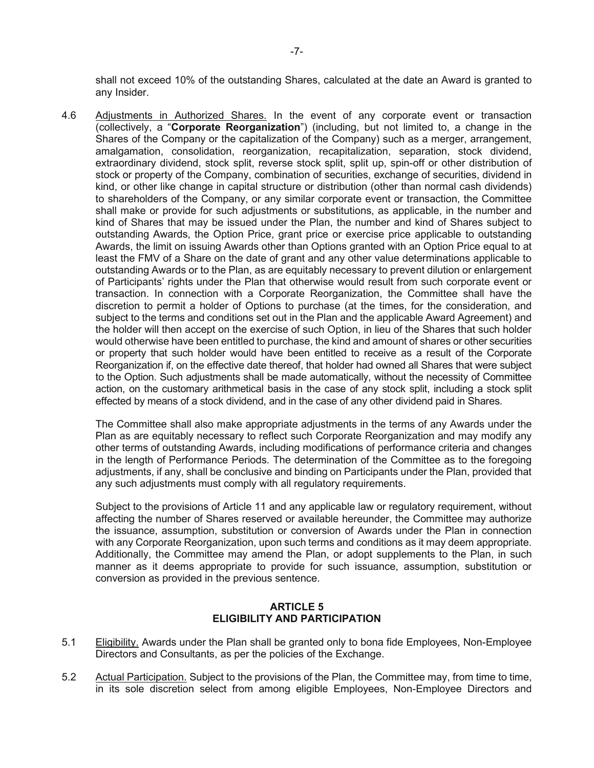shall not exceed 10% of the outstanding Shares, calculated at the date an Award is granted to any Insider.

4.6 Adjustments in Authorized Shares. In the event of any corporate event or transaction (collectively, a "**Corporate Reorganization**") (including, but not limited to, a change in the Shares of the Company or the capitalization of the Company) such as a merger, arrangement, amalgamation, consolidation, reorganization, recapitalization, separation, stock dividend, extraordinary dividend, stock split, reverse stock split, split up, spin-off or other distribution of stock or property of the Company, combination of securities, exchange of securities, dividend in kind, or other like change in capital structure or distribution (other than normal cash dividends) to shareholders of the Company, or any similar corporate event or transaction, the Committee shall make or provide for such adjustments or substitutions, as applicable, in the number and kind of Shares that may be issued under the Plan, the number and kind of Shares subject to outstanding Awards, the Option Price, grant price or exercise price applicable to outstanding Awards, the limit on issuing Awards other than Options granted with an Option Price equal to at least the FMV of a Share on the date of grant and any other value determinations applicable to outstanding Awards or to the Plan, as are equitably necessary to prevent dilution or enlargement of Participants' rights under the Plan that otherwise would result from such corporate event or transaction. In connection with a Corporate Reorganization, the Committee shall have the discretion to permit a holder of Options to purchase (at the times, for the consideration, and subject to the terms and conditions set out in the Plan and the applicable Award Agreement) and the holder will then accept on the exercise of such Option, in lieu of the Shares that such holder would otherwise have been entitled to purchase, the kind and amount of shares or other securities or property that such holder would have been entitled to receive as a result of the Corporate Reorganization if, on the effective date thereof, that holder had owned all Shares that were subject to the Option. Such adjustments shall be made automatically, without the necessity of Committee action, on the customary arithmetical basis in the case of any stock split, including a stock split effected by means of a stock dividend, and in the case of any other dividend paid in Shares.

The Committee shall also make appropriate adjustments in the terms of any Awards under the Plan as are equitably necessary to reflect such Corporate Reorganization and may modify any other terms of outstanding Awards, including modifications of performance criteria and changes in the length of Performance Periods. The determination of the Committee as to the foregoing adjustments, if any, shall be conclusive and binding on Participants under the Plan, provided that any such adjustments must comply with all regulatory requirements.

Subject to the provisions of Article 11 and any applicable law or regulatory requirement, without affecting the number of Shares reserved or available hereunder, the Committee may authorize the issuance, assumption, substitution or conversion of Awards under the Plan in connection with any Corporate Reorganization, upon such terms and conditions as it may deem appropriate. Additionally, the Committee may amend the Plan, or adopt supplements to the Plan, in such manner as it deems appropriate to provide for such issuance, assumption, substitution or conversion as provided in the previous sentence.

## **ARTICLE 5 ELIGIBILITY AND PARTICIPATION**

- 5.1 Eligibility. Awards under the Plan shall be granted only to bona fide Employees, Non-Employee Directors and Consultants, as per the policies of the Exchange.
- 5.2 Actual Participation. Subject to the provisions of the Plan, the Committee may, from time to time, in its sole discretion select from among eligible Employees, Non-Employee Directors and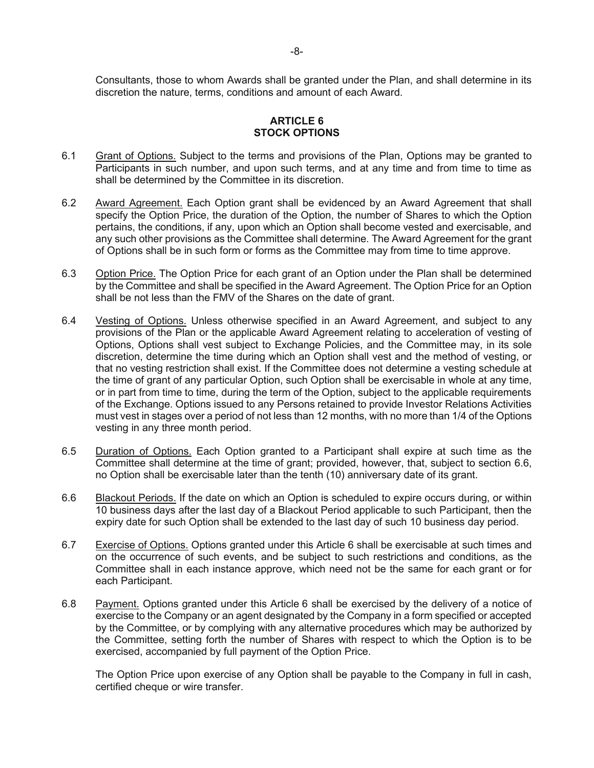Consultants, those to whom Awards shall be granted under the Plan, and shall determine in its discretion the nature, terms, conditions and amount of each Award.

## **ARTICLE 6 STOCK OPTIONS**

- 6.1 Grant of Options. Subject to the terms and provisions of the Plan, Options may be granted to Participants in such number, and upon such terms, and at any time and from time to time as shall be determined by the Committee in its discretion.
- 6.2 Award Agreement. Each Option grant shall be evidenced by an Award Agreement that shall specify the Option Price, the duration of the Option, the number of Shares to which the Option pertains, the conditions, if any, upon which an Option shall become vested and exercisable, and any such other provisions as the Committee shall determine. The Award Agreement for the grant of Options shall be in such form or forms as the Committee may from time to time approve.
- 6.3 Option Price. The Option Price for each grant of an Option under the Plan shall be determined by the Committee and shall be specified in the Award Agreement. The Option Price for an Option shall be not less than the FMV of the Shares on the date of grant.
- 6.4 Vesting of Options. Unless otherwise specified in an Award Agreement, and subject to any provisions of the Plan or the applicable Award Agreement relating to acceleration of vesting of Options, Options shall vest subject to Exchange Policies, and the Committee may, in its sole discretion, determine the time during which an Option shall vest and the method of vesting, or that no vesting restriction shall exist. If the Committee does not determine a vesting schedule at the time of grant of any particular Option, such Option shall be exercisable in whole at any time, or in part from time to time, during the term of the Option, subject to the applicable requirements of the Exchange. Options issued to any Persons retained to provide Investor Relations Activities must vest in stages over a period of not less than 12 months, with no more than 1/4 of the Options vesting in any three month period.
- 6.5 Duration of Options. Each Option granted to a Participant shall expire at such time as the Committee shall determine at the time of grant; provided, however, that, subject to section 6.6, no Option shall be exercisable later than the tenth (10) anniversary date of its grant.
- 6.6 Blackout Periods. If the date on which an Option is scheduled to expire occurs during, or within 10 business days after the last day of a Blackout Period applicable to such Participant, then the expiry date for such Option shall be extended to the last day of such 10 business day period.
- 6.7 Exercise of Options. Options granted under this Article 6 shall be exercisable at such times and on the occurrence of such events, and be subject to such restrictions and conditions, as the Committee shall in each instance approve, which need not be the same for each grant or for each Participant.
- 6.8 Payment. Options granted under this Article 6 shall be exercised by the delivery of a notice of exercise to the Company or an agent designated by the Company in a form specified or accepted by the Committee, or by complying with any alternative procedures which may be authorized by the Committee, setting forth the number of Shares with respect to which the Option is to be exercised, accompanied by full payment of the Option Price.

The Option Price upon exercise of any Option shall be payable to the Company in full in cash, certified cheque or wire transfer.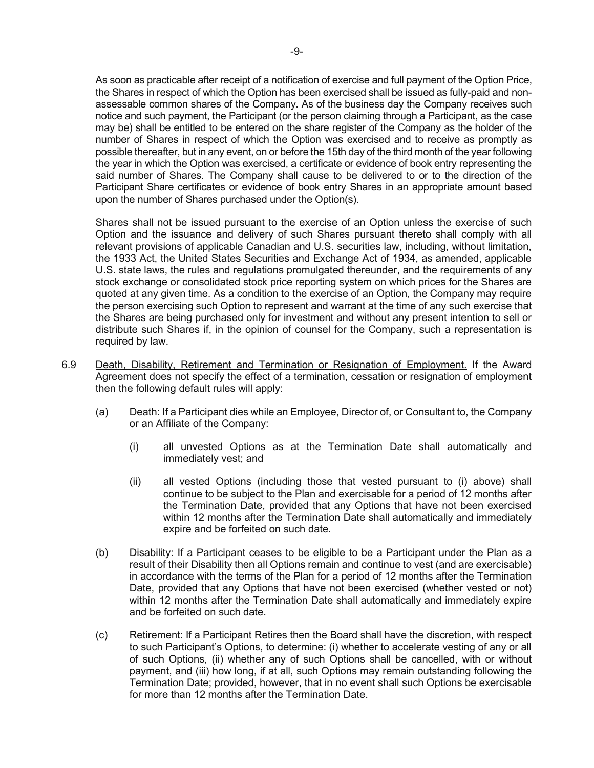As soon as practicable after receipt of a notification of exercise and full payment of the Option Price, the Shares in respect of which the Option has been exercised shall be issued as fully-paid and nonassessable common shares of the Company. As of the business day the Company receives such notice and such payment, the Participant (or the person claiming through a Participant, as the case may be) shall be entitled to be entered on the share register of the Company as the holder of the number of Shares in respect of which the Option was exercised and to receive as promptly as possible thereafter, but in any event, on or before the 15th day of the third month of the year following the year in which the Option was exercised, a certificate or evidence of book entry representing the said number of Shares. The Company shall cause to be delivered to or to the direction of the Participant Share certificates or evidence of book entry Shares in an appropriate amount based upon the number of Shares purchased under the Option(s).

Shares shall not be issued pursuant to the exercise of an Option unless the exercise of such Option and the issuance and delivery of such Shares pursuant thereto shall comply with all relevant provisions of applicable Canadian and U.S. securities law, including, without limitation, the 1933 Act, the United States Securities and Exchange Act of 1934, as amended, applicable U.S. state laws, the rules and regulations promulgated thereunder, and the requirements of any stock exchange or consolidated stock price reporting system on which prices for the Shares are quoted at any given time. As a condition to the exercise of an Option, the Company may require the person exercising such Option to represent and warrant at the time of any such exercise that the Shares are being purchased only for investment and without any present intention to sell or distribute such Shares if, in the opinion of counsel for the Company, such a representation is required by law.

- 6.9 Death, Disability, Retirement and Termination or Resignation of Employment. If the Award Agreement does not specify the effect of a termination, cessation or resignation of employment then the following default rules will apply:
	- (a) Death: If a Participant dies while an Employee, Director of, or Consultant to, the Company or an Affiliate of the Company:
		- (i) all unvested Options as at the Termination Date shall automatically and immediately vest; and
		- (ii) all vested Options (including those that vested pursuant to (i) above) shall continue to be subject to the Plan and exercisable for a period of 12 months after the Termination Date, provided that any Options that have not been exercised within 12 months after the Termination Date shall automatically and immediately expire and be forfeited on such date.
	- (b) Disability: If a Participant ceases to be eligible to be a Participant under the Plan as a result of their Disability then all Options remain and continue to vest (and are exercisable) in accordance with the terms of the Plan for a period of 12 months after the Termination Date, provided that any Options that have not been exercised (whether vested or not) within 12 months after the Termination Date shall automatically and immediately expire and be forfeited on such date.
	- (c) Retirement: If a Participant Retires then the Board shall have the discretion, with respect to such Participant's Options, to determine: (i) whether to accelerate vesting of any or all of such Options, (ii) whether any of such Options shall be cancelled, with or without payment, and (iii) how long, if at all, such Options may remain outstanding following the Termination Date; provided, however, that in no event shall such Options be exercisable for more than 12 months after the Termination Date.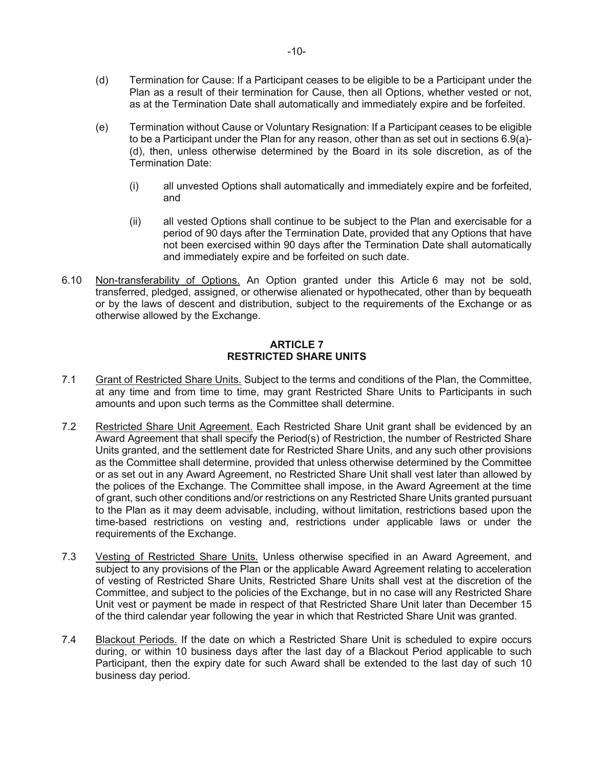- (d) Termination for Cause: If a Participant ceases to be eligible to be a Participant under the Plan as a result of their termination for Cause, then all Options, whether vested or not, as at the Termination Date shall automatically and immediately expire and be forfeited.
- (e) Termination without Cause or Voluntary Resignation: If a Participant ceases to be eligible to be a Participant under the Plan for any reason, other than as set out in sections 6.9(a)- (d), then, unless otherwise determined by the Board in its sole discretion, as of the Termination Date:
	- (i) all unvested Options shall automatically and immediately expire and be forfeited, and
	- (ii) all vested Options shall continue to be subject to the Plan and exercisable for a period of 90 days after the Termination Date, provided that any Options that have not been exercised within 90 days after the Termination Date shall automatically and immediately expire and be forfeited on such date.
- 6.10 Non-transferability of Options. An Option granted under this Article 6 may not be sold, transferred, pledged, assigned, or otherwise alienated or hypothecated, other than by bequeath or by the laws of descent and distribution, subject to the requirements of the Exchange or as otherwise allowed by the Exchange.

## **ARTICLE 7 RESTRICTED SHARE UNITS**

- 7.1 Grant of Restricted Share Units. Subject to the terms and conditions of the Plan, the Committee, at any time and from time to time, may grant Restricted Share Units to Participants in such amounts and upon such terms as the Committee shall determine.
- 7.2 Restricted Share Unit Agreement. Each Restricted Share Unit grant shall be evidenced by an Award Agreement that shall specify the Period(s) of Restriction, the number of Restricted Share Units granted, and the settlement date for Restricted Share Units, and any such other provisions as the Committee shall determine, provided that unless otherwise determined by the Committee or as set out in any Award Agreement, no Restricted Share Unit shall vest later than allowed by the polices of the Exchange. The Committee shall impose, in the Award Agreement at the time of grant, such other conditions and/or restrictions on any Restricted Share Units granted pursuant to the Plan as it may deem advisable, including, without limitation, restrictions based upon the time-based restrictions on vesting and, restrictions under applicable laws or under the requirements of the Exchange.
- 7.3 Vesting of Restricted Share Units. Unless otherwise specified in an Award Agreement, and subject to any provisions of the Plan or the applicable Award Agreement relating to acceleration of vesting of Restricted Share Units, Restricted Share Units shall vest at the discretion of the Committee, and subject to the policies of the Exchange, but in no case will any Restricted Share Unit vest or payment be made in respect of that Restricted Share Unit later than December 15 of the third calendar year following the year in which that Restricted Share Unit was granted.
- 7.4 Blackout Periods. If the date on which a Restricted Share Unit is scheduled to expire occurs during, or within 10 business days after the last day of a Blackout Period applicable to such Participant, then the expiry date for such Award shall be extended to the last day of such 10 business day period.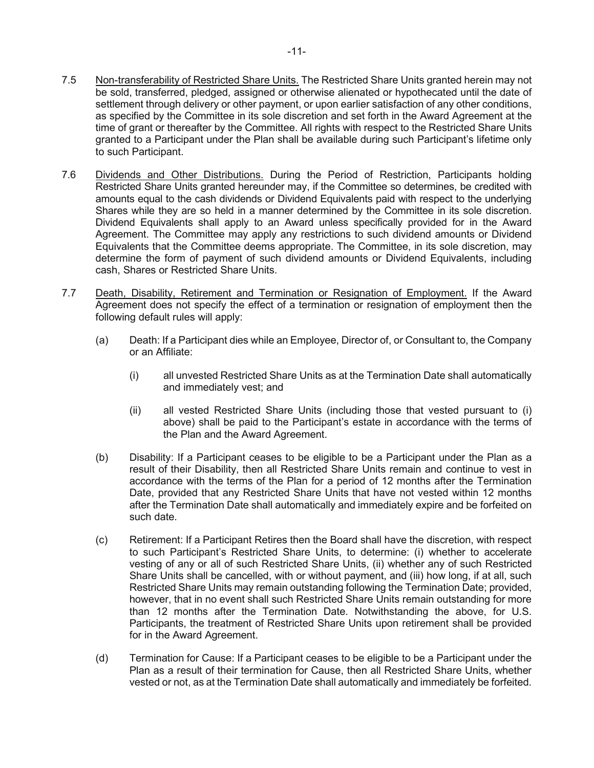- 7.5 Non-transferability of Restricted Share Units. The Restricted Share Units granted herein may not be sold, transferred, pledged, assigned or otherwise alienated or hypothecated until the date of settlement through delivery or other payment, or upon earlier satisfaction of any other conditions, as specified by the Committee in its sole discretion and set forth in the Award Agreement at the time of grant or thereafter by the Committee. All rights with respect to the Restricted Share Units granted to a Participant under the Plan shall be available during such Participant's lifetime only to such Participant.
- 7.6 Dividends and Other Distributions. During the Period of Restriction, Participants holding Restricted Share Units granted hereunder may, if the Committee so determines, be credited with amounts equal to the cash dividends or Dividend Equivalents paid with respect to the underlying Shares while they are so held in a manner determined by the Committee in its sole discretion. Dividend Equivalents shall apply to an Award unless specifically provided for in the Award Agreement. The Committee may apply any restrictions to such dividend amounts or Dividend Equivalents that the Committee deems appropriate. The Committee, in its sole discretion, may determine the form of payment of such dividend amounts or Dividend Equivalents, including cash, Shares or Restricted Share Units.
- 7.7 Death, Disability, Retirement and Termination or Resignation of Employment. If the Award Agreement does not specify the effect of a termination or resignation of employment then the following default rules will apply:
	- (a) Death: If a Participant dies while an Employee, Director of, or Consultant to, the Company or an Affiliate:
		- (i) all unvested Restricted Share Units as at the Termination Date shall automatically and immediately vest; and
		- (ii) all vested Restricted Share Units (including those that vested pursuant to (i) above) shall be paid to the Participant's estate in accordance with the terms of the Plan and the Award Agreement.
	- (b) Disability: If a Participant ceases to be eligible to be a Participant under the Plan as a result of their Disability, then all Restricted Share Units remain and continue to vest in accordance with the terms of the Plan for a period of 12 months after the Termination Date, provided that any Restricted Share Units that have not vested within 12 months after the Termination Date shall automatically and immediately expire and be forfeited on such date.
	- (c) Retirement: If a Participant Retires then the Board shall have the discretion, with respect to such Participant's Restricted Share Units, to determine: (i) whether to accelerate vesting of any or all of such Restricted Share Units, (ii) whether any of such Restricted Share Units shall be cancelled, with or without payment, and (iii) how long, if at all, such Restricted Share Units may remain outstanding following the Termination Date; provided, however, that in no event shall such Restricted Share Units remain outstanding for more than 12 months after the Termination Date. Notwithstanding the above, for U.S. Participants, the treatment of Restricted Share Units upon retirement shall be provided for in the Award Agreement.
	- (d) Termination for Cause: If a Participant ceases to be eligible to be a Participant under the Plan as a result of their termination for Cause, then all Restricted Share Units, whether vested or not, as at the Termination Date shall automatically and immediately be forfeited.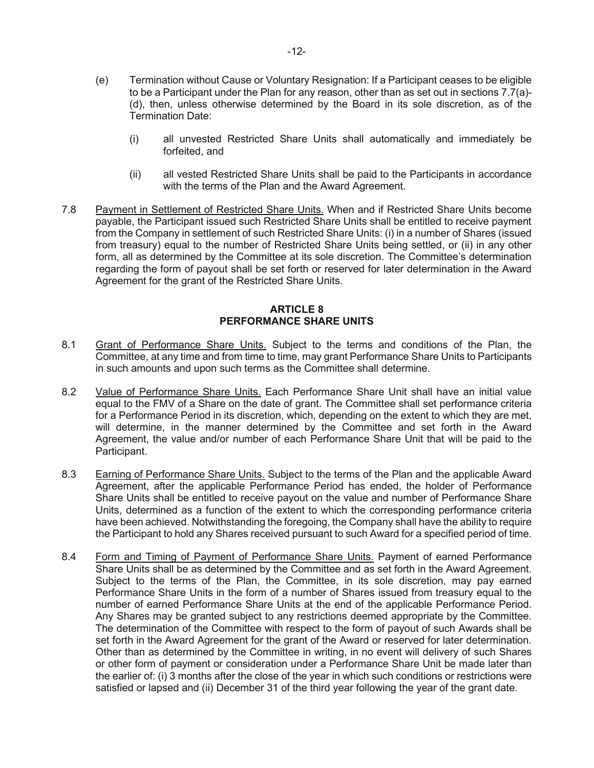- (e) Termination without Cause or Voluntary Resignation: If a Participant ceases to be eligible to be a Participant under the Plan for any reason, other than as set out in sections 7.7(a)- (d), then, unless otherwise determined by the Board in its sole discretion, as of the Termination Date:
	- (i) all unvested Restricted Share Units shall automatically and immediately be forfeited, and
	- (ii) all vested Restricted Share Units shall be paid to the Participants in accordance with the terms of the Plan and the Award Agreement.
- 7.8 Payment in Settlement of Restricted Share Units. When and if Restricted Share Units become payable, the Participant issued such Restricted Share Units shall be entitled to receive payment from the Company in settlement of such Restricted Share Units: (i) in a number of Shares (issued from treasury) equal to the number of Restricted Share Units being settled, or (ii) in any other form, all as determined by the Committee at its sole discretion. The Committee's determination regarding the form of payout shall be set forth or reserved for later determination in the Award Agreement for the grant of the Restricted Share Units.

## **ARTICLE 8 PERFORMANCE SHARE UNITS**

- 8.1 Grant of Performance Share Units. Subject to the terms and conditions of the Plan, the Committee, at any time and from time to time, may grant Performance Share Units to Participants in such amounts and upon such terms as the Committee shall determine.
- 8.2 Value of Performance Share Units. Each Performance Share Unit shall have an initial value equal to the FMV of a Share on the date of grant. The Committee shall set performance criteria for a Performance Period in its discretion, which, depending on the extent to which they are met, will determine, in the manner determined by the Committee and set forth in the Award Agreement, the value and/or number of each Performance Share Unit that will be paid to the Participant.
- 8.3 Earning of Performance Share Units. Subject to the terms of the Plan and the applicable Award Agreement, after the applicable Performance Period has ended, the holder of Performance Share Units shall be entitled to receive payout on the value and number of Performance Share Units, determined as a function of the extent to which the corresponding performance criteria have been achieved. Notwithstanding the foregoing, the Company shall have the ability to require the Participant to hold any Shares received pursuant to such Award for a specified period of time.
- 8.4 Form and Timing of Payment of Performance Share Units. Payment of earned Performance Share Units shall be as determined by the Committee and as set forth in the Award Agreement. Subject to the terms of the Plan, the Committee, in its sole discretion, may pay earned Performance Share Units in the form of a number of Shares issued from treasury equal to the number of earned Performance Share Units at the end of the applicable Performance Period. Any Shares may be granted subject to any restrictions deemed appropriate by the Committee. The determination of the Committee with respect to the form of payout of such Awards shall be set forth in the Award Agreement for the grant of the Award or reserved for later determination. Other than as determined by the Committee in writing, in no event will delivery of such Shares or other form of payment or consideration under a Performance Share Unit be made later than the earlier of: (i) 3 months after the close of the year in which such conditions or restrictions were satisfied or lapsed and (ii) December 31 of the third year following the year of the grant date.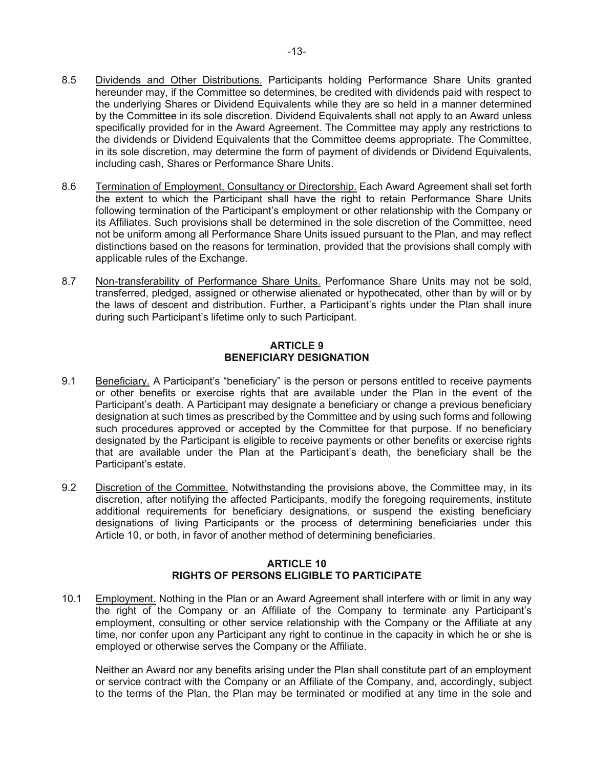- 8.5 Dividends and Other Distributions. Participants holding Performance Share Units granted hereunder may, if the Committee so determines, be credited with dividends paid with respect to the underlying Shares or Dividend Equivalents while they are so held in a manner determined by the Committee in its sole discretion. Dividend Equivalents shall not apply to an Award unless specifically provided for in the Award Agreement. The Committee may apply any restrictions to the dividends or Dividend Equivalents that the Committee deems appropriate. The Committee, in its sole discretion, may determine the form of payment of dividends or Dividend Equivalents, including cash, Shares or Performance Share Units.
- 8.6 Termination of Employment, Consultancy or Directorship. Each Award Agreement shall set forth the extent to which the Participant shall have the right to retain Performance Share Units following termination of the Participant's employment or other relationship with the Company or its Affiliates. Such provisions shall be determined in the sole discretion of the Committee, need not be uniform among all Performance Share Units issued pursuant to the Plan, and may reflect distinctions based on the reasons for termination, provided that the provisions shall comply with applicable rules of the Exchange.
- 8.7 Non-transferability of Performance Share Units. Performance Share Units may not be sold, transferred, pledged, assigned or otherwise alienated or hypothecated, other than by will or by the laws of descent and distribution. Further, a Participant's rights under the Plan shall inure during such Participant's lifetime only to such Participant.

## **ARTICLE 9 BENEFICIARY DESIGNATION**

- 9.1 Beneficiary. A Participant's "beneficiary" is the person or persons entitled to receive payments or other benefits or exercise rights that are available under the Plan in the event of the Participant's death. A Participant may designate a beneficiary or change a previous beneficiary designation at such times as prescribed by the Committee and by using such forms and following such procedures approved or accepted by the Committee for that purpose. If no beneficiary designated by the Participant is eligible to receive payments or other benefits or exercise rights that are available under the Plan at the Participant's death, the beneficiary shall be the Participant's estate.
- 9.2 Discretion of the Committee. Notwithstanding the provisions above, the Committee may, in its discretion, after notifying the affected Participants, modify the foregoing requirements, institute additional requirements for beneficiary designations, or suspend the existing beneficiary designations of living Participants or the process of determining beneficiaries under this Article 10, or both, in favor of another method of determining beneficiaries.

# **ARTICLE 10 RIGHTS OF PERSONS ELIGIBLE TO PARTICIPATE**

10.1 Employment. Nothing in the Plan or an Award Agreement shall interfere with or limit in any way the right of the Company or an Affiliate of the Company to terminate any Participant's employment, consulting or other service relationship with the Company or the Affiliate at any time, nor confer upon any Participant any right to continue in the capacity in which he or she is employed or otherwise serves the Company or the Affiliate.

Neither an Award nor any benefits arising under the Plan shall constitute part of an employment or service contract with the Company or an Affiliate of the Company, and, accordingly, subject to the terms of the Plan, the Plan may be terminated or modified at any time in the sole and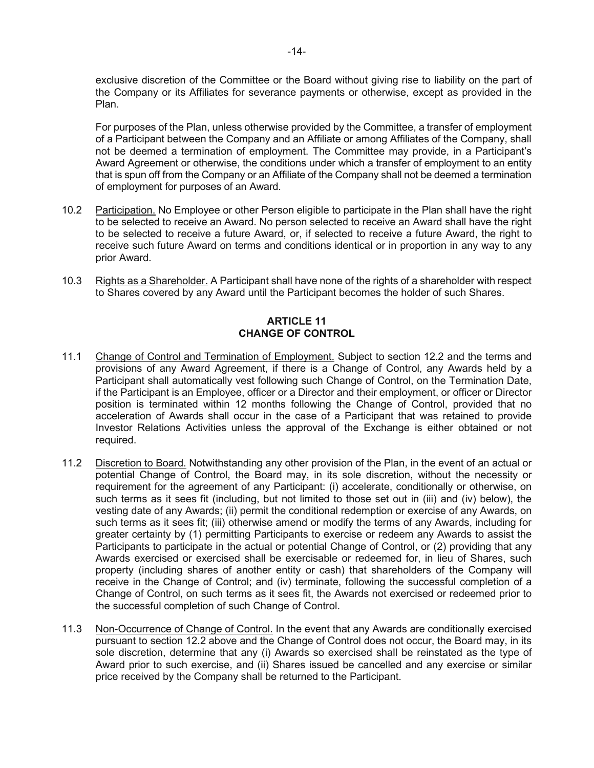exclusive discretion of the Committee or the Board without giving rise to liability on the part of the Company or its Affiliates for severance payments or otherwise, except as provided in the Plan.

For purposes of the Plan, unless otherwise provided by the Committee, a transfer of employment of a Participant between the Company and an Affiliate or among Affiliates of the Company, shall not be deemed a termination of employment. The Committee may provide, in a Participant's Award Agreement or otherwise, the conditions under which a transfer of employment to an entity that is spun off from the Company or an Affiliate of the Company shall not be deemed a termination of employment for purposes of an Award.

- 10.2 Participation. No Employee or other Person eligible to participate in the Plan shall have the right to be selected to receive an Award. No person selected to receive an Award shall have the right to be selected to receive a future Award, or, if selected to receive a future Award, the right to receive such future Award on terms and conditions identical or in proportion in any way to any prior Award.
- 10.3 Rights as a Shareholder. A Participant shall have none of the rights of a shareholder with respect to Shares covered by any Award until the Participant becomes the holder of such Shares.

# **ARTICLE 11 CHANGE OF CONTROL**

- 11.1 Change of Control and Termination of Employment. Subject to section 12.2 and the terms and provisions of any Award Agreement, if there is a Change of Control, any Awards held by a Participant shall automatically vest following such Change of Control, on the Termination Date, if the Participant is an Employee, officer or a Director and their employment, or officer or Director position is terminated within 12 months following the Change of Control, provided that no acceleration of Awards shall occur in the case of a Participant that was retained to provide Investor Relations Activities unless the approval of the Exchange is either obtained or not required.
- 11.2 Discretion to Board. Notwithstanding any other provision of the Plan, in the event of an actual or potential Change of Control, the Board may, in its sole discretion, without the necessity or requirement for the agreement of any Participant: (i) accelerate, conditionally or otherwise, on such terms as it sees fit (including, but not limited to those set out in (iii) and (iv) below), the vesting date of any Awards; (ii) permit the conditional redemption or exercise of any Awards, on such terms as it sees fit; (iii) otherwise amend or modify the terms of any Awards, including for greater certainty by (1) permitting Participants to exercise or redeem any Awards to assist the Participants to participate in the actual or potential Change of Control, or (2) providing that any Awards exercised or exercised shall be exercisable or redeemed for, in lieu of Shares, such property (including shares of another entity or cash) that shareholders of the Company will receive in the Change of Control; and (iv) terminate, following the successful completion of a Change of Control, on such terms as it sees fit, the Awards not exercised or redeemed prior to the successful completion of such Change of Control.
- 11.3 Non-Occurrence of Change of Control. In the event that any Awards are conditionally exercised pursuant to section 12.2 above and the Change of Control does not occur, the Board may, in its sole discretion, determine that any (i) Awards so exercised shall be reinstated as the type of Award prior to such exercise, and (ii) Shares issued be cancelled and any exercise or similar price received by the Company shall be returned to the Participant.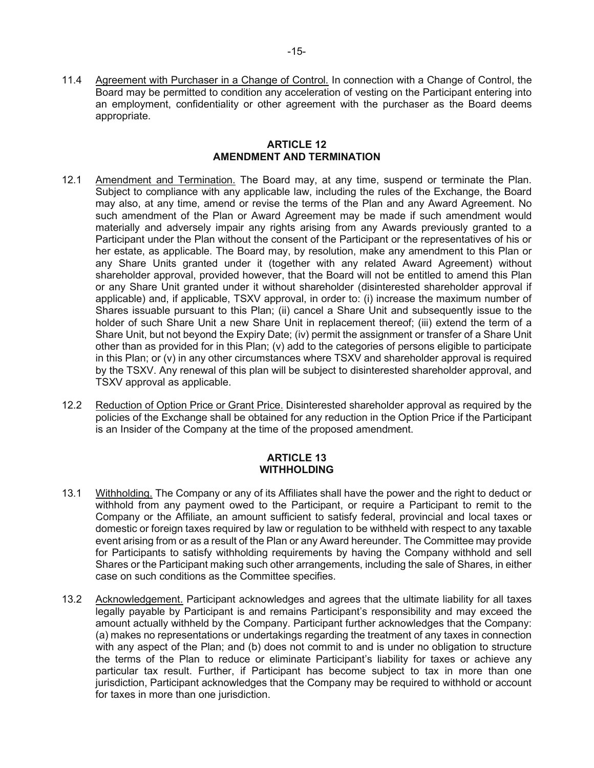11.4 Agreement with Purchaser in a Change of Control. In connection with a Change of Control, the Board may be permitted to condition any acceleration of vesting on the Participant entering into an employment, confidentiality or other agreement with the purchaser as the Board deems appropriate.

## **ARTICLE 12 AMENDMENT AND TERMINATION**

- 12.1 Amendment and Termination. The Board may, at any time, suspend or terminate the Plan. Subject to compliance with any applicable law, including the rules of the Exchange, the Board may also, at any time, amend or revise the terms of the Plan and any Award Agreement. No such amendment of the Plan or Award Agreement may be made if such amendment would materially and adversely impair any rights arising from any Awards previously granted to a Participant under the Plan without the consent of the Participant or the representatives of his or her estate, as applicable. The Board may, by resolution, make any amendment to this Plan or any Share Units granted under it (together with any related Award Agreement) without shareholder approval, provided however, that the Board will not be entitled to amend this Plan or any Share Unit granted under it without shareholder (disinterested shareholder approval if applicable) and, if applicable, TSXV approval, in order to: (i) increase the maximum number of Shares issuable pursuant to this Plan; (ii) cancel a Share Unit and subsequently issue to the holder of such Share Unit a new Share Unit in replacement thereof; (iii) extend the term of a Share Unit, but not beyond the Expiry Date; (iv) permit the assignment or transfer of a Share Unit other than as provided for in this Plan; (v) add to the categories of persons eligible to participate in this Plan; or (v) in any other circumstances where TSXV and shareholder approval is required by the TSXV. Any renewal of this plan will be subject to disinterested shareholder approval, and TSXV approval as applicable.
- 12.2 Reduction of Option Price or Grant Price. Disinterested shareholder approval as required by the policies of the Exchange shall be obtained for any reduction in the Option Price if the Participant is an Insider of the Company at the time of the proposed amendment.

## **ARTICLE 13 WITHHOLDING**

- 13.1 Withholding. The Company or any of its Affiliates shall have the power and the right to deduct or withhold from any payment owed to the Participant, or require a Participant to remit to the Company or the Affiliate, an amount sufficient to satisfy federal, provincial and local taxes or domestic or foreign taxes required by law or regulation to be withheld with respect to any taxable event arising from or as a result of the Plan or any Award hereunder. The Committee may provide for Participants to satisfy withholding requirements by having the Company withhold and sell Shares or the Participant making such other arrangements, including the sale of Shares, in either case on such conditions as the Committee specifies.
- 13.2 Acknowledgement. Participant acknowledges and agrees that the ultimate liability for all taxes legally payable by Participant is and remains Participant's responsibility and may exceed the amount actually withheld by the Company. Participant further acknowledges that the Company: (a) makes no representations or undertakings regarding the treatment of any taxes in connection with any aspect of the Plan; and (b) does not commit to and is under no obligation to structure the terms of the Plan to reduce or eliminate Participant's liability for taxes or achieve any particular tax result. Further, if Participant has become subject to tax in more than one jurisdiction, Participant acknowledges that the Company may be required to withhold or account for taxes in more than one jurisdiction.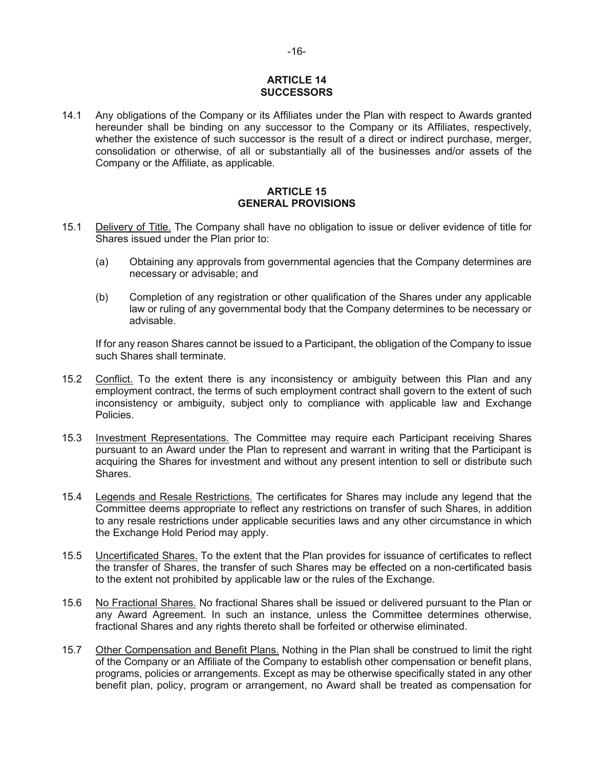## **ARTICLE 14 SUCCESSORS**

14.1 Any obligations of the Company or its Affiliates under the Plan with respect to Awards granted hereunder shall be binding on any successor to the Company or its Affiliates, respectively, whether the existence of such successor is the result of a direct or indirect purchase, merger, consolidation or otherwise, of all or substantially all of the businesses and/or assets of the Company or the Affiliate, as applicable.

## **ARTICLE 15 GENERAL PROVISIONS**

- 15.1 Delivery of Title. The Company shall have no obligation to issue or deliver evidence of title for Shares issued under the Plan prior to:
	- (a) Obtaining any approvals from governmental agencies that the Company determines are necessary or advisable; and
	- (b) Completion of any registration or other qualification of the Shares under any applicable law or ruling of any governmental body that the Company determines to be necessary or advisable.

If for any reason Shares cannot be issued to a Participant, the obligation of the Company to issue such Shares shall terminate.

- 15.2 Conflict. To the extent there is any inconsistency or ambiguity between this Plan and any employment contract, the terms of such employment contract shall govern to the extent of such inconsistency or ambiguity, subject only to compliance with applicable law and Exchange Policies.
- 15.3 Investment Representations. The Committee may require each Participant receiving Shares pursuant to an Award under the Plan to represent and warrant in writing that the Participant is acquiring the Shares for investment and without any present intention to sell or distribute such Shares.
- 15.4 Legends and Resale Restrictions. The certificates for Shares may include any legend that the Committee deems appropriate to reflect any restrictions on transfer of such Shares, in addition to any resale restrictions under applicable securities laws and any other circumstance in which the Exchange Hold Period may apply.
- 15.5 Uncertificated Shares. To the extent that the Plan provides for issuance of certificates to reflect the transfer of Shares, the transfer of such Shares may be effected on a non-certificated basis to the extent not prohibited by applicable law or the rules of the Exchange.
- 15.6 No Fractional Shares. No fractional Shares shall be issued or delivered pursuant to the Plan or any Award Agreement. In such an instance, unless the Committee determines otherwise, fractional Shares and any rights thereto shall be forfeited or otherwise eliminated.
- 15.7 Other Compensation and Benefit Plans. Nothing in the Plan shall be construed to limit the right of the Company or an Affiliate of the Company to establish other compensation or benefit plans, programs, policies or arrangements. Except as may be otherwise specifically stated in any other benefit plan, policy, program or arrangement, no Award shall be treated as compensation for